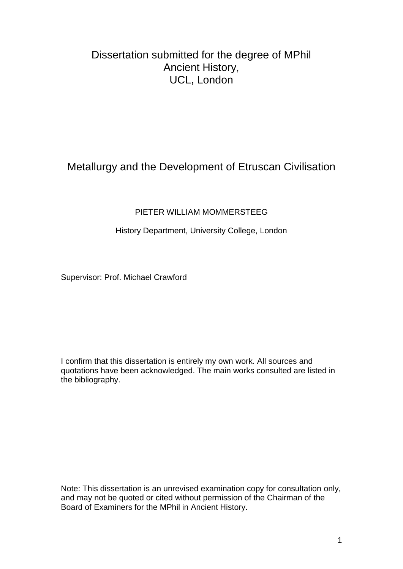# Dissertation submitted for the degree of MPhil Ancient History, UCL, London

# Metallurgy and the Development of Etruscan Civilisation

## PIETER WILLIAM MOMMERSTEEG

## History Department, University College, London

Supervisor: Prof. Michael Crawford

I confirm that this dissertation is entirely my own work. All sources and quotations have been acknowledged. The main works consulted are listed in the bibliography.

Note: This dissertation is an unrevised examination copy for consultation only, and may not be quoted or cited without permission of the Chairman of the Board of Examiners for the MPhil in Ancient History.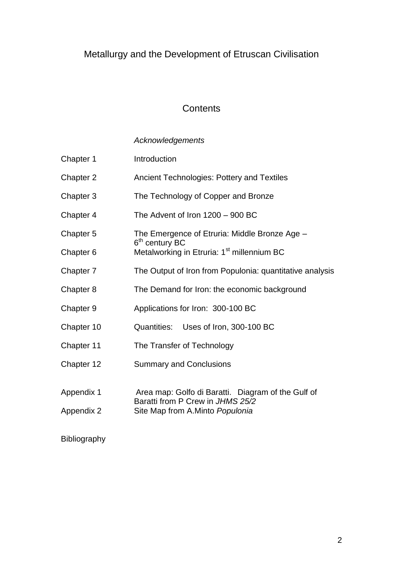# Metallurgy and the Development of Etruscan Civilisation

# **Contents**

# *Acknowledgements*

| Chapter 1                | Introduction                                                                                                              |  |  |  |  |
|--------------------------|---------------------------------------------------------------------------------------------------------------------------|--|--|--|--|
| Chapter 2                | <b>Ancient Technologies: Pottery and Textiles</b>                                                                         |  |  |  |  |
| Chapter 3                | The Technology of Copper and Bronze                                                                                       |  |  |  |  |
| Chapter 4                | The Advent of Iron $1200 - 900$ BC                                                                                        |  |  |  |  |
| Chapter 5                | The Emergence of Etruria: Middle Bronze Age -                                                                             |  |  |  |  |
| Chapter 6                | 6 <sup>th</sup> century BC<br>Metalworking in Etruria: 1 <sup>st</sup> millennium BC                                      |  |  |  |  |
| Chapter 7                | The Output of Iron from Populonia: quantitative analysis                                                                  |  |  |  |  |
| Chapter 8                | The Demand for Iron: the economic background                                                                              |  |  |  |  |
| Chapter 9                | Applications for Iron: 300-100 BC                                                                                         |  |  |  |  |
| Chapter 10               | Quantities: Uses of Iron, 300-100 BC                                                                                      |  |  |  |  |
| Chapter 11               | The Transfer of Technology                                                                                                |  |  |  |  |
| Chapter 12               | <b>Summary and Conclusions</b>                                                                                            |  |  |  |  |
| Appendix 1<br>Appendix 2 | Area map: Golfo di Baratti. Diagram of the Gulf of<br>Baratti from P Crew in JHMS 25/2<br>Site Map from A.Minto Populonia |  |  |  |  |
|                          |                                                                                                                           |  |  |  |  |

# Bibliography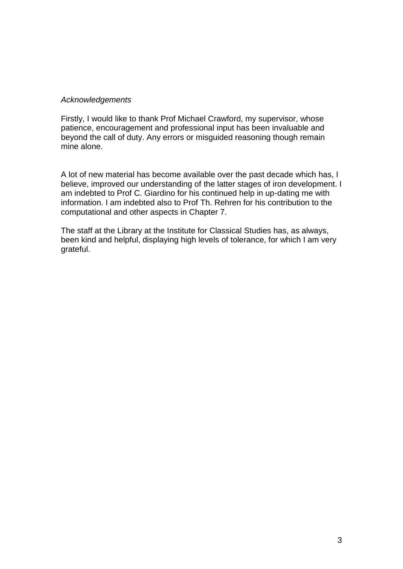#### *Acknowledgements*

Firstly, I would like to thank Prof Michael Crawford, my supervisor, whose patience, encouragement and professional input has been invaluable and beyond the call of duty. Any errors or misguided reasoning though remain mine alone.

A lot of new material has become available over the past decade which has, I believe, improved our understanding of the latter stages of iron development. I am indebted to Prof C. Giardino for his continued help in up-dating me with information. I am indebted also to Prof Th. Rehren for his contribution to the computational and other aspects in Chapter 7.

The staff at the Library at the Institute for Classical Studies has, as always, been kind and helpful, displaying high levels of tolerance, for which I am very grateful.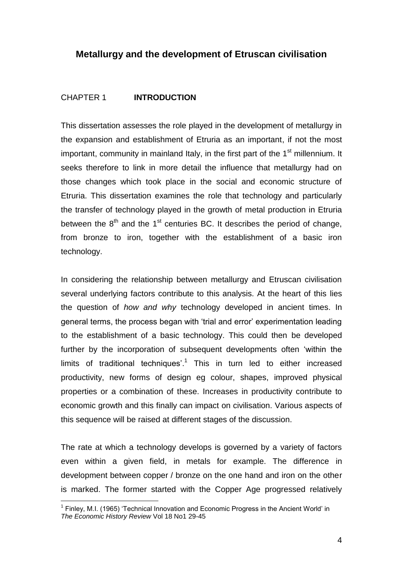## **Metallurgy and the development of Etruscan civilisation**

#### CHAPTER 1 **INTRODUCTION**

This dissertation assesses the role played in the development of metallurgy in the expansion and establishment of Etruria as an important, if not the most important, community in mainland Italy, in the first part of the  $1<sup>st</sup>$  millennium. It seeks therefore to link in more detail the influence that metallurgy had on those changes which took place in the social and economic structure of Etruria. This dissertation examines the role that technology and particularly the transfer of technology played in the growth of metal production in Etruria between the  $8<sup>th</sup>$  and the 1<sup>st</sup> centuries BC. It describes the period of change, from bronze to iron, together with the establishment of a basic iron technology.

In considering the relationship between metallurgy and Etruscan civilisation several underlying factors contribute to this analysis. At the heart of this lies the question of *how and why* technology developed in ancient times. In general terms, the process began with "trial and error" experimentation leading to the establishment of a basic technology. This could then be developed further by the incorporation of subsequent developments often "within the limits of traditional techniques'.<sup>1</sup> This in turn led to either increased productivity, new forms of design eg colour, shapes, improved physical properties or a combination of these. Increases in productivity contribute to economic growth and this finally can impact on civilisation. Various aspects of this sequence will be raised at different stages of the discussion.

The rate at which a technology develops is governed by a variety of factors even within a given field, in metals for example. The difference in development between copper / bronze on the one hand and iron on the other is marked. The former started with the Copper Age progressed relatively

<sup>&</sup>lt;sup>1</sup> Finley, M.I. (1965) 'Technical Innovation and Economic Progress in the Ancient World' in *The Economic History Review* Vol 18 No1 29-45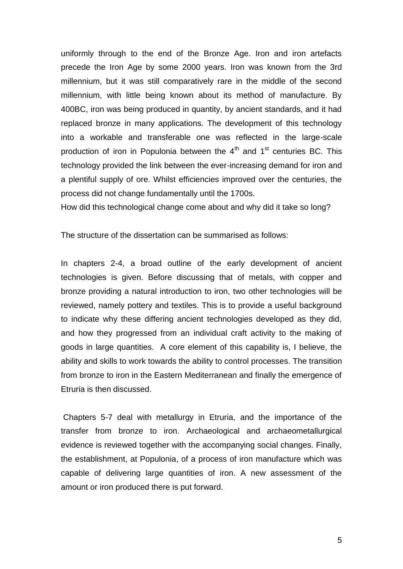uniformly through to the end of the Bronze Age. Iron and iron artefacts precede the Iron Age by some 2000 years. Iron was known from the 3rd millennium, but it was still comparatively rare in the middle of the second millennium, with little being known about its method of manufacture. By 400BC, iron was being produced in quantity, by ancient standards, and it had replaced bronze in many applications. The development of this technology into a workable and transferable one was reflected in the large-scale production of iron in Populonia between the  $4<sup>th</sup>$  and  $1<sup>st</sup>$  centuries BC. This technology provided the link between the ever-increasing demand for iron and a plentiful supply of ore. Whilst efficiencies improved over the centuries, the process did not change fundamentally until the 1700s.

How did this technological change come about and why did it take so long?

The structure of the dissertation can be summarised as follows:

In chapters 2-4, a broad outline of the early development of ancient technologies is given. Before discussing that of metals, with copper and bronze providing a natural introduction to iron, two other technologies will be reviewed, namely pottery and textiles. This is to provide a useful background to indicate why these differing ancient technologies developed as they did, and how they progressed from an individual craft activity to the making of goods in large quantities. A core element of this capability is, I believe, the ability and skills to work towards the ability to control processes. The transition from bronze to iron in the Eastern Mediterranean and finally the emergence of Etruria is then discussed.

Chapters 5-7 deal with metallurgy in Etruria, and the importance of the transfer from bronze to iron. Archaeological and archaeometallurgical evidence is reviewed together with the accompanying social changes. Finally, the establishment, at Populonia, of a process of iron manufacture which was capable of delivering large quantities of iron. A new assessment of the amount or iron produced there is put forward.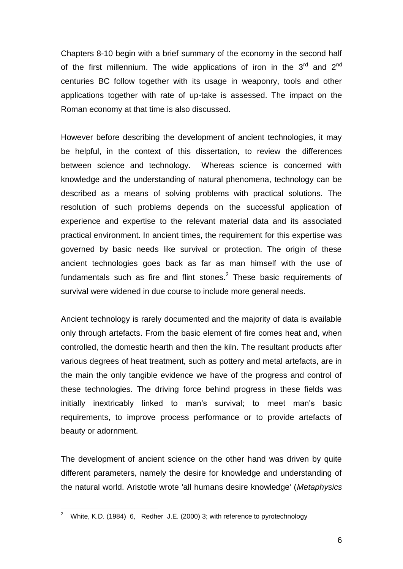Chapters 8-10 begin with a brief summary of the economy in the second half of the first millennium. The wide applications of iron in the  $3<sup>rd</sup>$  and  $2<sup>nd</sup>$ centuries BC follow together with its usage in weaponry, tools and other applications together with rate of up-take is assessed. The impact on the Roman economy at that time is also discussed.

However before describing the development of ancient technologies, it may be helpful, in the context of this dissertation, to review the differences between science and technology. Whereas science is concerned with knowledge and the understanding of natural phenomena, technology can be described as a means of solving problems with practical solutions. The resolution of such problems depends on the successful application of experience and expertise to the relevant material data and its associated practical environment. In ancient times, the requirement for this expertise was governed by basic needs like survival or protection. The origin of these ancient technologies goes back as far as man himself with the use of fundamentals such as fire and flint stones. $2$  These basic requirements of survival were widened in due course to include more general needs.

Ancient technology is rarely documented and the majority of data is available only through artefacts. From the basic element of fire comes heat and, when controlled, the domestic hearth and then the kiln. The resultant products after various degrees of heat treatment, such as pottery and metal artefacts, are in the main the only tangible evidence we have of the progress and control of these technologies. The driving force behind progress in these fields was initially inextricably linked to man's survival; to meet man"s basic requirements, to improve process performance or to provide artefacts of beauty or adornment.

The development of ancient science on the other hand was driven by quite different parameters, namely the desire for knowledge and understanding of the natural world. Aristotle wrote 'all humans desire knowledge' (*Metaphysics* 

<sup>&</sup>lt;sup>2</sup> White, K.D. (1984) 6, Redher J.E. (2000) 3; with reference to pyrotechnology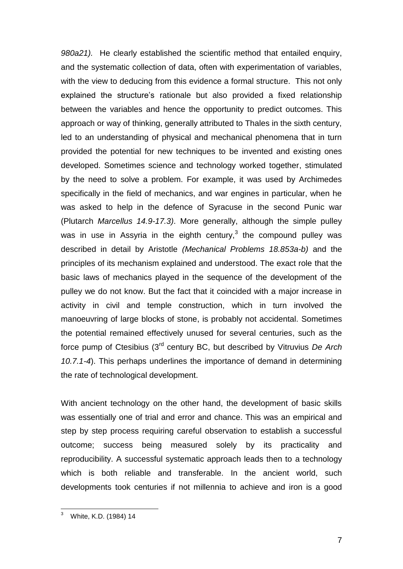*980a21).* He clearly established the scientific method that entailed enquiry, and the systematic collection of data, often with experimentation of variables, with the view to deducing from this evidence a formal structure. This not only explained the structure's rationale but also provided a fixed relationship between the variables and hence the opportunity to predict outcomes. This approach or way of thinking, generally attributed to Thales in the sixth century, led to an understanding of physical and mechanical phenomena that in turn provided the potential for new techniques to be invented and existing ones developed. Sometimes science and technology worked together, stimulated by the need to solve a problem. For example, it was used by Archimedes specifically in the field of mechanics, and war engines in particular, when he was asked to help in the defence of Syracuse in the second Punic war (Plutarch *Marcellus 14.9-17.3)*. More generally, although the simple pulley was in use in Assyria in the eighth century, $3$  the compound pulley was described in detail by Aristotle *(Mechanical Problems 18.853a-b)* and the principles of its mechanism explained and understood. The exact role that the basic laws of mechanics played in the sequence of the development of the pulley we do not know. But the fact that it coincided with a major increase in activity in civil and temple construction, which in turn involved the manoeuvring of large blocks of stone, is probably not accidental. Sometimes the potential remained effectively unused for several centuries, such as the force pump of Ctesibius (3rd century BC, but described by Vitruvius *De Arch 10.7.1-4*). This perhaps underlines the importance of demand in determining the rate of technological development.

With ancient technology on the other hand, the development of basic skills was essentially one of trial and error and chance. This was an empirical and step by step process requiring careful observation to establish a successful outcome; success being measured solely by its practicality and reproducibility. A successful systematic approach leads then to a technology which is both reliable and transferable. In the ancient world, such developments took centuries if not millennia to achieve and iron is a good

<sup>3</sup> White, K.D. (1984) 14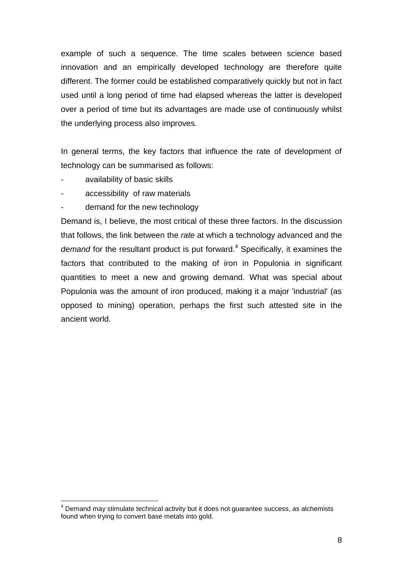example of such a sequence. The time scales between science based innovation and an empirically developed technology are therefore quite different. The former could be established comparatively quickly but not in fact used until a long period of time had elapsed whereas the latter is developed over a period of time but its advantages are made use of continuously whilst the underlying process also improves.

In general terms, the key factors that influence the rate of development of technology can be summarised as follows:

availability of basic skills

1

- accessibility of raw materials
- demand for the new technology

Demand is, I believe, the most critical of these three factors. In the discussion that follows, the link between the *rate* at which a technology advanced and the *demand* for the resultant product is put forward. <sup>4</sup> Specifically, it examines the factors that contributed to the making of iron in Populonia in significant quantities to meet a new and growing demand. What was special about Populonia was the amount of iron produced, making it a major 'industrial' (as opposed to mining) operation, perhaps the first such attested site in the ancient world.

 $4$  Demand may stimulate technical activity but it does not guarantee success, as alchemists found when trying to convert base metals into gold.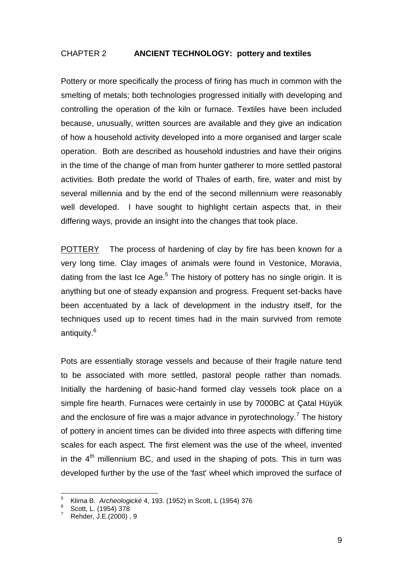### CHAPTER 2 **ANCIENT TECHNOLOGY: pottery and textiles**

Pottery or more specifically the process of firing has much in common with the smelting of metals; both technologies progressed initially with developing and controlling the operation of the kiln or furnace. Textiles have been included because, unusually, written sources are available and they give an indication of how a household activity developed into a more organised and larger scale operation. Both are described as household industries and have their origins in the time of the change of man from hunter gatherer to more settled pastoral activities. Both predate the world of Thales of earth, fire, water and mist by several millennia and by the end of the second millennium were reasonably well developed. I have sought to highlight certain aspects that, in their differing ways, provide an insight into the changes that took place.

POTTERY The process of hardening of clay by fire has been known for a very long time. Clay images of animals were found in Vestonice, Moravia, dating from the last Ice Age. $<sup>5</sup>$  The history of pottery has no single origin. It is</sup> anything but one of steady expansion and progress. Frequent set-backs have been accentuated by a lack of development in the industry itself, for the techniques used up to recent times had in the main survived from remote antiquity.<sup>6</sup>

Pots are essentially storage vessels and because of their fragile nature tend to be associated with more settled, pastoral people rather than nomads. Initially the hardening of basic-hand formed clay vessels took place on a simple fire hearth. Furnaces were certainly in use by 7000BC at Catal Hüyük and the enclosure of fire was a major advance in pyrotechnology.<sup>7</sup> The history of pottery in ancient times can be divided into three aspects with differing time scales for each aspect. The first element was the use of the wheel, invented in the  $4<sup>th</sup>$  millennium BC, and used in the shaping of pots. This in turn was developed further by the use of the 'fast' wheel which improved the surface of

<sup>5</sup> Klima B. *Archeologické* 4, 193. (1952) in Scott, L (1954) 376

<sup>6</sup> Scott, L. (1954) 378

<sup>7</sup> Rehder, J.E.(2000) , 9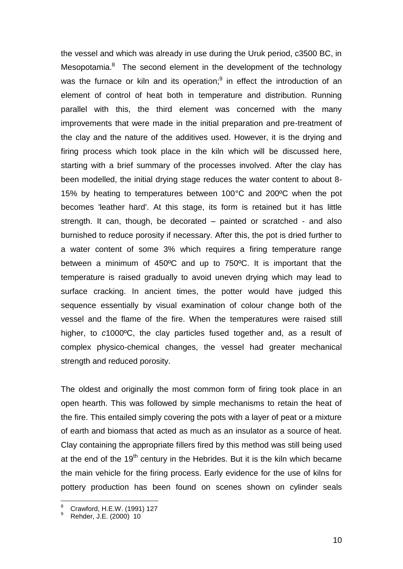the vessel and which was already in use during the Uruk period, c3500 BC, in Mesopotamia.<sup>8</sup> The second element in the development of the technology was the furnace or kiln and its operation; $9$  in effect the introduction of an element of control of heat both in temperature and distribution. Running parallel with this, the third element was concerned with the many improvements that were made in the initial preparation and pre-treatment of the clay and the nature of the additives used. However, it is the drying and firing process which took place in the kiln which will be discussed here, starting with a brief summary of the processes involved. After the clay has been modelled, the initial drying stage reduces the water content to about 8- 15% by heating to temperatures between 100°C and 200ºC when the pot becomes 'leather hard'. At this stage, its form is retained but it has little strength. It can, though, be decorated – painted or scratched - and also burnished to reduce porosity if necessary. After this, the pot is dried further to a water content of some 3% which requires a firing temperature range between a minimum of 450ºC and up to 750ºC. It is important that the temperature is raised gradually to avoid uneven drying which may lead to surface cracking. In ancient times, the potter would have judged this sequence essentially by visual examination of colour change both of the vessel and the flame of the fire. When the temperatures were raised still higher, to *c*1000ºC, the clay particles fused together and, as a result of complex physico-chemical changes, the vessel had greater mechanical strength and reduced porosity.

The oldest and originally the most common form of firing took place in an open hearth. This was followed by simple mechanisms to retain the heat of the fire. This entailed simply covering the pots with a layer of peat or a mixture of earth and biomass that acted as much as an insulator as a source of heat. Clay containing the appropriate fillers fired by this method was still being used at the end of the  $19<sup>th</sup>$  century in the Hebrides. But it is the kiln which became the main vehicle for the firing process. Early evidence for the use of kilns for pottery production has been found on scenes shown on cylinder seals

<sup>&</sup>lt;sup>8</sup> Crawford, H.E.W. (1991) 127

<sup>9</sup> Rehder, J.E. (2000) 10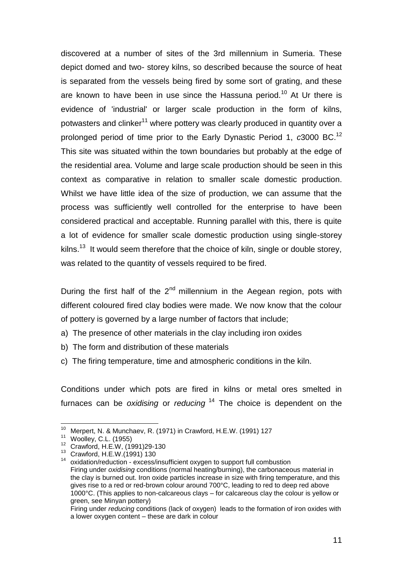discovered at a number of sites of the 3rd millennium in Sumeria. These depict domed and two- storey kilns, so described because the source of heat is separated from the vessels being fired by some sort of grating, and these are known to have been in use since the Hassuna period.<sup>10</sup> At Ur there is evidence of 'industrial' or larger scale production in the form of kilns, potwasters and clinker<sup>11</sup> where pottery was clearly produced in quantity over a prolonged period of time prior to the Early Dynastic Period 1, *c*3000 BC.<sup>12</sup> This site was situated within the town boundaries but probably at the edge of the residential area. Volume and large scale production should be seen in this context as comparative in relation to smaller scale domestic production. Whilst we have little idea of the size of production, we can assume that the process was sufficiently well controlled for the enterprise to have been considered practical and acceptable. Running parallel with this, there is quite a lot of evidence for smaller scale domestic production using single-storey kilns.<sup>13</sup> It would seem therefore that the choice of kiln, single or double storey, was related to the quantity of vessels required to be fired.

During the first half of the  $2<sup>nd</sup>$  millennium in the Aegean region, pots with different coloured fired clay bodies were made. We now know that the colour of pottery is governed by a large number of factors that include;

- a) The presence of other materials in the clay including iron oxides
- b) The form and distribution of these materials
- c) The firing temperature, time and atmospheric conditions in the kiln.

Conditions under which pots are fired in kilns or metal ores smelted in furnaces can be *oxidising* or *reducing* <sup>14</sup> The choice is dependent on the

 $10$  Merpert, N. & Munchaev, R. (1971) in Crawford, H.E.W. (1991) 127

<sup>11</sup> Woolley, C.L. (1955)

<sup>12</sup> Crawford, H.E.W, (1991)29-130

<sup>13</sup> Crawford, H.E.W.(1991) 130

<sup>&</sup>lt;sup>14</sup> oxidation/reduction - excess/insufficient oxygen to support full combustion Firing under *oxidising* conditions (normal heating/burning), the carbonaceous material in the clay is burned out. Iron oxide particles increase in size with firing temperature, and this gives rise to a red or red-brown colour around 700°C, leading to red to deep red above 1000°C. (This applies to non-calcareous clays – for calcareous clay the colour is yellow or green, see Minyan pottery)

Firing under *reducing* conditions (lack of oxygen) leads to the formation of iron oxides with a lower oxygen content – these are dark in colour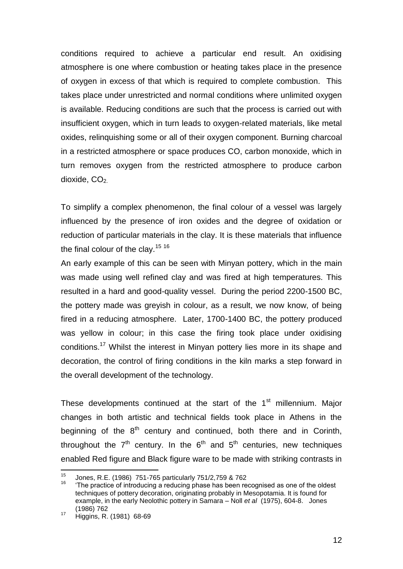conditions required to achieve a particular end result. An oxidising atmosphere is one where combustion or heating takes place in the presence of oxygen in excess of that which is required to complete combustion. This takes place under unrestricted and normal conditions where unlimited oxygen is available. Reducing conditions are such that the process is carried out with insufficient oxygen, which in turn leads to oxygen-related materials, like metal oxides, relinquishing some or all of their oxygen component. Burning charcoal in a restricted atmosphere or space produces CO, carbon monoxide, which in turn removes oxygen from the restricted atmosphere to produce carbon dioxide,  $CO<sub>2</sub>$ .

To simplify a complex phenomenon, the final colour of a vessel was largely influenced by the presence of iron oxides and the degree of oxidation or reduction of particular materials in the clay. It is these materials that influence the final colour of the clay.<sup>15 16</sup>

An early example of this can be seen with Minyan pottery, which in the main was made using well refined clay and was fired at high temperatures. This resulted in a hard and good-quality vessel. During the period 2200-1500 BC, the pottery made was greyish in colour, as a result, we now know, of being fired in a reducing atmosphere. Later, 1700-1400 BC, the pottery produced was yellow in colour; in this case the firing took place under oxidising conditions.<sup>17</sup> Whilst the interest in Minyan pottery lies more in its shape and decoration, the control of firing conditions in the kiln marks a step forward in the overall development of the technology.

These developments continued at the start of the  $1<sup>st</sup>$  millennium. Major changes in both artistic and technical fields took place in Athens in the beginning of the  $8<sup>th</sup>$  century and continued, both there and in Corinth, throughout the  $7<sup>th</sup>$  century. In the  $6<sup>th</sup>$  and  $5<sup>th</sup>$  centuries, new techniques enabled Red figure and Black figure ware to be made with striking contrasts in

<sup>15</sup> <sup>15</sup> Jones, R.E. (1986) 751-765 particularly 751/2,759 & 762<br><sup>16</sup> The prestice of introducing a reducing phase has been re-

The practice of introducing a reducing phase has been recognised as one of the oldest techniques of pottery decoration, originating probably in Mesopotamia. It is found for example, in the early Neolothic pottery in Samara – Noll *et al* (1975), 604-8. Jones (1986) 762

<sup>17</sup> Higgins, R. (1981) 68-69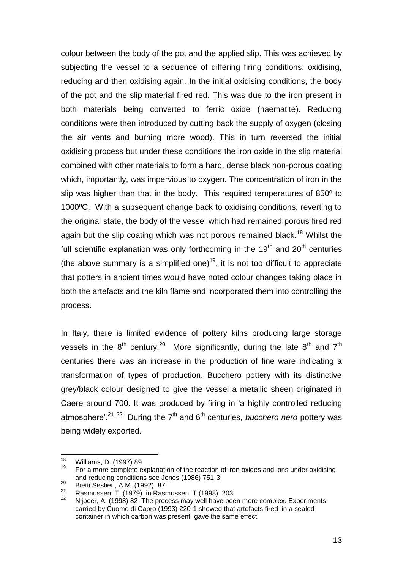colour between the body of the pot and the applied slip. This was achieved by subjecting the vessel to a sequence of differing firing conditions: oxidising, reducing and then oxidising again. In the initial oxidising conditions, the body of the pot and the slip material fired red. This was due to the iron present in both materials being converted to ferric oxide (haematite). Reducing conditions were then introduced by cutting back the supply of oxygen (closing the air vents and burning more wood). This in turn reversed the initial oxidising process but under these conditions the iron oxide in the slip material combined with other materials to form a hard, dense black non-porous coating which, importantly, was impervious to oxygen. The concentration of iron in the slip was higher than that in the body. This required temperatures of 850º to 1000ºC. With a subsequent change back to oxidising conditions, reverting to the original state, the body of the vessel which had remained porous fired red again but the slip coating which was not porous remained black.<sup>18</sup> Whilst the full scientific explanation was only forthcoming in the  $19<sup>th</sup>$  and  $20<sup>th</sup>$  centuries (the above summary is a simplified one)<sup>19</sup>, it is not too difficult to appreciate that potters in ancient times would have noted colour changes taking place in both the artefacts and the kiln flame and incorporated them into controlling the process.

In Italy, there is limited evidence of pottery kilns producing large storage vessels in the  $8^{th}$  century.<sup>20</sup> More significantly, during the late  $8^{th}$  and  $7^{th}$ centuries there was an increase in the production of fine ware indicating a transformation of types of production. Bucchero pottery with its distinctive grey/black colour designed to give the vessel a metallic sheen originated in Caere around 700. It was produced by firing in "a highly controlled reducing atmosphere'.<sup>21 22</sup> During the 7<sup>th</sup> and 6<sup>th</sup> centuries, *bucchero nero* pottery was being widely exported.

<sup>18</sup>  $\frac{18}{19}$  Williams, D. (1997) 89

<sup>19</sup> For a more complete explanation of the reaction of iron oxides and ions under oxidising and reducing conditions see Jones (1986) 751-3

 $\frac{20}{21}$  Bietti Sestieri, A.M. (1992) 87

<sup>&</sup>lt;sup>21</sup> Rasmussen, T. (1979) in Rasmussen, T. (1998) 203

Nijboer, A. (1998) 82 The process may well have been more complex. Experiments carried by Cuomo di Capro (1993) 220-1 showed that artefacts fired in a sealed container in which carbon was present gave the same effect.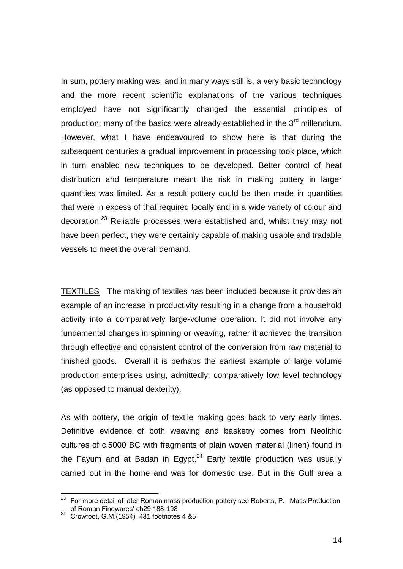In sum, pottery making was, and in many ways still is, a very basic technology and the more recent scientific explanations of the various techniques employed have not significantly changed the essential principles of production; many of the basics were already established in the  $3<sup>rd</sup>$  millennium. However, what I have endeavoured to show here is that during the subsequent centuries a gradual improvement in processing took place, which in turn enabled new techniques to be developed. Better control of heat distribution and temperature meant the risk in making pottery in larger quantities was limited. As a result pottery could be then made in quantities that were in excess of that required locally and in a wide variety of colour and decoration.<sup>23</sup> Reliable processes were established and, whilst they may not have been perfect, they were certainly capable of making usable and tradable vessels to meet the overall demand.

TEXTILES The making of textiles has been included because it provides an example of an increase in productivity resulting in a change from a household activity into a comparatively large-volume operation. It did not involve any fundamental changes in spinning or weaving, rather it achieved the transition through effective and consistent control of the conversion from raw material to finished goods. Overall it is perhaps the earliest example of large volume production enterprises using, admittedly, comparatively low level technology (as opposed to manual dexterity).

As with pottery, the origin of textile making goes back to very early times. Definitive evidence of both weaving and basketry comes from Neolithic cultures of c.5000 BC with fragments of plain woven material (linen) found in the Fayum and at Badan in Egypt. $24$  Early textile production was usually carried out in the home and was for domestic use. But in the Gulf area a

 $23$  For more detail of later Roman mass production pottery see Roberts, P. 'Mass Production of Roman Finewares' ch29 188-198

<sup>&</sup>lt;sup>24</sup> Crowfoot, G.M.(1954) 431 footnotes 4 &5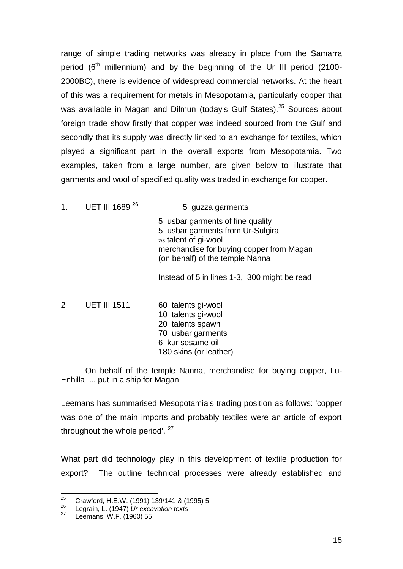range of simple trading networks was already in place from the Samarra period  $(6<sup>th</sup>$  millennium) and by the beginning of the Ur III period (2100-2000BC), there is evidence of widespread commercial networks. At the heart of this was a requirement for metals in Mesopotamia, particularly copper that was available in Magan and Dilmun (today's Gulf States).<sup>25</sup> Sources about foreign trade show firstly that copper was indeed sourced from the Gulf and secondly that its supply was directly linked to an exchange for textiles, which played a significant part in the overall exports from Mesopotamia. Two examples, taken from a large number, are given below to illustrate that garments and wool of specified quality was traded in exchange for copper.

1. UET III 1689 $^{26}$  5 guzza garments

5 usbar garments of fine quality 5 usbar garments from Ur-Sulgira 2/3 talent of gi-wool merchandise for buying copper from Magan (on behalf) of the temple Nanna

Instead of 5 in lines 1-3, 300 might be read

2 UET III 1511 60 talents gi-wool 10 talents gi-wool 20 talents spawn 70 usbar garments 6 kur sesame oil 180 skins (or leather)

On behalf of the temple Nanna, merchandise for buying copper, Lu-Enhilla ... put in a ship for Magan

Leemans has summarised Mesopotamia's trading position as follows: 'copper was one of the main imports and probably textiles were an article of export throughout the whole period'. <sup>27</sup>

What part did technology play in this development of textile production for export? The outline technical processes were already established and

<sup>25</sup> <sup>25</sup> Crawford, H.E.W. (1991) 139/141 & (1995) 5

<sup>26</sup> Legrain, L. (1947) *Ur excavation texts*

Leemans, W.F. (1960) 55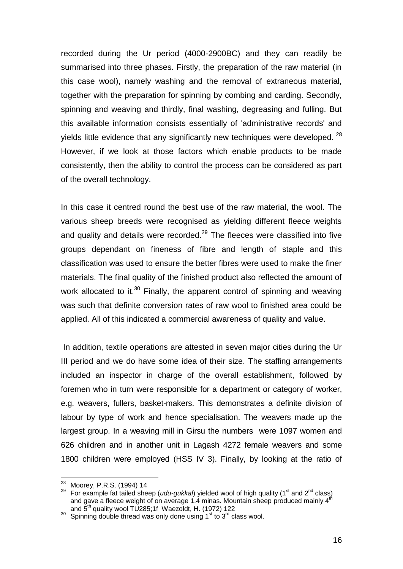recorded during the Ur period (4000-2900BC) and they can readily be summarised into three phases. Firstly, the preparation of the raw material (in this case wool), namely washing and the removal of extraneous material, together with the preparation for spinning by combing and carding. Secondly, spinning and weaving and thirdly, final washing, degreasing and fulling. But this available information consists essentially of 'administrative records' and yields little evidence that any significantly new techniques were developed.  $28$ However, if we look at those factors which enable products to be made consistently, then the ability to control the process can be considered as part of the overall technology.

In this case it centred round the best use of the raw material, the wool. The various sheep breeds were recognised as yielding different fleece weights and quality and details were recorded. $^{29}$  The fleeces were classified into five groups dependant on fineness of fibre and length of staple and this classification was used to ensure the better fibres were used to make the finer materials. The final quality of the finished product also reflected the amount of work allocated to it.<sup>30</sup> Finally, the apparent control of spinning and weaving was such that definite conversion rates of raw wool to finished area could be applied. All of this indicated a commercial awareness of quality and value.

In addition, textile operations are attested in seven major cities during the Ur III period and we do have some idea of their size. The staffing arrangements included an inspector in charge of the overall establishment, followed by foremen who in turn were responsible for a department or category of worker, e.g. weavers, fullers, basket-makers. This demonstrates a definite division of labour by type of work and hence specialisation. The weavers made up the largest group. In a weaving mill in Girsu the numbers were 1097 women and 626 children and in another unit in Lagash 4272 female weavers and some 1800 children were employed (HSS IV 3). Finally, by looking at the ratio of

<sup>&</sup>lt;sup>28</sup> Moorey, P.R.S. (1994) 14

<sup>&</sup>lt;sup>29</sup> For example fat tailed sheep (*udu-gukkal*) yielded wool of high quality (1<sup>st</sup> and 2<sup>nd</sup> class) and gave a fleece weight of on average 1.4 minas. Mountain sheep produced mainly  $4^{th}$ and 5<sup>th</sup> quality wool TU285;1f Waezoldt, H. (1972) 122

 $30$  Spinning double thread was only done using 1st to  $3^{rd}$  class wool.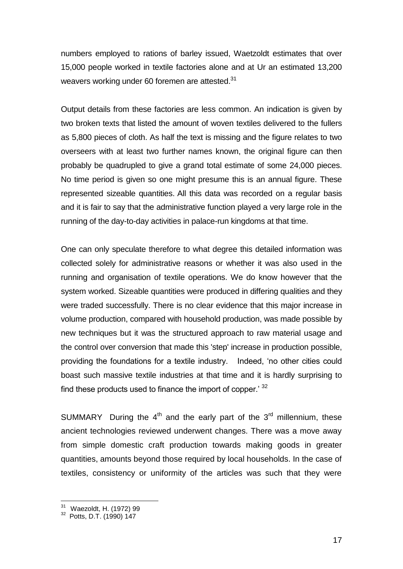numbers employed to rations of barley issued, Waetzoldt estimates that over 15,000 people worked in textile factories alone and at Ur an estimated 13,200 weavers working under 60 foremen are attested. $31$ 

Output details from these factories are less common. An indication is given by two broken texts that listed the amount of woven textiles delivered to the fullers as 5,800 pieces of cloth. As half the text is missing and the figure relates to two overseers with at least two further names known, the original figure can then probably be quadrupled to give a grand total estimate of some 24,000 pieces. No time period is given so one might presume this is an annual figure. These represented sizeable quantities. All this data was recorded on a regular basis and it is fair to say that the administrative function played a very large role in the running of the day-to-day activities in palace-run kingdoms at that time.

One can only speculate therefore to what degree this detailed information was collected solely for administrative reasons or whether it was also used in the running and organisation of textile operations. We do know however that the system worked. Sizeable quantities were produced in differing qualities and they were traded successfully. There is no clear evidence that this major increase in volume production, compared with household production, was made possible by new techniques but it was the structured approach to raw material usage and the control over conversion that made this 'step' increase in production possible, providing the foundations for a textile industry. Indeed, "no other cities could boast such massive textile industries at that time and it is hardly surprising to find these products used to finance the import of copper.' 32

SUMMARY During the  $4<sup>th</sup>$  and the early part of the  $3<sup>rd</sup>$  millennium, these ancient technologies reviewed underwent changes. There was a move away from simple domestic craft production towards making goods in greater quantities, amounts beyond those required by local households. In the case of textiles, consistency or uniformity of the articles was such that they were

<sup>1</sup> <sup>31</sup> Waezoldt, H. (1972) 99

<sup>&</sup>lt;sup>32</sup> Potts, D.T. (1990) 147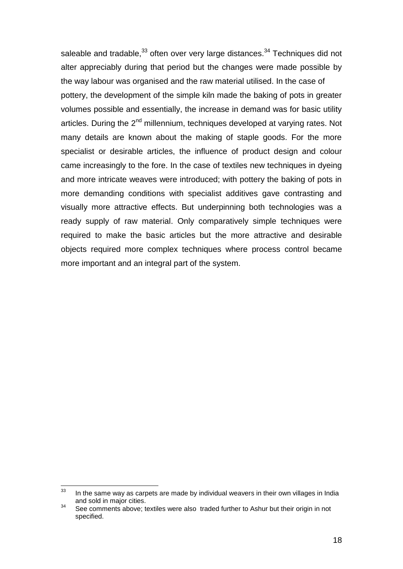saleable and tradable,  $33$  often over very large distances.  $34$  Techniques did not alter appreciably during that period but the changes were made possible by the way labour was organised and the raw material utilised. In the case of pottery, the development of the simple kiln made the baking of pots in greater volumes possible and essentially, the increase in demand was for basic utility articles. During the  $2^{nd}$  millennium, techniques developed at varying rates. Not many details are known about the making of staple goods. For the more specialist or desirable articles, the influence of product design and colour came increasingly to the fore. In the case of textiles new techniques in dyeing and more intricate weaves were introduced; with pottery the baking of pots in more demanding conditions with specialist additives gave contrasting and visually more attractive effects. But underpinning both technologies was a ready supply of raw material. Only comparatively simple techniques were required to make the basic articles but the more attractive and desirable objects required more complex techniques where process control became more important and an integral part of the system.

<sup>33</sup> In the same way as carpets are made by individual weavers in their own villages in India and sold in major cities.

<sup>&</sup>lt;sup>34</sup> See comments above; textiles were also traded further to Ashur but their origin in not specified.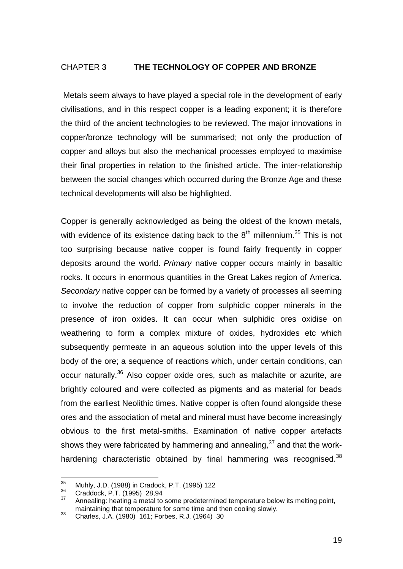### CHAPTER 3 **THE TECHNOLOGY OF COPPER AND BRONZE**

Metals seem always to have played a special role in the development of early civilisations, and in this respect copper is a leading exponent; it is therefore the third of the ancient technologies to be reviewed. The major innovations in copper/bronze technology will be summarised; not only the production of copper and alloys but also the mechanical processes employed to maximise their final properties in relation to the finished article. The inter-relationship between the social changes which occurred during the Bronze Age and these technical developments will also be highlighted.

Copper is generally acknowledged as being the oldest of the known metals, with evidence of its existence dating back to the  $8<sup>th</sup>$  millennium.<sup>35</sup> This is not too surprising because native copper is found fairly frequently in copper deposits around the world. *Primary* native copper occurs mainly in basaltic rocks. It occurs in enormous quantities in the Great Lakes region of America. *Secondary* native copper can be formed by a variety of processes all seeming to involve the reduction of copper from sulphidic copper minerals in the presence of iron oxides. It can occur when sulphidic ores oxidise on weathering to form a complex mixture of oxides, hydroxides etc which subsequently permeate in an aqueous solution into the upper levels of this body of the ore; a sequence of reactions which, under certain conditions, can occur naturally.<sup>36</sup> Also copper oxide ores, such as malachite or azurite, are brightly coloured and were collected as pigments and as material for beads from the earliest Neolithic times. Native copper is often found alongside these ores and the association of metal and mineral must have become increasingly obvious to the first metal-smiths. Examination of native copper artefacts shows they were fabricated by hammering and annealing,<sup>37</sup> and that the workhardening characteristic obtained by final hammering was recognised.<sup>38</sup>

 $\frac{1}{35}$  $\frac{35}{36}$  Muhly, J.D. (1988) in Cradock, P.T. (1995) 122

 $\frac{36}{37}$  Craddock, P.T. (1995) 28,94

Annealing: heating a metal to some predetermined temperature below its melting point, maintaining that temperature for some time and then cooling slowly.

<sup>&</sup>lt;sup>38</sup> Charles, J.A. (1980) 161; Forbes, R.J. (1964) 30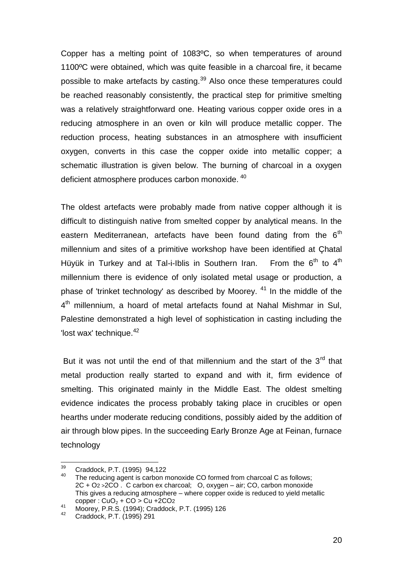Copper has a melting point of 1083ºC, so when temperatures of around 1100ºC were obtained, which was quite feasible in a charcoal fire, it became possible to make artefacts by casting.<sup>39</sup> Also once these temperatures could be reached reasonably consistently, the practical step for primitive smelting was a relatively straightforward one. Heating various copper oxide ores in a reducing atmosphere in an oven or kiln will produce metallic copper. The reduction process, heating substances in an atmosphere with insufficient oxygen, converts in this case the copper oxide into metallic copper; a schematic illustration is given below. The burning of charcoal in a oxygen deficient atmosphere produces carbon monoxide. 40

The oldest artefacts were probably made from native copper although it is difficult to distinguish native from smelted copper by analytical means. In the eastern Mediterranean, artefacts have been found dating from the  $6<sup>th</sup>$ millennium and sites of a primitive workshop have been identified at Çhatal Hüyük in Turkey and at Tal-i-Iblis in Southern Iran. From the  $6<sup>th</sup>$  to  $4<sup>th</sup>$ millennium there is evidence of only isolated metal usage or production, a phase of 'trinket technology' as described by Moorey.  $41$  In the middle of the 4<sup>th</sup> millennium, a hoard of metal artefacts found at Nahal Mishmar in Sul, Palestine demonstrated a high level of sophistication in casting including the 'lost wax' technique.<sup>42</sup>

But it was not until the end of that millennium and the start of the  $3<sup>rd</sup>$  that metal production really started to expand and with it, firm evidence of smelting. This originated mainly in the Middle East. The oldest smelting evidence indicates the process probably taking place in crucibles or open hearths under moderate reducing conditions, possibly aided by the addition of air through blow pipes. In the succeeding Early Bronze Age at Feinan, furnace technology

 $30^{\circ}$  $^{39}$  Craddock, P.T. (1995) 94,122

The reducing agent is carbon monoxide CO formed from charcoal C as follows: 2C + O2 >2CO . C carbon ex charcoal; O, oxygen – air; CO, carbon monoxide This gives a reducing atmosphere – where copper oxide is reduced to yield metallic  $copper: CuO<sub>2</sub> + CO > Cu + 2CO<sub>2</sub>$ 

 $\frac{41}{1000 \text{ erg}}$ , P.R.S. (1994); Craddock, P.T. (1995) 126

<sup>42</sup> Craddock, P.T. (1995) 291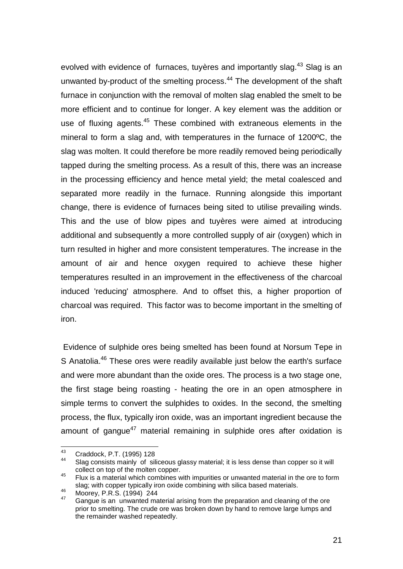evolved with evidence of furnaces, tuvères and importantly slag.<sup>43</sup> Slag is an unwanted by-product of the smelting process.<sup>44</sup> The development of the shaft furnace in conjunction with the removal of molten slag enabled the smelt to be more efficient and to continue for longer. A key element was the addition or use of fluxing agents.<sup>45</sup> These combined with extraneous elements in the mineral to form a slag and, with temperatures in the furnace of 1200ºC, the slag was molten. It could therefore be more readily removed being periodically tapped during the smelting process. As a result of this, there was an increase in the processing efficiency and hence metal yield; the metal coalesced and separated more readily in the furnace. Running alongside this important change, there is evidence of furnaces being sited to utilise prevailing winds. This and the use of blow pipes and tuyères were aimed at introducing additional and subsequently a more controlled supply of air (oxygen) which in turn resulted in higher and more consistent temperatures. The increase in the amount of air and hence oxygen required to achieve these higher temperatures resulted in an improvement in the effectiveness of the charcoal induced 'reducing' atmosphere. And to offset this, a higher proportion of charcoal was required. This factor was to become important in the smelting of iron.

Evidence of sulphide ores being smelted has been found at Norsum Tepe in S Anatolia.<sup>46</sup> These ores were readily available just below the earth's surface and were more abundant than the oxide ores. The process is a two stage one, the first stage being roasting - heating the ore in an open atmosphere in simple terms to convert the sulphides to oxides. In the second, the smelting process, the flux, typically iron oxide, was an important ingredient because the amount of gangue<sup>47</sup> material remaining in sulphide ores after oxidation is

<sup>43</sup>  $^{43}$  Craddock, P.T. (1995) 128

Slag consists mainly of siliceous glassy material; it is less dense than copper so it will collect on top of the molten copper.

<sup>45</sup> Flux is a material which combines with impurities or unwanted material in the ore to form slag; with copper typically iron oxide combining with silica based materials.

 $^{46}$  Moorey, P.R.S. (1994) 244

<sup>47</sup> Gangue is an unwanted material arising from the preparation and cleaning of the ore prior to smelting. The crude ore was broken down by hand to remove large lumps and the remainder washed repeatedly.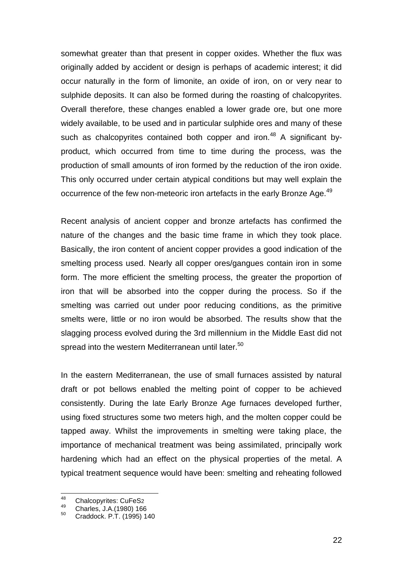somewhat greater than that present in copper oxides. Whether the flux was originally added by accident or design is perhaps of academic interest; it did occur naturally in the form of limonite, an oxide of iron, on or very near to sulphide deposits. It can also be formed during the roasting of chalcopyrites. Overall therefore, these changes enabled a lower grade ore, but one more widely available, to be used and in particular sulphide ores and many of these such as chalcopyrites contained both copper and iron.<sup>48</sup> A significant byproduct, which occurred from time to time during the process, was the production of small amounts of iron formed by the reduction of the iron oxide. This only occurred under certain atypical conditions but may well explain the occurrence of the few non-meteoric iron artefacts in the early Bronze Age.<sup>49</sup>

Recent analysis of ancient copper and bronze artefacts has confirmed the nature of the changes and the basic time frame in which they took place. Basically, the iron content of ancient copper provides a good indication of the smelting process used. Nearly all copper ores/gangues contain iron in some form. The more efficient the smelting process, the greater the proportion of iron that will be absorbed into the copper during the process. So if the smelting was carried out under poor reducing conditions, as the primitive smelts were, little or no iron would be absorbed. The results show that the slagging process evolved during the 3rd millennium in the Middle East did not spread into the western Mediterranean until later. $50$ 

In the eastern Mediterranean, the use of small furnaces assisted by natural draft or pot bellows enabled the melting point of copper to be achieved consistently. During the late Early Bronze Age furnaces developed further, using fixed structures some two meters high, and the molten copper could be tapped away. Whilst the improvements in smelting were taking place, the importance of mechanical treatment was being assimilated, principally work hardening which had an effect on the physical properties of the metal. A typical treatment sequence would have been: smelting and reheating followed

<sup>48</sup>  $^{48}$  Chalcopyrites: CuFeS<sub>2</sub>

 $^{49}$  Charles, J.A.(1980) 166

<sup>50</sup> Craddock. P.T. (1995) 140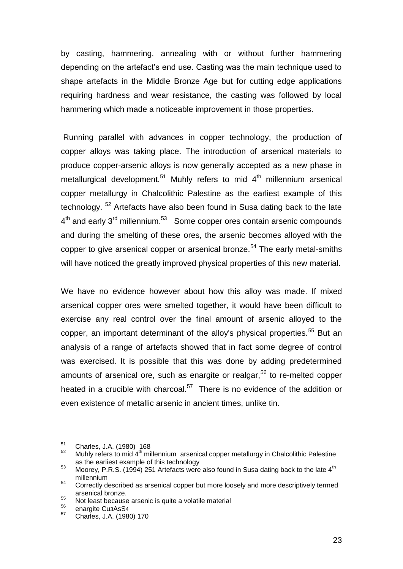by casting, hammering, annealing with or without further hammering depending on the artefact"s end use. Casting was the main technique used to shape artefacts in the Middle Bronze Age but for cutting edge applications requiring hardness and wear resistance, the casting was followed by local hammering which made a noticeable improvement in those properties.

Running parallel with advances in copper technology, the production of copper alloys was taking place. The introduction of arsenical materials to produce copper-arsenic alloys is now generally accepted as a new phase in metallurgical development.<sup>51</sup> Muhly refers to mid  $4<sup>th</sup>$  millennium arsenical copper metallurgy in Chalcolithic Palestine as the earliest example of this technology. <sup>52</sup> Artefacts have also been found in Susa dating back to the late 4<sup>th</sup> and early 3<sup>rd</sup> millennium.<sup>53</sup> Some copper ores contain arsenic compounds and during the smelting of these ores, the arsenic becomes alloyed with the copper to give arsenical copper or arsenical bronze.<sup>54</sup> The early metal-smiths will have noticed the greatly improved physical properties of this new material.

We have no evidence however about how this alloy was made. If mixed arsenical copper ores were smelted together, it would have been difficult to exercise any real control over the final amount of arsenic alloyed to the copper, an important determinant of the alloy's physical properties.<sup>55</sup> But an analysis of a range of artefacts showed that in fact some degree of control was exercised. It is possible that this was done by adding predetermined amounts of arsenical ore, such as enargite or realgar.<sup>56</sup> to re-melted copper heated in a crucible with charcoal.<sup>57</sup> There is no evidence of the addition or even existence of metallic arsenic in ancient times, unlike tin.

<sup>51</sup>  $^{51}$  Charles, J.A. (1980) 168

Muhly refers to mid  $4<sup>th</sup>$  millennium arsenical copper metallurgy in Chalcolithic Palestine as the earliest example of this technology

<sup>53</sup> Moorey, P.R.S. (1994) 251 Artefacts were also found in Susa dating back to the late  $4<sup>th</sup>$ millennium

<sup>&</sup>lt;sup>54</sup> Correctly described as arsenical copper but more loosely and more descriptively termed arsenical bronze.

<sup>55</sup> Secondary Strategier arsenic is quite a volatile material

 $^{56}$  enargite Cu3AsS<sub>4</sub>

<sup>57</sup> Charles, J.A. (1980) 170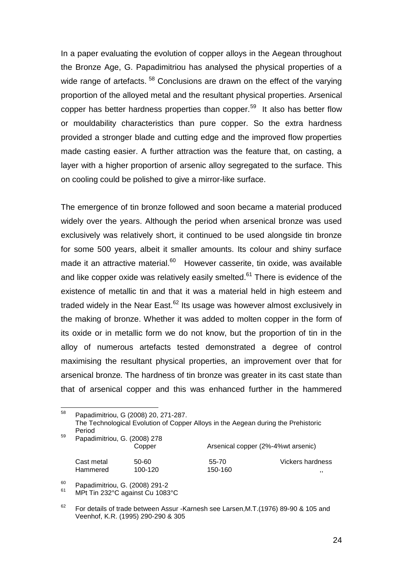In a paper evaluating the evolution of copper alloys in the Aegean throughout the Bronze Age, G. Papadimitriou has analysed the physical properties of a wide range of artefacts.<sup>58</sup> Conclusions are drawn on the effect of the varying proportion of the alloyed metal and the resultant physical properties. Arsenical copper has better hardness properties than copper.<sup>59</sup> It also has better flow or mouldability characteristics than pure copper. So the extra hardness provided a stronger blade and cutting edge and the improved flow properties made casting easier. A further attraction was the feature that, on casting, a layer with a higher proportion of arsenic alloy segregated to the surface. This on cooling could be polished to give a mirror-like surface.

The emergence of tin bronze followed and soon became a material produced widely over the years. Although the period when arsenical bronze was used exclusively was relatively short, it continued to be used alongside tin bronze for some 500 years, albeit it smaller amounts. Its colour and shiny surface made it an attractive material.<sup>60</sup> However casserite, tin oxide, was available and like copper oxide was relatively easily smelted.<sup>61</sup> There is evidence of the existence of metallic tin and that it was a material held in high esteem and traded widely in the Near East. $62$  Its usage was however almost exclusively in the making of bronze. Whether it was added to molten copper in the form of its oxide or in metallic form we do not know, but the proportion of tin in the alloy of numerous artefacts tested demonstrated a degree of control maximising the resultant physical properties, an improvement over that for arsenical bronze*.* The hardness of tin bronze was greater in its cast state than that of arsenical copper and this was enhanced further in the hammered

| 58 | Papadimitriou, G (2008) 20, 271-287.<br>The Technological Evolution of Copper Alloys in the Aegean during the Prehistoric<br>Period |                  |                                     |                               |  |  |
|----|-------------------------------------------------------------------------------------------------------------------------------------|------------------|-------------------------------------|-------------------------------|--|--|
| 59 | Papadimitriou, G. (2008) 278                                                                                                        | Copper           | Arsenical copper (2%-4% wt arsenic) |                               |  |  |
|    | Cast metal<br>Hammered                                                                                                              | 50-60<br>100-120 | 55-70<br>150-160                    | <b>Vickers hardness</b><br>,, |  |  |

<sup>60</sup> Papadimitriou, G. (2008) 291-2

<sup>61</sup> MPt Tin 232°C against Cu 1083°C

<sup>62</sup> For details of trade between Assur -Karnesh see Larsen,M.T.(1976) 89-90 & 105 and Veenhof, K.R. (1995) 290-290 & 305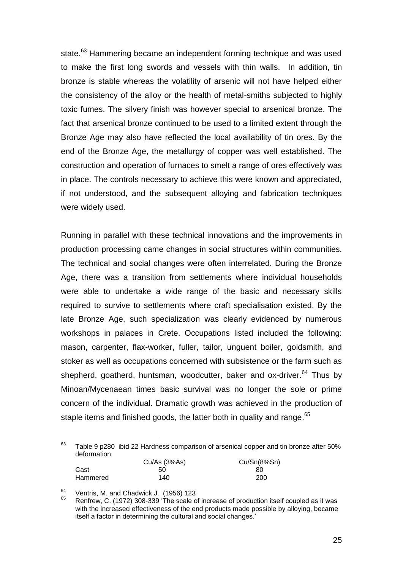state.<sup>63</sup> Hammering became an independent forming technique and was used to make the first long swords and vessels with thin walls. In addition, tin bronze is stable whereas the volatility of arsenic will not have helped either the consistency of the alloy or the health of metal-smiths subjected to highly toxic fumes. The silvery finish was however special to arsenical bronze. The fact that arsenical bronze continued to be used to a limited extent through the Bronze Age may also have reflected the local availability of tin ores. By the end of the Bronze Age, the metallurgy of copper was well established. The construction and operation of furnaces to smelt a range of ores effectively was in place. The controls necessary to achieve this were known and appreciated, if not understood, and the subsequent alloying and fabrication techniques were widely used.

Running in parallel with these technical innovations and the improvements in production processing came changes in social structures within communities. The technical and social changes were often interrelated. During the Bronze Age, there was a transition from settlements where individual households were able to undertake a wide range of the basic and necessary skills required to survive to settlements where craft specialisation existed. By the late Bronze Age, such specialization was clearly evidenced by numerous workshops in palaces in Crete. Occupations listed included the following: mason, carpenter, flax-worker, fuller, tailor, unguent boiler, goldsmith, and stoker as well as occupations concerned with subsistence or the farm such as shepherd, goatherd, huntsman, woodcutter, baker and ox-driver.<sup>64</sup> Thus by Minoan/Mycenaean times basic survival was no longer the sole or prime concern of the individual. Dramatic growth was achieved in the production of staple items and finished goods, the latter both in quality and range.<sup>65</sup>

#### $\frac{1}{63}$  Table 9 p280 ibid 22 Hardness comparison of arsenical copper and tin bronze after 50% deformation

|          | Cu/As (3%As) | Cu/Sn(8%Sn) |
|----------|--------------|-------------|
| Cast     | 50           | 80          |
| Hammered | 140          | 200         |

<sup>64</sup> Ventris, M. and Chadwick.J. (1956) 123

<sup>65</sup> Renfrew, C. (1972) 308-339 "The scale of increase of production itself coupled as it was with the increased effectiveness of the end products made possible by alloying, became itself a factor in determining the cultural and social changes."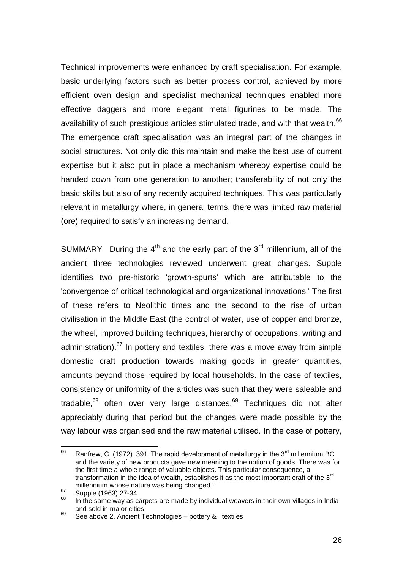Technical improvements were enhanced by craft specialisation. For example, basic underlying factors such as better process control, achieved by more efficient oven design and specialist mechanical techniques enabled more effective daggers and more elegant metal figurines to be made. The availability of such prestigious articles stimulated trade, and with that wealth.<sup>66</sup> The emergence craft specialisation was an integral part of the changes in social structures. Not only did this maintain and make the best use of current expertise but it also put in place a mechanism whereby expertise could be handed down from one generation to another; transferability of not only the basic skills but also of any recently acquired techniques. This was particularly relevant in metallurgy where, in general terms, there was limited raw material (ore) required to satisfy an increasing demand.

SUMMARY During the  $4<sup>th</sup>$  and the early part of the  $3<sup>rd</sup>$  millennium, all of the ancient three technologies reviewed underwent great changes. Supple identifies two pre-historic 'growth-spurts' which are attributable to the 'convergence of critical technological and organizational innovations.' The first of these refers to Neolithic times and the second to the rise of urban civilisation in the Middle East (the control of water, use of copper and bronze, the wheel, improved building techniques, hierarchy of occupations, writing and administration). $67$  In pottery and textiles, there was a move away from simple domestic craft production towards making goods in greater quantities, amounts beyond those required by local households. In the case of textiles, consistency or uniformity of the articles was such that they were saleable and tradable,<sup>68</sup> often over very large distances.<sup>69</sup> Techniques did not alter appreciably during that period but the changes were made possible by the way labour was organised and the raw material utilised. In the case of pottery,

<sup>66</sup> Renfrew, C. (1972) 391 'The rapid development of metallurgy in the  $3<sup>rd</sup>$  millennium BC and the variety of new products gave new meaning to the notion of goods, There was for the first time a whole range of valuable objects. This particular consequence, a transformation in the idea of wealth, establishes it as the most important craft of the 3<sup>rd</sup> millennium whose nature was being changed.'

<sup>&</sup>lt;sup>67</sup> Supple (1963) 27-34

In the same way as carpets are made by individual weavers in their own villages in India and sold in major cities

 $69$  See above 2. Ancient Technologies – pottery  $\&$  textiles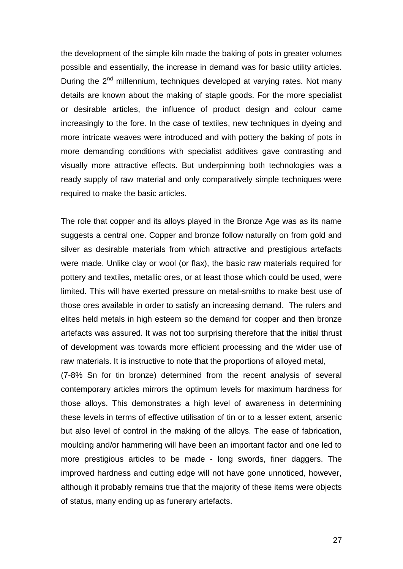the development of the simple kiln made the baking of pots in greater volumes possible and essentially, the increase in demand was for basic utility articles. During the  $2<sup>nd</sup>$  millennium, techniques developed at varying rates. Not many details are known about the making of staple goods. For the more specialist or desirable articles, the influence of product design and colour came increasingly to the fore. In the case of textiles, new techniques in dyeing and more intricate weaves were introduced and with pottery the baking of pots in more demanding conditions with specialist additives gave contrasting and visually more attractive effects. But underpinning both technologies was a ready supply of raw material and only comparatively simple techniques were required to make the basic articles.

The role that copper and its alloys played in the Bronze Age was as its name suggests a central one. Copper and bronze follow naturally on from gold and silver as desirable materials from which attractive and prestigious artefacts were made. Unlike clay or wool (or flax), the basic raw materials required for pottery and textiles, metallic ores, or at least those which could be used, were limited. This will have exerted pressure on metal-smiths to make best use of those ores available in order to satisfy an increasing demand. The rulers and elites held metals in high esteem so the demand for copper and then bronze artefacts was assured. It was not too surprising therefore that the initial thrust of development was towards more efficient processing and the wider use of raw materials. It is instructive to note that the proportions of alloyed metal,

(7-8% Sn for tin bronze) determined from the recent analysis of several contemporary articles mirrors the optimum levels for maximum hardness for those alloys. This demonstrates a high level of awareness in determining these levels in terms of effective utilisation of tin or to a lesser extent, arsenic but also level of control in the making of the alloys. The ease of fabrication, moulding and/or hammering will have been an important factor and one led to more prestigious articles to be made - long swords, finer daggers. The improved hardness and cutting edge will not have gone unnoticed, however, although it probably remains true that the majority of these items were objects of status, many ending up as funerary artefacts.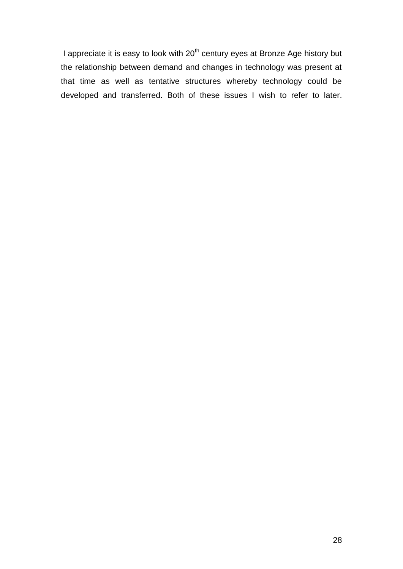I appreciate it is easy to look with 20<sup>th</sup> century eyes at Bronze Age history but the relationship between demand and changes in technology was present at that time as well as tentative structures whereby technology could be developed and transferred. Both of these issues I wish to refer to later.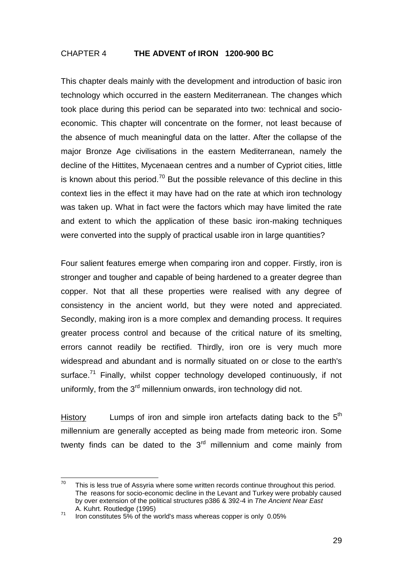## CHAPTER 4 **THE ADVENT of IRON 1200-900 BC**

This chapter deals mainly with the development and introduction of basic iron technology which occurred in the eastern Mediterranean. The changes which took place during this period can be separated into two: technical and socioeconomic. This chapter will concentrate on the former, not least because of the absence of much meaningful data on the latter. After the collapse of the major Bronze Age civilisations in the eastern Mediterranean, namely the decline of the Hittites, Mycenaean centres and a number of Cypriot cities, little is known about this period.<sup>70</sup> But the possible relevance of this decline in this context lies in the effect it may have had on the rate at which iron technology was taken up. What in fact were the factors which may have limited the rate and extent to which the application of these basic iron-making techniques were converted into the supply of practical usable iron in large quantities?

Four salient features emerge when comparing iron and copper. Firstly, iron is stronger and tougher and capable of being hardened to a greater degree than copper. Not that all these properties were realised with any degree of consistency in the ancient world, but they were noted and appreciated. Secondly, making iron is a more complex and demanding process. It requires greater process control and because of the critical nature of its smelting, errors cannot readily be rectified. Thirdly, iron ore is very much more widespread and abundant and is normally situated on or close to the earth's surface.<sup>71</sup> Finally, whilst copper technology developed continuously, if not uniformly, from the  $3<sup>rd</sup>$  millennium onwards, iron technology did not.

History **Lumps of iron and simple iron artefacts dating back to the**  $5<sup>th</sup>$ millennium are generally accepted as being made from meteoric iron. Some twenty finds can be dated to the  $3<sup>rd</sup>$  millennium and come mainly from

 $70<sup>°</sup>$ This is less true of Assyria where some written records continue throughout this period. The reasons for socio-economic decline in the Levant and Turkey were probably caused by over extension of the political structures p386 & 392-4 in *The Ancient Near East*  A. Kuhrt. Routledge (1995)

<sup>&</sup>lt;sup>71</sup> Iron constitutes 5% of the world's mass whereas copper is only 0.05%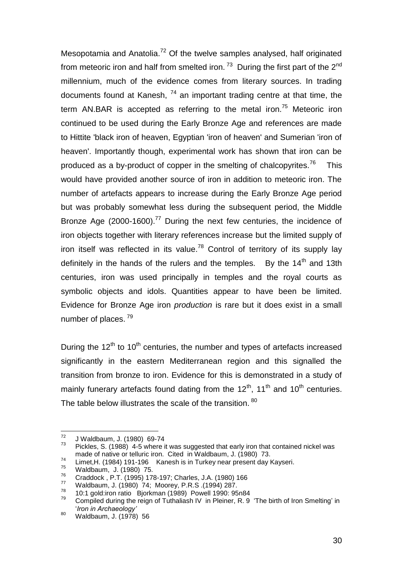Mesopotamia and Anatolia.<sup>72</sup> Of the twelve samples analysed, half originated from meteoric iron and half from smelted iron.<sup>73</sup> During the first part of the 2<sup>nd</sup> millennium, much of the evidence comes from literary sources. In trading documents found at Kanesh,  $74$  an important trading centre at that time, the term AN.BAR is accepted as referring to the metal iron.<sup>75</sup> Meteoric iron continued to be used during the Early Bronze Age and references are made to Hittite 'black iron of heaven, Egyptian 'iron of heaven' and Sumerian 'iron of heaven'. Importantly though, experimental work has shown that iron can be produced as a by-product of copper in the smelting of chalcopyrites.<sup>76</sup> This would have provided another source of iron in addition to meteoric iron. The number of artefacts appears to increase during the Early Bronze Age period but was probably somewhat less during the subsequent period, the Middle Bronze Age (2000-1600).<sup>77</sup> During the next few centuries, the incidence of iron objects together with literary references increase but the limited supply of iron itself was reflected in its value.<sup>78</sup> Control of territory of its supply lay definitely in the hands of the rulers and the temples. By the  $14<sup>th</sup>$  and  $13th$ centuries, iron was used principally in temples and the royal courts as symbolic objects and idols. Quantities appear to have been be limited. Evidence for Bronze Age iron *production* is rare but it does exist in a small number of places.<sup>79</sup>

During the  $12<sup>th</sup>$  to  $10<sup>th</sup>$  centuries, the number and types of artefacts increased significantly in the eastern Mediterranean region and this signalled the transition from bronze to iron. Evidence for this is demonstrated in a study of mainly funerary artefacts found dating from the  $12<sup>th</sup>$ , 11<sup>th</sup> and 10<sup>th</sup> centuries. The table below illustrates the scale of the transition. 80

<sup>72</sup>  $\frac{72}{73}$  J Waldbaum, J. (1980) 69-74

Pickles, S. (1988) 4-5 where it was suggested that early iron that contained nickel was made of native or telluric iron. Cited in Waldbaum, J. (1980) 73.

<sup>74</sup> Limet,H. (1984) 191-196 Kanesh is in Turkey near present day Kayseri.

 $^{75}$  Waldbaum, J. (1980) 75.

<sup>76</sup> Craddock , P.T. (1995) 178-197; Charles, J.A. (1980) 166

<sup>77</sup> Waldbaum, J. (1980) 74; Moorey, P.R.S .(1994) 287. 78

 <sup>10:1</sup> gold:iron ratio Bjorkman (1989) Powell 1990: 95n84

<sup>79</sup> Compiled during the reign of Tuthaliash IV in Pleiner, R. 9 "The birth of Iron Smelting" in "*Iron in Archaeology'*

<sup>80</sup> Waldbaum, J. (1978) 56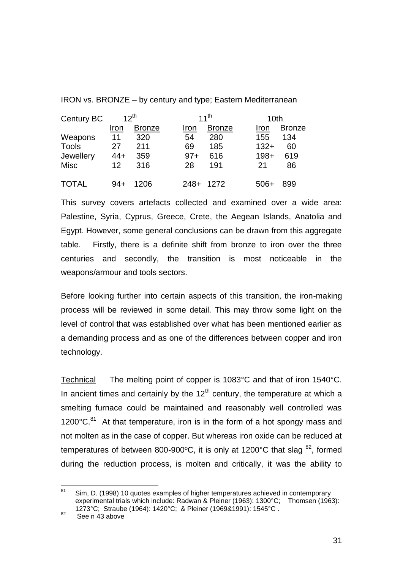IRON vs. BRONZE – by century and type; Eastern Mediterranean

| Century BC   | $12^{th}$ |               | $11^{th}$ |               |        | 10th          |  |
|--------------|-----------|---------------|-----------|---------------|--------|---------------|--|
|              | Iron      | <b>Bronze</b> | Iron      | <b>Bronze</b> | Iron   | <b>Bronze</b> |  |
| Weapons      | 11        | 320           | 54        | 280           | 155    | 134           |  |
| <b>Tools</b> | 27        | 211           | 69        | 185           | $132+$ | 60            |  |
| Jewellery    | 44+       | 359           | $97 +$    | 616           | $198+$ | 619           |  |
| Misc         | 12        | 316           | 28        | 191           | 21     | 86            |  |
| <b>TOTAL</b> | 94+       | 1206          | $248+$    | 1272          | 506+   | 899           |  |

This survey covers artefacts collected and examined over a wide area: Palestine, Syria, Cyprus, Greece, Crete, the Aegean Islands, Anatolia and Egypt. However, some general conclusions can be drawn from this aggregate table. Firstly, there is a definite shift from bronze to iron over the three centuries and secondly, the transition is most noticeable in the weapons/armour and tools sectors.

Before looking further into certain aspects of this transition, the iron-making process will be reviewed in some detail. This may throw some light on the level of control that was established over what has been mentioned earlier as a demanding process and as one of the differences between copper and iron technology.

Technical The melting point of copper is 1083°C and that of iron 1540°C. In ancient times and certainly by the  $12<sup>th</sup>$  century, the temperature at which a smelting furnace could be maintained and reasonably well controlled was 1200 $^{\circ}$ C.<sup>81</sup> At that temperature, iron is in the form of a hot spongy mass and not molten as in the case of copper. But whereas iron oxide can be reduced at temperatures of between 800-900 $\degree$ C, it is only at 1200 $\degree$ C that slag  $^{82}$ , formed during the reduction process, is molten and critically, it was the ability to

 $81$ <sup>81</sup> Sim, D. (1998) 10 quotes examples of higher temperatures achieved in contemporary experimental trials which include: Radwan & Pleiner (1963): 1300°C; Thomsen (1963): 1273°C; Straube (1964): 1420°C; & Pleiner (1969&1991): 1545°C .

<sup>82</sup> See n 43 above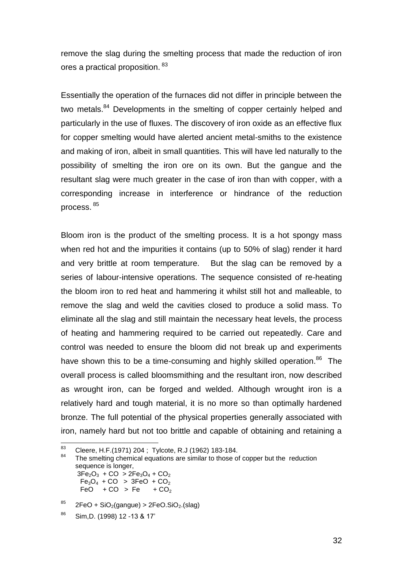remove the slag during the smelting process that made the reduction of iron ores a practical proposition. <sup>83</sup>

Essentially the operation of the furnaces did not differ in principle between the two metals.<sup>84</sup> Developments in the smelting of copper certainly helped and particularly in the use of fluxes. The discovery of iron oxide as an effective flux for copper smelting would have alerted ancient metal-smiths to the existence and making of iron, albeit in small quantities. This will have led naturally to the possibility of smelting the iron ore on its own. But the gangue and the resultant slag were much greater in the case of iron than with copper, with a corresponding increase in interference or hindrance of the reduction process. <sup>85</sup>

Bloom iron is the product of the smelting process. It is a hot spongy mass when red hot and the impurities it contains (up to 50% of slag) render it hard and very brittle at room temperature. But the slag can be removed by a series of labour-intensive operations. The sequence consisted of re-heating the bloom iron to red heat and hammering it whilst still hot and malleable, to remove the slag and weld the cavities closed to produce a solid mass. To eliminate all the slag and still maintain the necessary heat levels, the process of heating and hammering required to be carried out repeatedly. Care and control was needed to ensure the bloom did not break up and experiments have shown this to be a time-consuming and highly skilled operation.<sup>86</sup> The overall process is called bloomsmithing and the resultant iron, now described as wrought iron, can be forged and welded. Although wrought iron is a relatively hard and tough material, it is no more so than optimally hardened bronze. The full potential of the physical properties generally associated with iron, namely hard but not too brittle and capable of obtaining and retaining a

<sup>83</sup> Cleere, H.F.(1971) 204 ; Tylcote, R.J (1962) 183-184.

The smelting chemical equations are similar to those of copper but the reduction sequence is longer.  $3Fe<sub>2</sub>O<sub>3</sub> + CO > 2Fe<sub>3</sub>O<sub>4</sub> + CO<sub>2</sub>$ 

 $Fe_3O_4 + CO > 3FeO + CO_2$ <br>FeO + CO > Fe + CO<sub>2</sub>  $FeO + CO > Fe$ 

 $85$  2FeO + SiO<sub>2</sub>(gangue) > 2FeO.SiO<sub>2</sub>.(slag)

<sup>86</sup> Sim,D. (1998) 12 -13 & 17"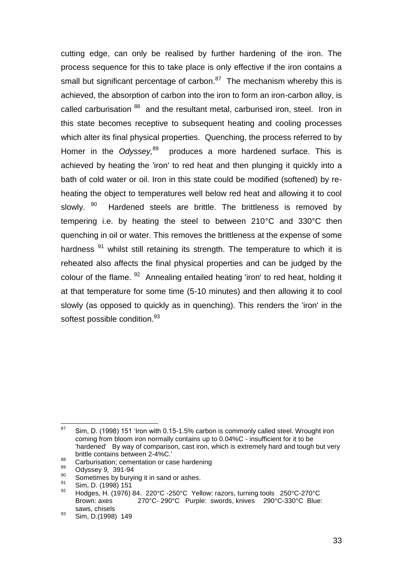cutting edge, can only be realised by further hardening of the iron. The process sequence for this to take place is only effective if the iron contains a small but significant percentage of carbon. $87$  The mechanism whereby this is achieved, the absorption of carbon into the iron to form an iron-carbon alloy, is called carburisation <sup>88</sup> and the resultant metal, carburised iron, steel. Iron in this state becomes receptive to subsequent heating and cooling processes which alter its final physical properties. Quenching, the process referred to by Homer in the *Odyssey*,<sup>89</sup> produces a more hardened surface. This is achieved by heating the 'iron' to red heat and then plunging it quickly into a bath of cold water or oil. Iron in this state could be modified (softened) by reheating the object to temperatures well below red heat and allowing it to cool slowly. 90 Hardened steels are brittle. The brittleness is removed by tempering i.e. by heating the steel to between 210°C and 330°C then quenching in oil or water. This removes the brittleness at the expense of some hardness<sup>91</sup> whilst still retaining its strength. The temperature to which it is reheated also affects the final physical properties and can be judged by the colour of the flame. <sup>92</sup> Annealing entailed heating 'iron' to red heat, holding it at that temperature for some time (5-10 minutes) and then allowing it to cool slowly (as opposed to quickly as in quenching). This renders the 'iron' in the softest possible condition.<sup>93</sup>

<sup>93</sup> Sim, D.(1998) 149

<sup>87</sup> Sim, D. (1998) 151 'Iron with 0.15-1.5% carbon is commonly called steel. Wrought iron coming from bloom iron normally contains up to 0.04%C - insufficient for it to be 'hardened' By way of comparison, cast iron, which is extremely hard and tough but very brittle contains between 2-4%C."

<sup>88</sup> <sup>88</sup> Carburisation; cementation or case hardening

<sup>89</sup> Odyssey *9,* 391-94

<sup>&</sup>lt;sup>90</sup> Sometimes by burying it in sand or ashes.

 $\frac{91}{92}$  Sim, D. (1998) 151

Hodges, H. (1976) 84. 220°C -250°C Yellow: razors, turning tools 250°C-270°C Brown: axes 270°C- 290°C Purple: swords, knives 290°C-330°C Blue: saws, chisels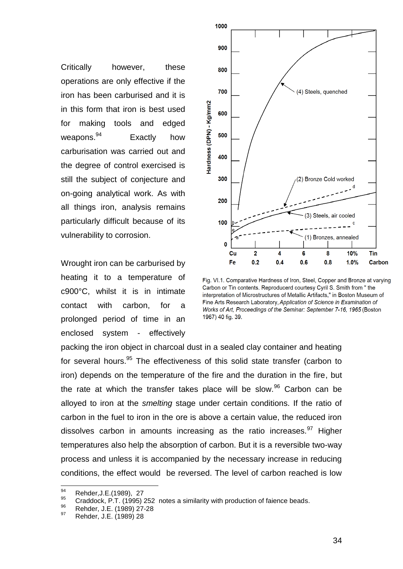Critically however, these operations are only effective if the iron has been carburised and it is in this form that iron is best used for making tools and edged weapons.<sup>94</sup> Exactly how carburisation was carried out and the degree of control exercised is still the subject of conjecture and on-going analytical work. As with all things iron, analysis remains particularly difficult because of its vulnerability to corrosion.

Wrought iron can be carburised by heating it to a temperature of c900°C, whilst it is in intimate contact with carbon, for a prolonged period of time in an enclosed system - effectively



Fig. VI.1. Comparative Hardness of Iron, Steel, Copper and Bronze at varying Carbon or Tin contents. Reproducerd courtesy Cyril S. Smith from " the interpretation of Microstructures of Metallic Artifacts." in Boston Museum of Fine Arts Research Laboratory, Application of Science in Examination of Works of Art. Proceedings of the Seminar: September 7-16, 1965 (Boston) 1967) 40 fig. 39.

packing the iron object in charcoal dust in a sealed clay container and heating for several hours.<sup>95</sup> The effectiveness of this solid state transfer (carbon to iron) depends on the temperature of the fire and the duration in the fire, but the rate at which the transfer takes place will be slow.<sup>96</sup> Carbon can be alloyed to iron at the *smelting* stage under certain conditions. If the ratio of carbon in the fuel to iron in the ore is above a certain value, the reduced iron dissolves carbon in amounts increasing as the ratio increases.  $97$  Higher temperatures also help the absorption of carbon. But it is a reversible two-way process and unless it is accompanied by the necessary increase in reducing conditions, the effect would be reversed. The level of carbon reached is low

<sup>94</sup>  $^{94}$  Rehder, J.E. (1989), 27

<sup>&</sup>lt;sup>95</sup> Craddock, P.T. (1995) 252 notes a similarity with production of faience beads.<br><sup>96</sup> Bohder, J.E. (1989) 27.28

 $^{96}$  Rehder, J.E. (1989) 27-28

<sup>97</sup> Rehder, J.E. (1989) 28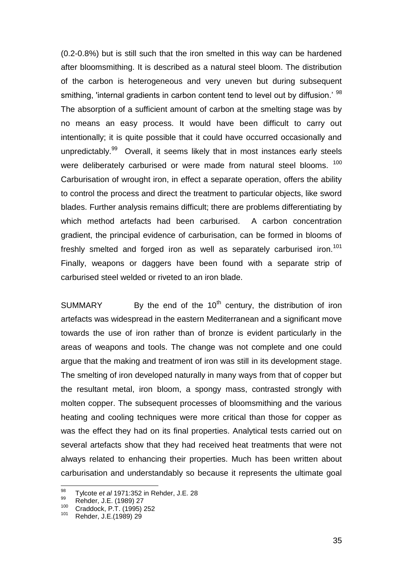(0.2-0.8%) but is still such that the iron smelted in this way can be hardened after bloomsmithing. It is described as a natural steel bloom. The distribution of the carbon is heterogeneous and very uneven but during subsequent smithing, 'internal gradients in carbon content tend to level out by diffusion.' <sup>98</sup> The absorption of a sufficient amount of carbon at the smelting stage was by no means an easy process. It would have been difficult to carry out intentionally; it is quite possible that it could have occurred occasionally and unpredictably.<sup>99</sup> Overall, it seems likely that in most instances early steels were deliberately carburised or were made from natural steel blooms. <sup>100</sup> Carburisation of wrought iron, in effect a separate operation, offers the ability to control the process and direct the treatment to particular objects, like sword blades. Further analysis remains difficult; there are problems differentiating by which method artefacts had been carburised. A carbon concentration gradient, the principal evidence of carburisation, can be formed in blooms of freshly smelted and forged iron as well as separately carburised iron.<sup>101</sup> Finally, weapons or daggers have been found with a separate strip of carburised steel welded or riveted to an iron blade.

SUMMARY By the end of the  $10<sup>th</sup>$  century, the distribution of iron artefacts was widespread in the eastern Mediterranean and a significant move towards the use of iron rather than of bronze is evident particularly in the areas of weapons and tools. The change was not complete and one could argue that the making and treatment of iron was still in its development stage. The smelting of iron developed naturally in many ways from that of copper but the resultant metal, iron bloom, a spongy mass, contrasted strongly with molten copper. The subsequent processes of bloomsmithing and the various heating and cooling techniques were more critical than those for copper as was the effect they had on its final properties. Analytical tests carried out on several artefacts show that they had received heat treatments that were not always related to enhancing their properties. Much has been written about carburisation and understandably so because it represents the ultimate goal

<sup>98</sup> <sup>98</sup> Tylcote *et al* 1971:352 in Rehder, J.E. 28

 $^{99}$  Rehder, J.E. (1989) 27

 $^{100}$  Craddock, P.T. (1995) 252

Rehder, J.E.(1989) 29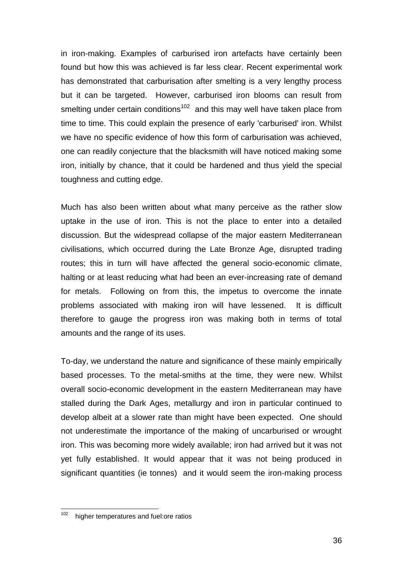in iron-making. Examples of carburised iron artefacts have certainly been found but how this was achieved is far less clear. Recent experimental work has demonstrated that carburisation after smelting is a very lengthy process but it can be targeted. However, carburised iron blooms can result from smelting under certain conditions<sup>102</sup> and this may well have taken place from time to time. This could explain the presence of early 'carburised' iron. Whilst we have no specific evidence of how this form of carburisation was achieved, one can readily conjecture that the blacksmith will have noticed making some iron, initially by chance, that it could be hardened and thus yield the special toughness and cutting edge.

Much has also been written about what many perceive as the rather slow uptake in the use of iron. This is not the place to enter into a detailed discussion. But the widespread collapse of the major eastern Mediterranean civilisations, which occurred during the Late Bronze Age, disrupted trading routes; this in turn will have affected the general socio-economic climate, halting or at least reducing what had been an ever-increasing rate of demand for metals. Following on from this, the impetus to overcome the innate problems associated with making iron will have lessened. It is difficult therefore to gauge the progress iron was making both in terms of total amounts and the range of its uses.

To-day, we understand the nature and significance of these mainly empirically based processes. To the metal-smiths at the time, they were new. Whilst overall socio-economic development in the eastern Mediterranean may have stalled during the Dark Ages, metallurgy and iron in particular continued to develop albeit at a slower rate than might have been expected. One should not underestimate the importance of the making of uncarburised or wrought iron. This was becoming more widely available; iron had arrived but it was not yet fully established. It would appear that it was not being produced in significant quantities (ie tonnes) and it would seem the iron-making process

<sup>102</sup> higher temperatures and fuel: ore ratios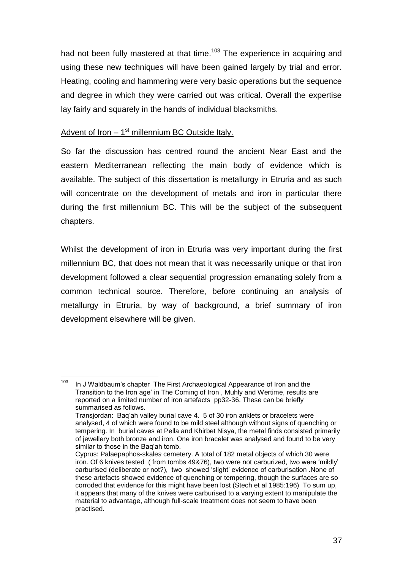had not been fully mastered at that time.<sup>103</sup> The experience in acquiring and using these new techniques will have been gained largely by trial and error. Heating, cooling and hammering were very basic operations but the sequence and degree in which they were carried out was critical. Overall the expertise lay fairly and squarely in the hands of individual blacksmiths.

## Advent of Iron - 1<sup>st</sup> millennium BC Outside Italy.

So far the discussion has centred round the ancient Near East and the eastern Mediterranean reflecting the main body of evidence which is available. The subject of this dissertation is metallurgy in Etruria and as such will concentrate on the development of metals and iron in particular there during the first millennium BC. This will be the subject of the subsequent chapters.

Whilst the development of iron in Etruria was very important during the first millennium BC, that does not mean that it was necessarily unique or that iron development followed a clear sequential progression emanating solely from a common technical source. Therefore, before continuing an analysis of metallurgy in Etruria, by way of background, a brief summary of iron development elsewhere will be given.

<sup>103</sup> In J Waldbaum's chapter The First Archaeological Appearance of Iron and the Transition to the Iron age" in The Coming of Iron , Muhly and Wertime, results are reported on a limited number of iron artefacts pp32-36. These can be briefly summarised as follows.

Transjordan: Baq"ah valley burial cave 4. 5 of 30 iron anklets or bracelets were analysed, 4 of which were found to be mild steel although without signs of quenching or tempering. In burial caves at Pella and Khirbet Nisya, the metal finds consisted primarily of jewellery both bronze and iron. One iron bracelet was analysed and found to be very similar to those in the Baq'ah tomb.

Cyprus: Palaepaphos-skale*s* cemetery. A total of 182 metal objects of which 30 were iron. Of 6 knives tested ( from tombs 49&76), two were not carburized, two were "mildly" carburised (deliberate or not?), two showed "slight" evidence of carburisation .None of these artefacts showed evidence of quenching or tempering, though the surfaces are so corroded that evidence for this might have been lost (Stech et al 1985:196) To sum up, it appears that many of the knives were carburised to a varying extent to manipulate the material to advantage, although full-scale treatment does not seem to have been practised.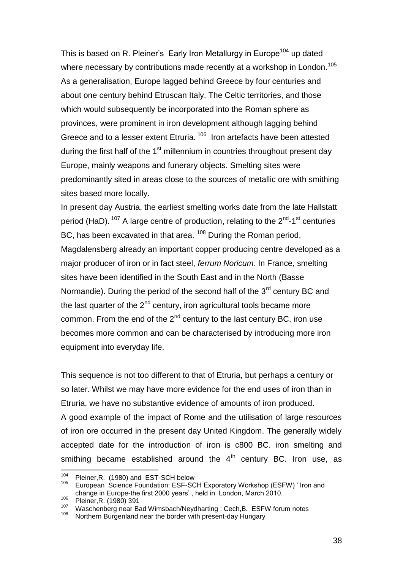This is based on R. Pleiner's Early Iron Metallurgy in Europe<sup>104</sup> up dated where necessary by contributions made recently at a workshop in London.<sup>105</sup> As a generalisation, Europe lagged behind Greece by four centuries and about one century behind Etruscan Italy. The Celtic territories, and those which would subsequently be incorporated into the Roman sphere as provinces, were prominent in iron development although lagging behind Greece and to a lesser extent Etruria.<sup>106</sup> Iron artefacts have been attested during the first half of the  $1<sup>st</sup>$  millennium in countries throughout present day Europe, mainly weapons and funerary objects. Smelting sites were predominantly sited in areas close to the sources of metallic ore with smithing sites based more locally.

In present day Austria, the earliest smelting works date from the late Hallstatt period (HaD).  $107$  A large centre of production, relating to the 2<sup>nd</sup>-1<sup>st</sup> centuries BC, has been excavated in that area. <sup>108</sup> During the Roman period, Magdalensberg already an important copper producing centre developed as a major producer of iron or in fact steel, *ferrum Noricum.* In France, smelting sites have been identified in the South East and in the North (Basse Normandie). During the period of the second half of the  $3<sup>rd</sup>$  century BC and the last quarter of the  $2<sup>nd</sup>$  century, iron agricultural tools became more common. From the end of the  $2<sup>nd</sup>$  century to the last century BC, iron use becomes more common and can be characterised by introducing more iron equipment into everyday life.

This sequence is not too different to that of Etruria, but perhaps a century or so later. Whilst we may have more evidence for the end uses of iron than in Etruria, we have no substantive evidence of amounts of iron produced. A good example of the impact of Rome and the utilisation of large resources of iron ore occurred in the present day United Kingdom. The generally widely accepted date for the introduction of iron is c800 BC. iron smelting and smithing became established around the  $4<sup>th</sup>$  century BC. Iron use, as

<sup>104</sup>  $^{104}$  Pleiner, R. (1980) and EST-SCH below<br> $^{105}$  European, Science Equadrian: ESE SC

European Science Foundation: ESF-SCH Exporatory Workshop (ESFW) ' Iron and change in Europe-the first 2000 years" , held in London, March 2010.

<sup>106</sup> Pleiner, R. (1980) 391

 $107$  Waschenberg near Bad Wimsbach/Neydharting : Cech, B. ESFW forum notes

Northern Burgenland near the border with present-day Hungary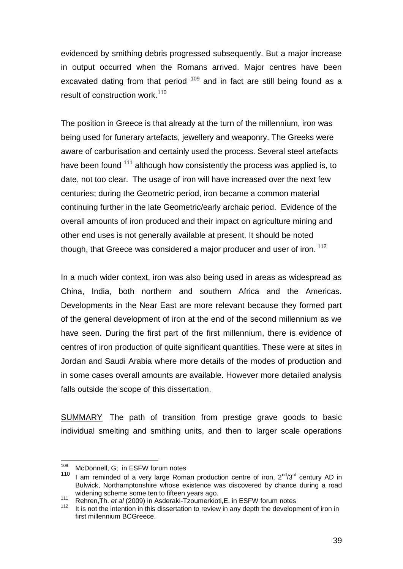evidenced by smithing debris progressed subsequently. But a major increase in output occurred when the Romans arrived. Major centres have been excavated dating from that period <sup>109</sup> and in fact are still being found as a result of construction work.<sup>110</sup>

The position in Greece is that already at the turn of the millennium, iron was being used for funerary artefacts, jewellery and weaponry. The Greeks were aware of carburisation and certainly used the process. Several steel artefacts have been found <sup>111</sup> although how consistently the process was applied is, to date, not too clear. The usage of iron will have increased over the next few centuries; during the Geometric period, iron became a common material continuing further in the late Geometric/early archaic period. Evidence of the overall amounts of iron produced and their impact on agriculture mining and other end uses is not generally available at present. It should be noted though, that Greece was considered a major producer and user of iron.<sup>112</sup>

In a much wider context, iron was also being used in areas as widespread as China, India, both northern and southern Africa and the Americas. Developments in the Near East are more relevant because they formed part of the general development of iron at the end of the second millennium as we have seen. During the first part of the first millennium, there is evidence of centres of iron production of quite significant quantities. These were at sites in Jordan and Saudi Arabia where more details of the modes of production and in some cases overall amounts are available. However more detailed analysis falls outside the scope of this dissertation.

SUMMARY The path of transition from prestige grave goods to basic individual smelting and smithing units, and then to larger scale operations

<sup>109</sup>  $109$  McDonnell, G; in ESFW forum notes  $110$  Lem reminded of a vary large Bome

<sup>1</sup> am reminded of a very large Roman production centre of iron,  $2^{nd}/3^{rd}$  century AD in Bulwick, Northamptonshire whose existence was discovered by chance during a road widening scheme some ten to fifteen years ago.

<sup>111</sup> Rehren,Th. *et al* (2009) in Asderaki-Tzoumerkioti,E. in ESFW forum notes

<sup>112</sup> It is not the intention in this dissertation to review in any depth the development of iron in first millennium BCGreece.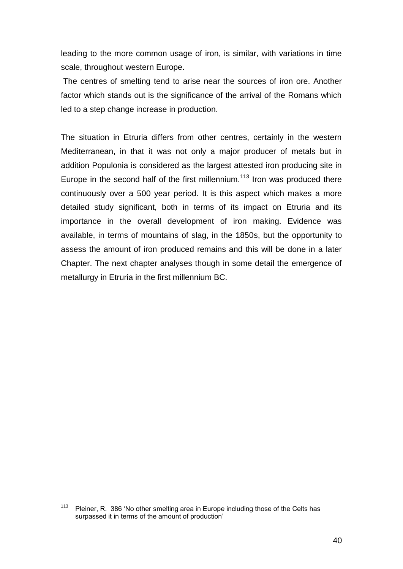leading to the more common usage of iron, is similar, with variations in time scale, throughout western Europe.

The centres of smelting tend to arise near the sources of iron ore. Another factor which stands out is the significance of the arrival of the Romans which led to a step change increase in production.

The situation in Etruria differs from other centres, certainly in the western Mediterranean, in that it was not only a major producer of metals but in addition Populonia is considered as the largest attested iron producing site in Europe in the second half of the first millennium.<sup>113</sup> Iron was produced there continuously over a 500 year period. It is this aspect which makes a more detailed study significant, both in terms of its impact on Etruria and its importance in the overall development of iron making. Evidence was available, in terms of mountains of slag, in the 1850s, but the opportunity to assess the amount of iron produced remains and this will be done in a later Chapter. The next chapter analyses though in some detail the emergence of metallurgy in Etruria in the first millennium BC.

<sup>113</sup> Pleiner, R. 386 'No other smelting area in Europe including those of the Celts has surpassed it in terms of the amount of production'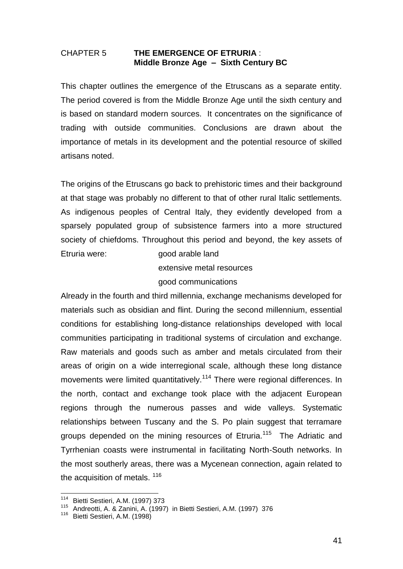### CHAPTER 5 **THE EMERGENCE OF ETRURIA** : **Middle Bronze Age – Sixth Century BC**

This chapter outlines the emergence of the Etruscans as a separate entity. The period covered is from the Middle Bronze Age until the sixth century and is based on standard modern sources. It concentrates on the significance of trading with outside communities. Conclusions are drawn about the importance of metals in its development and the potential resource of skilled artisans noted.

The origins of the Etruscans go back to prehistoric times and their background at that stage was probably no different to that of other rural Italic settlements. As indigenous peoples of Central Italy, they evidently developed from a sparsely populated group of subsistence farmers into a more structured society of chiefdoms. Throughout this period and beyond, the key assets of Etruria were: good arable land

> extensive metal resources good communications

Already in the fourth and third millennia, exchange mechanisms developed for materials such as obsidian and flint. During the second millennium, essential conditions for establishing long-distance relationships developed with local communities participating in traditional systems of circulation and exchange. Raw materials and goods such as amber and metals circulated from their areas of origin on a wide interregional scale, although these long distance movements were limited quantitatively.<sup>114</sup> There were regional differences. In the north, contact and exchange took place with the adjacent European regions through the numerous passes and wide valleys. Systematic relationships between Tuscany and the S. Po plain suggest that terramare groups depended on the mining resources of Etruria.<sup>115</sup> The Adriatic and Tyrrhenian coasts were instrumental in facilitating North-South networks. In the most southerly areas, there was a Mycenean connection, again related to the acquisition of metals.<sup>116</sup>

<sup>114</sup> Bietti Sestieri, A.M. (1997) 373

<sup>115</sup> Andreotti, A. & Zanini, A. (1997) in Bietti Sestieri, A.M. (1997) 376

<sup>116</sup> Bietti Sestieri, A.M. (1998)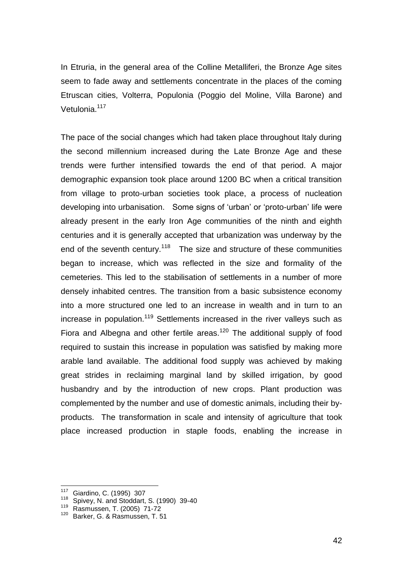In Etruria, in the general area of the Colline Metalliferi, the Bronze Age sites seem to fade away and settlements concentrate in the places of the coming Etruscan cities, Volterra, Populonia (Poggio del Moline, Villa Barone) and Vetulonia.<sup>117</sup>

The pace of the social changes which had taken place throughout Italy during the second millennium increased during the Late Bronze Age and these trends were further intensified towards the end of that period. A major demographic expansion took place around 1200 BC when a critical transition from village to proto-urban societies took place, a process of nucleation developing into urbanisation. Some signs of "urban" or "proto-urban" life were already present in the early Iron Age communities of the ninth and eighth centuries and it is generally accepted that urbanization was underway by the end of the seventh century.<sup>118</sup> The size and structure of these communities began to increase, which was reflected in the size and formality of the cemeteries. This led to the stabilisation of settlements in a number of more densely inhabited centres. The transition from a basic subsistence economy into a more structured one led to an increase in wealth and in turn to an increase in population.<sup>119</sup> Settlements increased in the river valleys such as Fiora and Albegna and other fertile areas.<sup>120</sup> The additional supply of food required to sustain this increase in population was satisfied by making more arable land available. The additional food supply was achieved by making great strides in reclaiming marginal land by skilled irrigation, by good husbandry and by the introduction of new crops. Plant production was complemented by the number and use of domestic animals, including their byproducts. The transformation in scale and intensity of agriculture that took place increased production in staple foods, enabling the increase in

<sup>117</sup> Giardino, C. (1995) 307

<sup>&</sup>lt;sup>118</sup> Spivey, N. and Stoddart, S. (1990) 39-40

Rasmussen, T. (2005) 71-72

<sup>120</sup> Barker, G. & Rasmussen, T. 51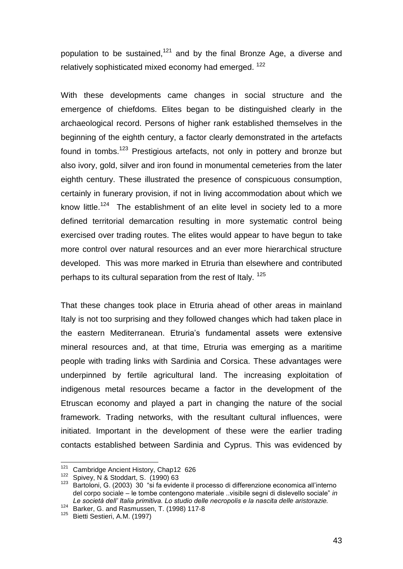population to be sustained,<sup>121</sup> and by the final Bronze Age, a diverse and relatively sophisticated mixed economy had emerged. <sup>122</sup>

With these developments came changes in social structure and the emergence of chiefdoms. Elites began to be distinguished clearly in the archaeological record. Persons of higher rank established themselves in the beginning of the eighth century, a factor clearly demonstrated in the artefacts found in tombs.<sup>123</sup> Prestigious artefacts, not only in pottery and bronze but also ivory, gold, silver and iron found in monumental cemeteries from the later eighth century. These illustrated the presence of conspicuous consumption, certainly in funerary provision, if not in living accommodation about which we know little.<sup>124</sup> The establishment of an elite level in society led to a more defined territorial demarcation resulting in more systematic control being exercised over trading routes. The elites would appear to have begun to take more control over natural resources and an ever more hierarchical structure developed. This was more marked in Etruria than elsewhere and contributed perhaps to its cultural separation from the rest of Italy. <sup>125</sup>

That these changes took place in Etruria ahead of other areas in mainland Italy is not too surprising and they followed changes which had taken place in the eastern Mediterranean. Etruria"s fundamental assets were extensive mineral resources and, at that time, Etruria was emerging as a maritime people with trading links with Sardinia and Corsica. These advantages were underpinned by fertile agricultural land. The increasing exploitation of indigenous metal resources became a factor in the development of the Etruscan economy and played a part in changing the nature of the social framework. Trading networks, with the resultant cultural influences, were initiated. Important in the development of these were the earlier trading contacts established between Sardinia and Cyprus. This was evidenced by

<sup>121</sup> Cambridge Ancient History, Chap12 626

 $\frac{122}{123}$  Spivey, N & Stoddart, S. (1990) 63

Bartoloni, G. (2003) 30 "si fa evidente il processo di differenzione economica all'interno del corpo sociale – le tombe contengono materiale ..visibile segni di dislevello sociale" *in Le società dell' Italia primitiva. Lo studio delle necropolis e la nascita delle aristorazie.* 

<sup>124</sup> Le Società dell'Italia primitivale de Charles 117-8<br>124 Barker, G. and Rasmussen, T. (1998) 117-8

<sup>125</sup> Bietti Sestieri, A.M. (1997)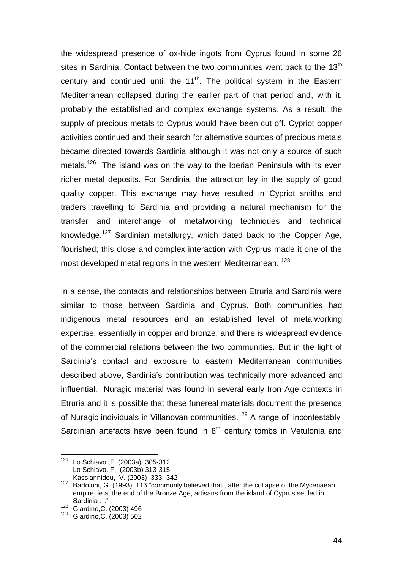the widespread presence of ox-hide ingots from Cyprus found in some 26 sites in Sardinia. Contact between the two communities went back to the  $13<sup>th</sup>$ century and continued until the 11<sup>th</sup>. The political system in the Eastern Mediterranean collapsed during the earlier part of that period and, with it, probably the established and complex exchange systems. As a result, the supply of precious metals to Cyprus would have been cut off. Cypriot copper activities continued and their search for alternative sources of precious metals became directed towards Sardinia although it was not only a source of such metals.<sup>126</sup> The island was on the way to the Iberian Peninsula with its even richer metal deposits. For Sardinia, the attraction lay in the supply of good quality copper. This exchange may have resulted in Cypriot smiths and traders travelling to Sardinia and providing a natural mechanism for the transfer and interchange of metalworking techniques and technical knowledge.<sup>127</sup> Sardinian metallurgy, which dated back to the Copper Age, flourished; this close and complex interaction with Cyprus made it one of the most developed metal regions in the western Mediterranean.<sup>128</sup>

In a sense, the contacts and relationships between Etruria and Sardinia were similar to those between Sardinia and Cyprus. Both communities had indigenous metal resources and an established level of metalworking expertise, essentially in copper and bronze, and there is widespread evidence of the commercial relations between the two communities. But in the light of Sardinia's contact and exposure to eastern Mediterranean communities described above, Sardinia"s contribution was technically more advanced and influential. Nuragic material was found in several early Iron Age contexts in Etruria and it is possible that these funereal materials document the presence of Nuragic individuals in Villanovan communities.<sup>129</sup> A range of 'incontestably' Sardinian artefacts have been found in  $8<sup>th</sup>$  century tombs in Vetulonia and

<sup>126</sup> Lo Schiavo ,F. (2003a) 305-312 Lo Schiavo, F. (2003b) 313-315

**Kassiannidou, V. (2003) 333-342**<br><sup>127</sup> Barteloni G. (1003) 113 "commonl Bartoloni, G. (1993) 113 "commonly believed that , after the collapse of the Mycenaean empire, ie at the end of the Bronze Age, artisans from the island of Cyprus settled in Sardinia …"

<sup>&</sup>lt;sup>128</sup> Giardino, C. (2003) 496

<sup>129</sup> Giardino,C. (2003) 502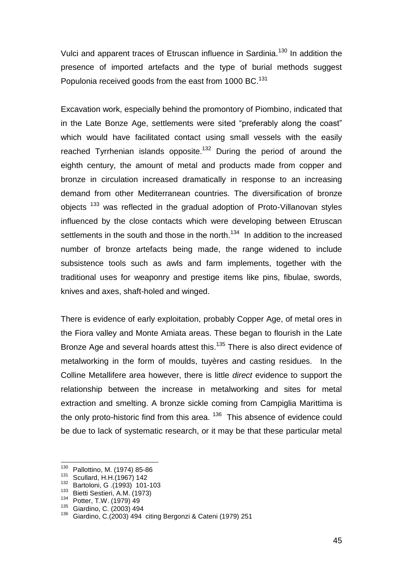Vulci and apparent traces of Etruscan influence in Sardinia.<sup>130</sup> In addition the presence of imported artefacts and the type of burial methods suggest Populonia received goods from the east from 1000 BC.<sup>131</sup>

Excavation work, especially behind the promontory of Piombino, indicated that in the Late Bonze Age, settlements were sited "preferably along the coast" which would have facilitated contact using small vessels with the easily reached Tyrrhenian islands opposite.<sup>132</sup> During the period of around the eighth century, the amount of metal and products made from copper and bronze in circulation increased dramatically in response to an increasing demand from other Mediterranean countries. The diversification of bronze objects<sup>133</sup> was reflected in the gradual adoption of Proto-Villanovan styles influenced by the close contacts which were developing between Etruscan settlements in the south and those in the north.<sup>134</sup> In addition to the increased number of bronze artefacts being made, the range widened to include subsistence tools such as awls and farm implements, together with the traditional uses for weaponry and prestige items like pins, fibulae, swords, knives and axes, shaft-holed and winged.

There is evidence of early exploitation, probably Copper Age, of metal ores in the Fiora valley and Monte Amiata areas. These began to flourish in the Late Bronze Age and several hoards attest this.<sup>135</sup> There is also direct evidence of metalworking in the form of moulds, tuyères and casting residues. In the Colline Metallifere area however, there is little *direct* evidence to support the relationship between the increase in metalworking and sites for metal extraction and smelting. A bronze sickle coming from Campiglia Marittima is the only proto-historic find from this area. <sup>136</sup> This absence of evidence could be due to lack of systematic research, or it may be that these particular metal

<sup>130</sup> Pallottino, M. (1974) 85-86

 $^{131}$  Scullard, H.H.(1967) 142

<sup>132</sup> Bartoloni, G .(1993) 101-103

<sup>&</sup>lt;sup>133</sup> Bietti Sestieri, A.M. (1973)

<sup>134</sup> Potter, T.W. (1979) 49

<sup>135</sup> Giardino, C. (2003) 494

<sup>136</sup> Giardino, C.(2003) 494 citing Bergonzi & Cateni (1979) 251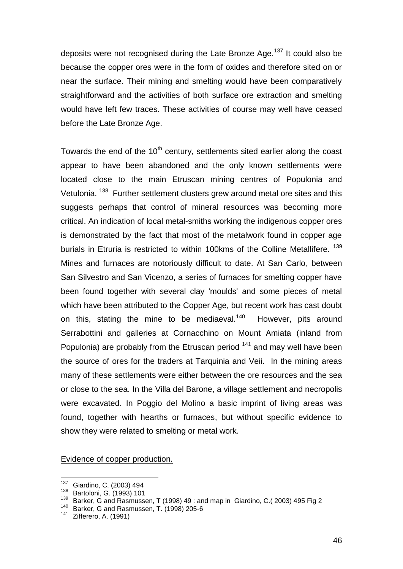deposits were not recognised during the Late Bronze Age.<sup>137</sup> It could also be because the copper ores were in the form of oxides and therefore sited on or near the surface. Their mining and smelting would have been comparatively straightforward and the activities of both surface ore extraction and smelting would have left few traces. These activities of course may well have ceased before the Late Bronze Age.

Towards the end of the  $10<sup>th</sup>$  century, settlements sited earlier along the coast appear to have been abandoned and the only known settlements were located close to the main Etruscan mining centres of Populonia and Vetulonia. <sup>138</sup> Further settlement clusters grew around metal ore sites and this suggests perhaps that control of mineral resources was becoming more critical. An indication of local metal-smiths working the indigenous copper ores is demonstrated by the fact that most of the metalwork found in copper age burials in Etruria is restricted to within 100kms of the Colline Metallifere. <sup>139</sup> Mines and furnaces are notoriously difficult to date. At San Carlo, between San Silvestro and San Vicenzo, a series of furnaces for smelting copper have been found together with several clay 'moulds' and some pieces of metal which have been attributed to the Copper Age, but recent work has cast doubt on this, stating the mine to be mediaeval.<sup>140</sup> However, pits around Serrabottini and galleries at Cornacchino on Mount Amiata (inland from Populonia) are probably from the Etruscan period  $141$  and may well have been the source of ores for the traders at Tarquinia and Veii. In the mining areas many of these settlements were either between the ore resources and the sea or close to the sea. In the Villa del Barone, a village settlement and necropolis were excavated. In Poggio del Molino a basic imprint of living areas was found, together with hearths or furnaces, but without specific evidence to show they were related to smelting or metal work.

Evidence of copper production.

<sup>137</sup>  $^{137}$  Giardino, C. (2003) 494<br> $^{138}$  Bartoloni G. (1903) 101

 $^{138}$  Bartoloni, G. (1993) 101

<sup>&</sup>lt;sup>139</sup> Barker, G and Rasmussen, T (1998) 49 : and map in Giardino, C.( 2003) 495 Fig 2

<sup>&</sup>lt;sup>140</sup> Barker, G and Rasmussen, T. (1998) 205-6<br><sup>141</sup> Zifforere, A. (1991)

Zifferero, A. (1991)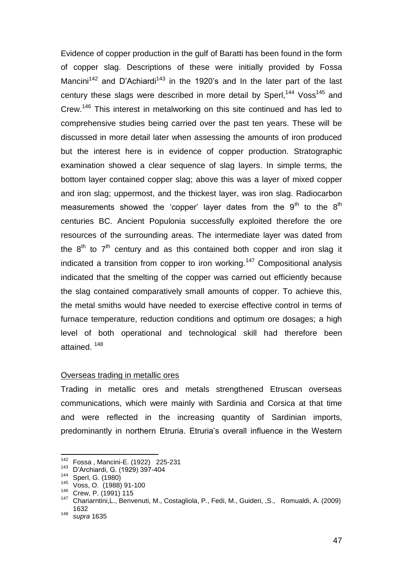Evidence of copper production in the gulf of Baratti has been found in the form of copper slag. Descriptions of these were initially provided by Fossa Mancini<sup>142</sup> and D'Achiardi<sup>143</sup> in the 1920's and In the later part of the last century these slags were described in more detail by Sperl,<sup>144</sup> Voss<sup>145</sup> and Crew.<sup>146</sup> This interest in metalworking on this site continued and has led to comprehensive studies being carried over the past ten years. These will be discussed in more detail later when assessing the amounts of iron produced but the interest here is in evidence of copper production. Stratographic examination showed a clear sequence of slag layers. In simple terms, the bottom layer contained copper slag; above this was a layer of mixed copper and iron slag; uppermost, and the thickest layer, was iron slag. Radiocarbon measurements showed the 'copper' layer dates from the  $9<sup>th</sup>$  to the  $8<sup>th</sup>$ centuries BC. Ancient Populonia successfully exploited therefore the ore resources of the surrounding areas. The intermediate layer was dated from the  $8<sup>th</sup>$  to  $7<sup>th</sup>$  century and as this contained both copper and iron slag it indicated a transition from copper to iron working.<sup>147</sup> Compositional analysis indicated that the smelting of the copper was carried out efficiently because the slag contained comparatively small amounts of copper. To achieve this, the metal smiths would have needed to exercise effective control in terms of furnace temperature, reduction conditions and optimum ore dosages; a high level of both operational and technological skill had therefore been attained. <sup>148</sup>

### Overseas trading in metallic ores

Trading in metallic ores and metals strengthened Etruscan overseas communications, which were mainly with Sardinia and Corsica at that time and were reflected in the increasing quantity of Sardinian imports, predominantly in northern Etruria. Etruria's overall influence in the Western

<sup>142</sup> Fossa, Mancini-E. (1922) 225-231

<sup>&</sup>lt;sup>143</sup> D'Archiardi, G. (1929) 397-404

 $\frac{144}{145}$  Sperl, G. (1980)

Voss, O. (1988) 91-100

<sup>146</sup> Crew, P. (1991) 115

<sup>147</sup> Chariarntini,L., Benvenuti, M., Costagliola, P., Fedi, M., Guideri, ,S., Romualdi, A. (2009) 1632

<sup>148</sup> *supra* 1635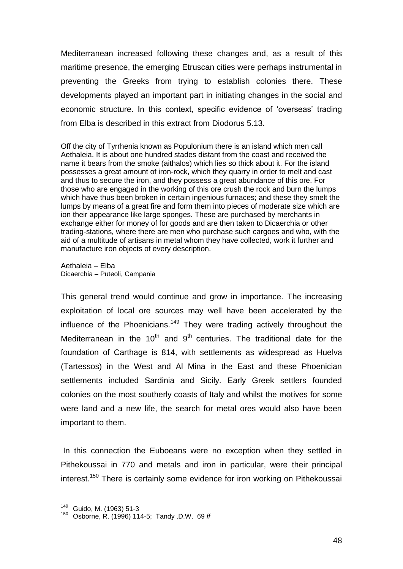Mediterranean increased following these changes and, as a result of this maritime presence, the emerging Etruscan cities were perhaps instrumental in preventing the Greeks from trying to establish colonies there. These developments played an important part in initiating changes in the social and economic structure. In this context, specific evidence of 'overseas' trading from Elba is described in this extract from Diodorus 5.13.

Off the city of Tyrrhenia known as Populonium there is an island which men call Aethaleia. It is about one hundred stades distant from the coast and received the name it bears from the smoke (aithalos) which lies so thick about it. For the island possesses a great amount of iron-rock, which they quarry in order to melt and cast and thus to secure the iron, and they possess a great abundance of this ore. For those who are engaged in the working of this ore crush the rock and burn the lumps which have thus been broken in certain ingenious furnaces; and these they smelt the lumps by means of a great fire and form them into pieces of moderate size which are ion their appearance like large sponges. These are purchased by merchants in exchange either for money of for goods and are then taken to Dicaerchia or other trading-stations, where there are men who purchase such cargoes and who, with the aid of a multitude of artisans in metal whom they have collected, work it further and manufacture iron objects of every description.

Aethaleia – Elba Dicaerchia – Puteoli, Campania

This general trend would continue and grow in importance. The increasing exploitation of local ore sources may well have been accelerated by the influence of the Phoenicians.<sup>149</sup> They were trading actively throughout the Mediterranean in the  $10^{th}$  and  $9^{th}$  centuries. The traditional date for the foundation of Carthage is 814, with settlements as widespread as Huelva (Tartessos) in the West and Al Mina in the East and these Phoenician settlements included Sardinia and Sicily. Early Greek settlers founded colonies on the most southerly coasts of Italy and whilst the motives for some were land and a new life, the search for metal ores would also have been important to them.

In this connection the Euboeans were no exception when they settled in Pithekoussai in 770 and metals and iron in particular, were their principal interest.<sup>150</sup> There is certainly some evidence for iron working on Pithekoussai

<sup>149</sup> Guido, M. (1963) 51-3

<sup>150</sup> Osborne, R. (1996) 114-5; Tandy ,D.W. 69 *ff*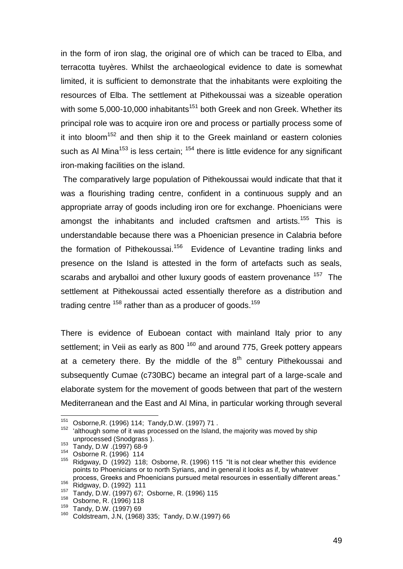in the form of iron slag, the original ore of which can be traced to Elba, and terracotta tuyères. Whilst the archaeological evidence to date is somewhat limited, it is sufficient to demonstrate that the inhabitants were exploiting the resources of Elba. The settlement at Pithekoussai was a sizeable operation with some  $5,000$ -10,000 inhabitants<sup>151</sup> both Greek and non Greek. Whether its principal role was to acquire iron ore and process or partially process some of it into bloom<sup>152</sup> and then ship it to the Greek mainland or eastern colonies such as Al Mina<sup>153</sup> is less certain;  $154$  there is little evidence for any significant iron-making facilities on the island.

The comparatively large population of Pithekoussai would indicate that that it was a flourishing trading centre, confident in a continuous supply and an appropriate array of goods including iron ore for exchange. Phoenicians were amongst the inhabitants and included craftsmen and artists.<sup>155</sup> This is understandable because there was a Phoenician presence in Calabria before the formation of Pithekoussai.<sup>156</sup> Evidence of Levantine trading links and presence on the Island is attested in the form of artefacts such as seals, scarabs and aryballoi and other luxury goods of eastern provenance <sup>157</sup> The settlement at Pithekoussai acted essentially therefore as a distribution and trading centre <sup>158</sup> rather than as a producer of goods.<sup>159</sup>

There is evidence of Euboean contact with mainland Italy prior to any settlement; in Veii as early as 800<sup>160</sup> and around 775, Greek pottery appears at a cemetery there. By the middle of the  $8<sup>th</sup>$  century Pithekoussai and subsequently Cumae (c730BC) became an integral part of a large-scale and elaborate system for the movement of goods between that part of the western Mediterranean and the East and Al Mina, in particular working through several

<sup>151</sup> <sup>151</sup> Osborne,R. (1996) 114; Tandy,D.W. (1997) 71 .

<sup>&</sup>lt;sup>152</sup> 'although some of it was processed on the Island, the majority was moved by ship unprocessed (Snodgrass ).

<sup>153</sup> Tandy, D.W. (1997) 68-9

<sup>154</sup> Osborne R. (1996) 114

<sup>&</sup>lt;sup>155</sup> Ridgway, D  $(1992)$  118; Osborne, R. (1996) 115 "It is not clear whether this evidence points to Phoenicians or to north Syrians, and in general it looks as if, by whatever process, Greeks and Phoenicians pursued metal resources in essentially different areas."

<sup>156</sup> Ridgway, D. (1992) 111<br>157 Tendu D. W. (1997) 67.

<sup>157</sup> Tandy, D.W. (1997) 67; Osborne, R. (1996) 115

<sup>&</sup>lt;sup>158</sup> Osborne, R. (1996) 118

 $^{159}$  Tandy, D.W. (1997) 69

<sup>160</sup> Coldstream, J.N, (1968) 335; Tandy, D.W.(1997) 66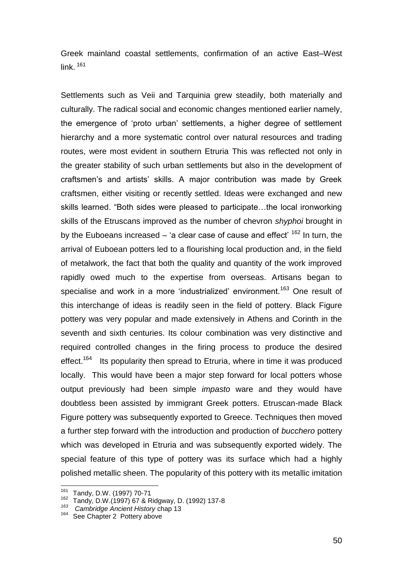Greek mainland coastal settlements, confirmation of an active East–West link $161$ 

Settlements such as Veii and Tarquinia grew steadily, both materially and culturally. The radical social and economic changes mentioned earlier namely, the emergence of "proto urban" settlements, a higher degree of settlement hierarchy and a more systematic control over natural resources and trading routes, were most evident in southern Etruria This was reflected not only in the greater stability of such urban settlements but also in the development of craftsmen"s and artists" skills. A major contribution was made by Greek craftsmen, either visiting or recently settled. Ideas were exchanged and new skills learned. "Both sides were pleased to participate…the local ironworking skills of the Etruscans improved as the number of chevron *shyphoi* brought in by the Euboeans increased – 'a clear case of cause and effect'  $162$  In turn, the arrival of Euboean potters led to a flourishing local production and, in the field of metalwork, the fact that both the quality and quantity of the work improved rapidly owed much to the expertise from overseas. Artisans began to specialise and work in a more 'industrialized' environment.<sup>163</sup> One result of this interchange of ideas is readily seen in the field of pottery. Black Figure pottery was very popular and made extensively in Athens and Corinth in the seventh and sixth centuries. Its colour combination was very distinctive and required controlled changes in the firing process to produce the desired effect.<sup>164</sup> Its popularity then spread to Etruria, where in time it was produced locally. This would have been a major step forward for local potters whose output previously had been simple *impasto* ware and they would have doubtless been assisted by immigrant Greek potters. Etruscan-made Black Figure pottery was subsequently exported to Greece. Techniques then moved a further step forward with the introduction and production of *bucchero* pottery which was developed in Etruria and was subsequently exported widely. The special feature of this type of pottery was its surface which had a highly polished metallic sheen. The popularity of this pottery with its metallic imitation

<sup>161</sup> Tandy, D.W. (1997) 70-71

<sup>162</sup> Tandy, D.W.(1997) 67 & Ridgway, D. (1992) 137-8

*<sup>163</sup> Cambridge Ancient History* chap 13

<sup>&</sup>lt;sup>164</sup> See Chapter 2 Pottery above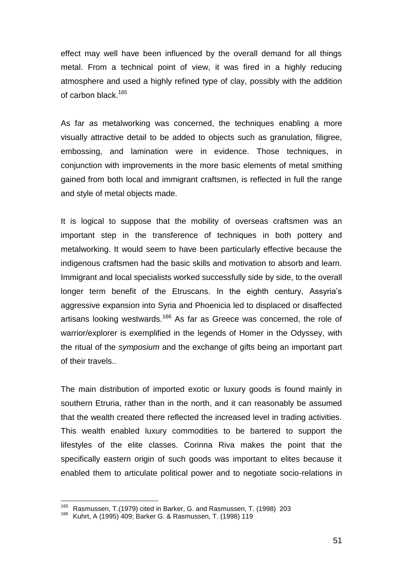effect may well have been influenced by the overall demand for all things metal. From a technical point of view, it was fired in a highly reducing atmosphere and used a highly refined type of clay, possibly with the addition of carbon black.<sup>165</sup>

As far as metalworking was concerned, the techniques enabling a more visually attractive detail to be added to objects such as granulation, filigree, embossing, and lamination were in evidence. Those techniques, in conjunction with improvements in the more basic elements of metal smithing gained from both local and immigrant craftsmen, is reflected in full the range and style of metal objects made.

It is logical to suppose that the mobility of overseas craftsmen was an important step in the transference of techniques in both pottery and metalworking. It would seem to have been particularly effective because the indigenous craftsmen had the basic skills and motivation to absorb and learn. Immigrant and local specialists worked successfully side by side, to the overall longer term benefit of the Etruscans. In the eighth century, Assyria's aggressive expansion into Syria and Phoenicia led to displaced or disaffected artisans looking westwards.<sup>166</sup> As far as Greece was concerned, the role of warrior/explorer is exemplified in the legends of Homer in the Odyssey, with the ritual of the *symposium* and the exchange of gifts being an important part of their travels..

The main distribution of imported exotic or luxury goods is found mainly in southern Etruria, rather than in the north, and it can reasonably be assumed that the wealth created there reflected the increased level in trading activities. This wealth enabled luxury commodities to be bartered to support the lifestyles of the elite classes. Corinna Riva makes the point that the specifically eastern origin of such goods was important to elites because it enabled them to articulate political power and to negotiate socio-relations in

<sup>&</sup>lt;sup>165</sup> Rasmussen, T.(1979) cited in Barker, G. and Rasmussen, T. (1998) 203

<sup>166</sup> Kuhrt, A (1995) 409; Barker G. & Rasmussen, T. (1998) 119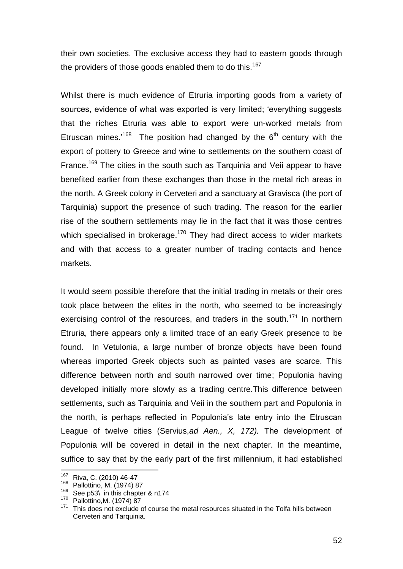their own societies. The exclusive access they had to eastern goods through the providers of those goods enabled them to do this.<sup>167</sup>

Whilst there is much evidence of Etruria importing goods from a variety of sources, evidence of what was exported is very limited; "everything suggests that the riches Etruria was able to export were un-worked metals from Etruscan mines.<sup>'168</sup> The position had changed by the  $6<sup>th</sup>$  century with the export of pottery to Greece and wine to settlements on the southern coast of France.<sup>169</sup> The cities in the south such as Tarquinia and Veii appear to have benefited earlier from these exchanges than those in the metal rich areas in the north. A Greek colony in Cerveteri and a sanctuary at Gravisca (the port of Tarquinia) support the presence of such trading. The reason for the earlier rise of the southern settlements may lie in the fact that it was those centres which specialised in brokerage.<sup>170</sup> They had direct access to wider markets and with that access to a greater number of trading contacts and hence markets.

It would seem possible therefore that the initial trading in metals or their ores took place between the elites in the north, who seemed to be increasingly exercising control of the resources, and traders in the south.<sup>171</sup> In northern Etruria, there appears only a limited trace of an early Greek presence to be found. In Vetulonia, a large number of bronze objects have been found whereas imported Greek objects such as painted vases are scarce. This difference between north and south narrowed over time; Populonia having developed initially more slowly as a trading centre.This difference between settlements, such as Tarquinia and Veii in the southern part and Populonia in the north, is perhaps reflected in Populonia"s late entry into the Etruscan League of twelve cities (Servius,*ad Aen., X, 172).* The development of Populonia will be covered in detail in the next chapter. In the meantime, suffice to say that by the early part of the first millennium, it had established

<sup>&</sup>lt;sup>167</sup> Riva, C. (2010) 46-47

<sup>168</sup> Pallottino, M. (1974) 87

<sup>169</sup> See p53\ in this chapter & n174

<sup>170</sup> Pallottino,M. (1974) 87

<sup>&</sup>lt;sup>171</sup> This does not exclude of course the metal resources situated in the Tolfa hills between Cerveteri and Tarquinia.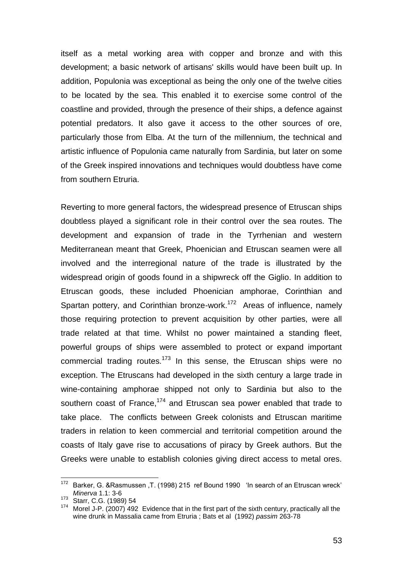itself as a metal working area with copper and bronze and with this development; a basic network of artisans' skills would have been built up. In addition, Populonia was exceptional as being the only one of the twelve cities to be located by the sea. This enabled it to exercise some control of the coastline and provided, through the presence of their ships, a defence against potential predators. It also gave it access to the other sources of ore, particularly those from Elba. At the turn of the millennium, the technical and artistic influence of Populonia came naturally from Sardinia, but later on some of the Greek inspired innovations and techniques would doubtless have come from southern Etruria.

Reverting to more general factors, the widespread presence of Etruscan ships doubtless played a significant role in their control over the sea routes. The development and expansion of trade in the Tyrrhenian and western Mediterranean meant that Greek, Phoenician and Etruscan seamen were all involved and the interregional nature of the trade is illustrated by the widespread origin of goods found in a shipwreck off the Giglio. In addition to Etruscan goods, these included Phoenician amphorae, Corinthian and Spartan pottery, and Corinthian bronze-work.<sup>172</sup> Areas of influence, namely those requiring protection to prevent acquisition by other parties, were all trade related at that time. Whilst no power maintained a standing fleet, powerful groups of ships were assembled to protect or expand important commercial trading routes.<sup>173</sup> In this sense, the Etruscan ships were no exception. The Etruscans had developed in the sixth century a large trade in wine-containing amphorae shipped not only to Sardinia but also to the southern coast of France,<sup>174</sup> and Etruscan sea power enabled that trade to take place. The conflicts between Greek colonists and Etruscan maritime traders in relation to keen commercial and territorial competition around the coasts of Italy gave rise to accusations of piracy by Greek authors. But the Greeks were unable to establish colonies giving direct access to metal ores.

<sup>172</sup> Barker, G. &Rasmussen ,T. (1998) 215 ref Bound 1990 'In search of an Etruscan wreck' *Minerva* 1.1: 3-6

<sup>173</sup> Starr, C.G. (1989) 54

<sup>174</sup> Morel J-P. (2007) 492 Evidence that in the first part of the sixth century, practically all the wine drunk in Massalia came from Etruria ; Bats et al (1992) *passim* 263-78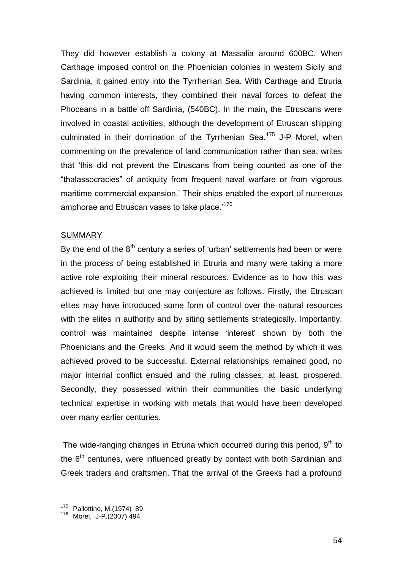They did however establish a colony at Massalia around 600BC. When Carthage imposed control on the Phoenician colonies in western Sicily and Sardinia, it gained entry into the Tyrrhenian Sea. With Carthage and Etruria having common interests, they combined their naval forces to defeat the Phoceans in a battle off Sardinia, (540BC). In the main, the Etruscans were involved in coastal activities, although the development of Etruscan shipping culminated in their domination of the Tyrrhenian Sea.<sup>175</sup> J-P Morel, when commenting on the prevalence of land communication rather than sea, writes that "this did not prevent the Etruscans from being counted as one of the "thalassocracies" of antiquity from frequent naval warfare or from vigorous maritime commercial expansion." Their ships enabled the export of numerous amphorae and Etruscan vases to take place.<sup>'176</sup>

### **SUMMARY**

By the end of the  $8<sup>th</sup>$  century a series of 'urban' settlements had been or were in the process of being established in Etruria and many were taking a more active role exploiting their mineral resources. Evidence as to how this was achieved is limited but one may conjecture as follows. Firstly, the Etruscan elites may have introduced some form of control over the natural resources with the elites in authority and by siting settlements strategically. Importantly. control was maintained despite intense "interest" shown by both the Phoenicians and the Greeks. And it would seem the method by which it was achieved proved to be successful. External relationships remained good, no major internal conflict ensued and the ruling classes, at least, prospered. Secondly, they possessed within their communities the basic underlying technical expertise in working with metals that would have been developed over many earlier centuries.

The wide-ranging changes in Etruria which occurred during this period,  $9<sup>th</sup>$  to the  $6<sup>th</sup>$  centuries, were influenced greatly by contact with both Sardinian and Greek traders and craftsmen. That the arrival of the Greeks had a profound

<sup>175</sup> Pallottino, M.(1974) 89

<sup>176</sup> Morel, J-P.(2007) 494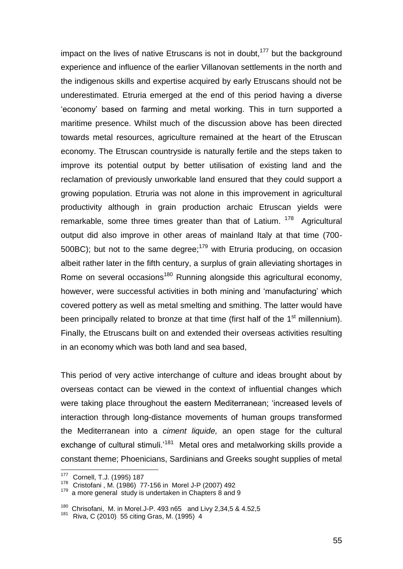impact on the lives of native Etruscans is not in doubt,  $177$  but the background experience and influence of the earlier Villanovan settlements in the north and the indigenous skills and expertise acquired by early Etruscans should not be underestimated. Etruria emerged at the end of this period having a diverse "economy" based on farming and metal working. This in turn supported a maritime presence. Whilst much of the discussion above has been directed towards metal resources, agriculture remained at the heart of the Etruscan economy. The Etruscan countryside is naturally fertile and the steps taken to improve its potential output by better utilisation of existing land and the reclamation of previously unworkable land ensured that they could support a growing population. Etruria was not alone in this improvement in agricultural productivity although in grain production archaic Etruscan yields were remarkable, some three times greater than that of Latium. <sup>178</sup> Agricultural output did also improve in other areas of mainland Italy at that time (700- 500BC); but not to the same degree;<sup>179</sup> with Etruria producing, on occasion albeit rather later in the fifth century, a surplus of grain alleviating shortages in Rome on several occasions<sup>180</sup> Running alongside this agricultural economy, however, were successful activities in both mining and "manufacturing" which covered pottery as well as metal smelting and smithing. The latter would have been principally related to bronze at that time (first half of the  $1<sup>st</sup>$  millennium). Finally, the Etruscans built on and extended their overseas activities resulting in an economy which was both land and sea based,

This period of very active interchange of culture and ideas brought about by overseas contact can be viewed in the context of influential changes which were taking place throughout the eastern Mediterranean; "increased levels of interaction through long-distance movements of human groups transformed the Mediterranean into a *ciment liquide,* an open stage for the cultural exchange of cultural stimuli.<sup>181</sup> Metal ores and metalworking skills provide a constant theme; Phoenicians, Sardinians and Greeks sought supplies of metal

<sup>177</sup> Cornell, T.J. (1995) 187

<sup>178</sup> Cristofani , M. (1986) 77-156 in Morel J-P (2007) 492

 $179$  a more general study is undertaken in Chapters  $8$  and  $9$ 

<sup>&</sup>lt;sup>180</sup> Chrisofani, M. in Morel.J-P. 493 n65 and Livy 2,34,5 & 4.52,5

<sup>181</sup> Riva, C (2010) 55 citing Gras, M. (1995) 4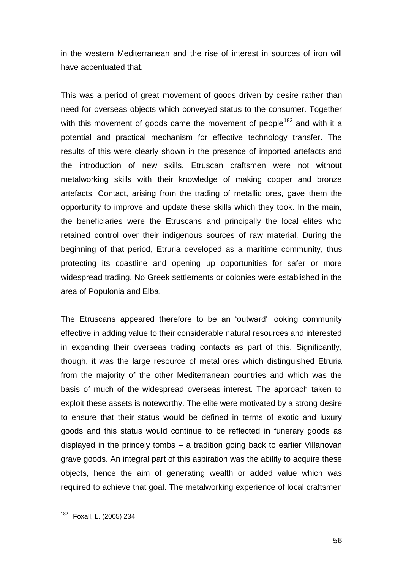in the western Mediterranean and the rise of interest in sources of iron will have accentuated that.

This was a period of great movement of goods driven by desire rather than need for overseas objects which conveyed status to the consumer. Together with this movement of goods came the movement of people<sup>182</sup> and with it a potential and practical mechanism for effective technology transfer. The results of this were clearly shown in the presence of imported artefacts and the introduction of new skills. Etruscan craftsmen were not without metalworking skills with their knowledge of making copper and bronze artefacts. Contact, arising from the trading of metallic ores, gave them the opportunity to improve and update these skills which they took. In the main, the beneficiaries were the Etruscans and principally the local elites who retained control over their indigenous sources of raw material. During the beginning of that period, Etruria developed as a maritime community, thus protecting its coastline and opening up opportunities for safer or more widespread trading. No Greek settlements or colonies were established in the area of Populonia and Elba.

The Etruscans appeared therefore to be an "outward" looking community effective in adding value to their considerable natural resources and interested in expanding their overseas trading contacts as part of this. Significantly, though, it was the large resource of metal ores which distinguished Etruria from the majority of the other Mediterranean countries and which was the basis of much of the widespread overseas interest. The approach taken to exploit these assets is noteworthy. The elite were motivated by a strong desire to ensure that their status would be defined in terms of exotic and luxury goods and this status would continue to be reflected in funerary goods as displayed in the princely tombs – a tradition going back to earlier Villanovan grave goods. An integral part of this aspiration was the ability to acquire these objects, hence the aim of generating wealth or added value which was required to achieve that goal. The metalworking experience of local craftsmen

<sup>&</sup>lt;sup>182</sup> Foxall, L. (2005) 234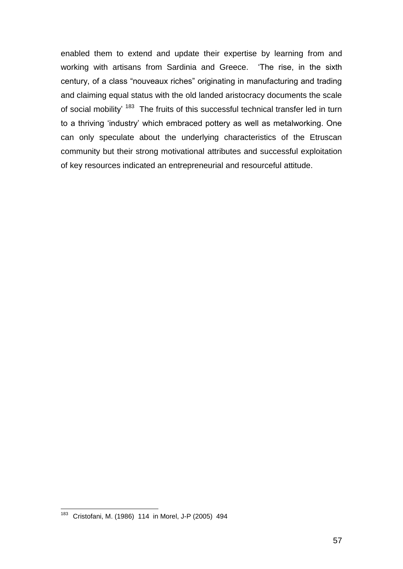enabled them to extend and update their expertise by learning from and working with artisans from Sardinia and Greece. "The rise, in the sixth century, of a class "nouveaux riches" originating in manufacturing and trading and claiming equal status with the old landed aristocracy documents the scale of social mobility' <sup>183</sup> The fruits of this successful technical transfer led in turn to a thriving "industry" which embraced pottery as well as metalworking. One can only speculate about the underlying characteristics of the Etruscan community but their strong motivational attributes and successful exploitation of key resources indicated an entrepreneurial and resourceful attitude.

<sup>&</sup>lt;sup>183</sup> Cristofani, M. (1986) 114 in Morel, J-P (2005) 494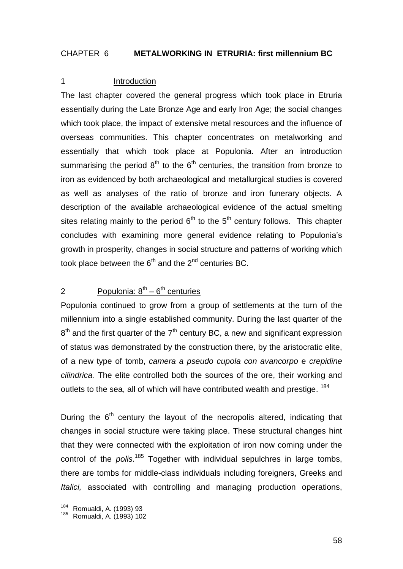### CHAPTER 6 **METALWORKING IN ETRURIA: first millennium BC**

### 1 Introduction

The last chapter covered the general progress which took place in Etruria essentially during the Late Bronze Age and early Iron Age; the social changes which took place, the impact of extensive metal resources and the influence of overseas communities. This chapter concentrates on metalworking and essentially that which took place at Populonia. After an introduction summarising the period  $8<sup>th</sup>$  to the  $6<sup>th</sup>$  centuries, the transition from bronze to iron as evidenced by both archaeological and metallurgical studies is covered as well as analyses of the ratio of bronze and iron funerary objects. A description of the available archaeological evidence of the actual smelting sites relating mainly to the period  $6<sup>th</sup>$  to the  $5<sup>th</sup>$  century follows. This chapter concludes with examining more general evidence relating to Populonia"s growth in prosperity, changes in social structure and patterns of working which took place between the  $6<sup>th</sup>$  and the  $2<sup>nd</sup>$  centuries BC.

## 2 Populonia:  $8^{th} - 6^{th}$  centuries

Populonia continued to grow from a group of settlements at the turn of the millennium into a single established community. During the last quarter of the  $8<sup>th</sup>$  and the first quarter of the  $7<sup>th</sup>$  century BC, a new and significant expression of status was demonstrated by the construction there, by the aristocratic elite, of a new type of tomb, *camera a pseudo cupola con avancorpo* e *crepidine cilindrica.* The elite controlled both the sources of the ore, their working and outlets to the sea, all of which will have contributed wealth and prestige. <sup>184</sup>

During the  $6<sup>th</sup>$  century the layout of the necropolis altered, indicating that changes in social structure were taking place. These structural changes hint that they were connected with the exploitation of iron now coming under the control of the *polis*. <sup>185</sup> Together with individual sepulchres in large tombs, there are tombs for middle-class individuals including foreigners, Greeks and *Italici,* associated with controlling and managing production operations,

<sup>&</sup>lt;sup>184</sup> Romualdi, A. (1993) 93

<sup>185</sup> Romualdi, A. (1993) 102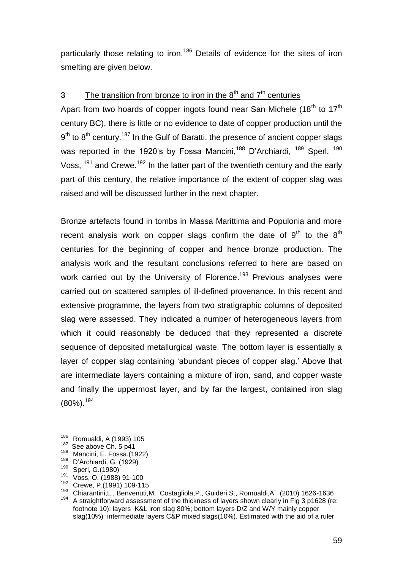particularly those relating to iron.<sup>186</sup> Details of evidence for the sites of iron smelting are given below.

# 3 The transition from bronze to iron in the  $8<sup>th</sup>$  and  $7<sup>th</sup>$  centuries

Apart from two hoards of copper ingots found near San Michele (18<sup>th</sup> to 17<sup>th</sup>) century BC), there is little or no evidence to date of copper production until the  $9<sup>th</sup>$  to  $8<sup>th</sup>$  century.<sup>187</sup> In the Gulf of Baratti, the presence of ancient copper slags was reported in the 1920's by Fossa Mancini,<sup>188</sup> D'Archiardi, <sup>189</sup> Sperl, <sup>190</sup> Voss, <sup>191</sup> and Crewe.<sup>192</sup> In the latter part of the twentieth century and the early part of this century, the relative importance of the extent of copper slag was raised and will be discussed further in the next chapter.

Bronze artefacts found in tombs in Massa Marittima and Populonia and more recent analysis work on copper slags confirm the date of  $9<sup>th</sup>$  to the  $8<sup>th</sup>$ centuries for the beginning of copper and hence bronze production. The analysis work and the resultant conclusions referred to here are based on work carried out by the University of Florence.<sup>193</sup> Previous analyses were carried out on scattered samples of ill-defined provenance. In this recent and extensive programme, the layers from two stratigraphic columns of deposited slag were assessed. They indicated a number of heterogeneous layers from which it could reasonably be deduced that they represented a discrete sequence of deposited metallurgical waste. The bottom layer is essentially a layer of copper slag containing "abundant pieces of copper slag." Above that are intermediate layers containing a mixture of iron, sand, and copper waste and finally the uppermost layer, and by far the largest, contained iron slag (80%). 194

<sup>186</sup> Romualdi, A (1993) 105

<sup>&</sup>lt;sup>187</sup> See above Ch. 5 p41

 $^{188}$  Mancini, E. Fossa.(1922)

 $^{189}$  D'Archiardi, G. (1929)

 $\frac{190}{191}$  Sperl, G.(1980)

Voss, O. (1988) 91-100

<sup>192</sup> Crewe, P.(1991) 109-115

<sup>193</sup> Chiarantini,L., Benvenuti,M., Costagliola,P., Guideri,S., Romualdi,A. (2010) 1626-1636 <sup>194</sup> A straightforward assessment of the thickness of layers shown clearly in Fig 3 p1628 (re: footnote 10); layers K&L iron slag 80%; bottom layers D/Z and W/Y mainly copper slag(10%) intermediate layers C&P mixed slags(10%). Estimated with the aid of a ruler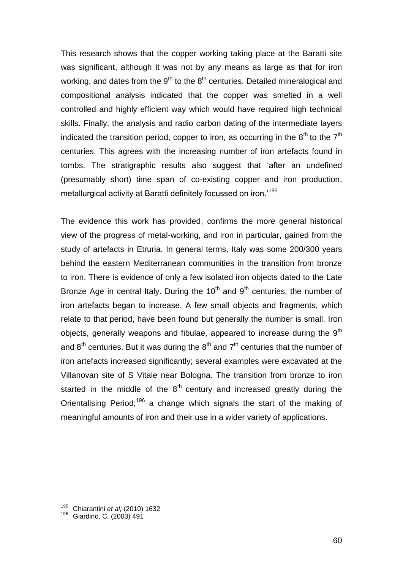This research shows that the copper working taking place at the Baratti site was significant, although it was not by any means as large as that for iron working, and dates from the  $9<sup>th</sup>$  to the  $8<sup>th</sup>$  centuries. Detailed mineralogical and compositional analysis indicated that the copper was smelted in a well controlled and highly efficient way which would have required high technical skills. Finally, the analysis and radio carbon dating of the intermediate layers indicated the transition period, copper to iron, as occurring in the 8<sup>th</sup> to the 7<sup>th</sup> centuries. This agrees with the increasing number of iron artefacts found in tombs. The stratigraphic results also suggest that "after an undefined (presumably short) time span of co-existing copper and iron production, metallurgical activity at Baratti definitely focussed on iron.<sup>195</sup>

The evidence this work has provided, confirms the more general historical view of the progress of metal-working, and iron in particular, gained from the study of artefacts in Etruria. In general terms, Italy was some 200/300 years behind the eastern Mediterranean communities in the transition from bronze to iron. There is evidence of only a few isolated iron objects dated to the Late Bronze Age in central Italy. During the  $10<sup>th</sup>$  and  $9<sup>th</sup>$  centuries, the number of iron artefacts began to increase. A few small objects and fragments, which relate to that period, have been found but generally the number is small. Iron objects, generally weapons and fibulae, appeared to increase during the 9<sup>th</sup> and  $8<sup>th</sup>$  centuries. But it was during the  $8<sup>th</sup>$  and  $7<sup>th</sup>$  centuries that the number of iron artefacts increased significantly; several examples were excavated at the Villanovan site of S Vitale near Bologna. The transition from bronze to iron started in the middle of the  $8<sup>th</sup>$  century and increased greatly during the Orientalising Period;<sup>196</sup> a change which signals the start of the making of meaningful amounts of iron and their use in a wider variety of applications.

<sup>195</sup> Chiarantini *et al;* (2010) 1632

<sup>196</sup> Giardino, C. (2003) 491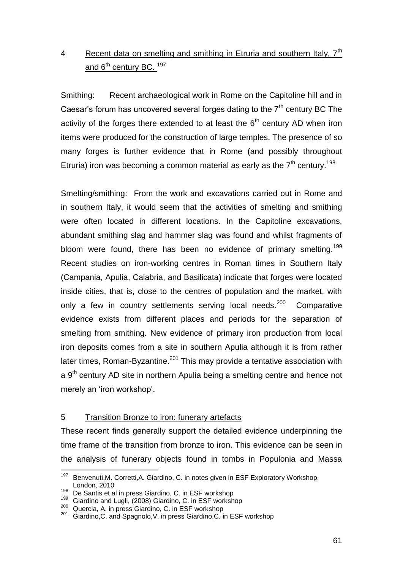# 4 Recent data on smelting and smithing in Etruria and southern Italy.  $7<sup>th</sup>$ and 6<sup>th</sup> century BC. <sup>197</sup>

Smithing: Recent archaeological work in Rome on the Capitoline hill and in Caesar's forum has uncovered several forges dating to the  $7<sup>th</sup>$  century BC The activity of the forges there extended to at least the  $6<sup>th</sup>$  century AD when iron items were produced for the construction of large temples. The presence of so many forges is further evidence that in Rome (and possibly throughout Etruria) iron was becoming a common material as early as the  $7<sup>th</sup>$  century.<sup>198</sup>

Smelting/smithing: From the work and excavations carried out in Rome and in southern Italy, it would seem that the activities of smelting and smithing were often located in different locations. In the Capitoline excavations, abundant smithing slag and hammer slag was found and whilst fragments of bloom were found, there has been no evidence of primary smelting.<sup>199</sup> Recent studies on iron-working centres in Roman times in Southern Italy (Campania, Apulia, Calabria, and Basilicata) indicate that forges were located inside cities, that is, close to the centres of population and the market, with only a few in country settlements serving local needs.<sup>200</sup> Comparative evidence exists from different places and periods for the separation of smelting from smithing. New evidence of primary iron production from local iron deposits comes from a site in southern Apulia although it is from rather later times, Roman-Byzantine.<sup>201</sup> This may provide a tentative association with a  $9<sup>th</sup>$  century AD site in northern Apulia being a smelting centre and hence not merely an 'iron workshop'.

# 5 Transition Bronze to iron: funerary artefacts

These recent finds generally support the detailed evidence underpinning the time frame of the transition from bronze to iron. This evidence can be seen in the analysis of funerary objects found in tombs in Populonia and Massa

<sup>197</sup> Benvenuti,M. Corretti,A. Giardino, C. in notes given in ESF Exploratory Workshop, London, 2010

<sup>198</sup> De Santis et al in press Giardino, C. in ESF workshop

<sup>199</sup> Giardino and Lugli, (2008) Giardino, C. in ESF workshop

Quercia, A. in press Giardino, C. in ESF workshop

<sup>201</sup> Giardino, C. and Spagnolo, V. in press Giardino, C. in ESF workshop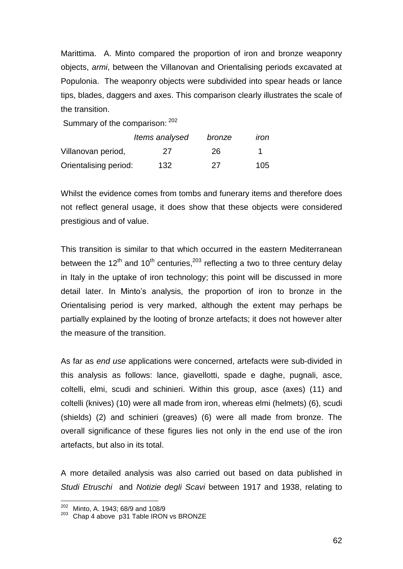Marittima. A. Minto compared the proportion of iron and bronze weaponry objects, *armi*, between the Villanovan and Orientalising periods excavated at Populonia. The weaponry objects were subdivided into spear heads or lance tips, blades, daggers and axes. This comparison clearly illustrates the scale of the transition.

Summary of the comparison: 202

|                       | Items analysed | bronze | ıron |
|-----------------------|----------------|--------|------|
| Villanovan period,    | 27             | 26     |      |
| Orientalising period: | 132            | 27     | 105  |

Whilst the evidence comes from tombs and funerary items and therefore does not reflect general usage, it does show that these objects were considered prestigious and of value.

This transition is similar to that which occurred in the eastern Mediterranean between the 12<sup>th</sup> and 10<sup>th</sup> centuries,<sup>203</sup> reflecting a two to three century delay in Italy in the uptake of iron technology; this point will be discussed in more detail later. In Minto's analysis, the proportion of iron to bronze in the Orientalising period is very marked, although the extent may perhaps be partially explained by the looting of bronze artefacts; it does not however alter the measure of the transition.

As far as *end use* applications were concerned, artefacts were sub-divided in this analysis as follows: lance, giavellotti, spade e daghe, pugnali, asce, coltelli, elmi, scudi and schinieri. Within this group, asce (axes) (11) and coltelli (knives) (10) were all made from iron, whereas elmi (helmets) (6), scudi (shields) (2) and schinieri (greaves) (6) were all made from bronze. The overall significance of these figures lies not only in the end use of the iron artefacts, but also in its total.

A more detailed analysis was also carried out based on data published in *Studi Etruschi* and *Notizie degli Scavi* between 1917 and 1938, relating to

 $202$  Minto, A. 1943; 68/9 and 108/9

<sup>203</sup> Chap 4 above p31 Table IRON vs BRONZE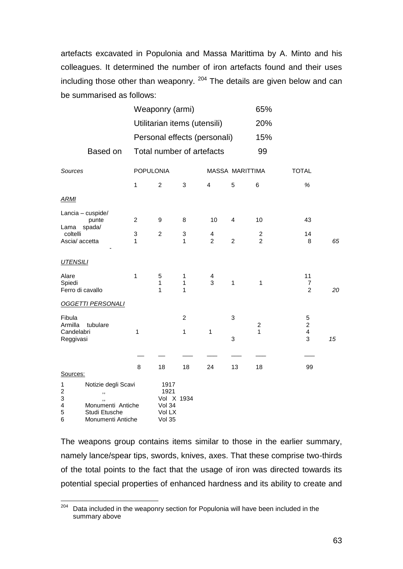artefacts excavated in Populonia and Massa Marittima by A. Minto and his colleagues. It determined the number of iron artefacts found and their uses including those other than weaponry. <sup>204</sup> The details are given below and can be summarised as follows:

|                                                                                                                                         |                              | Weaponry (armi)                                   |                                   |                                           |                 |                                  |                                                     |    |  |
|-----------------------------------------------------------------------------------------------------------------------------------------|------------------------------|---------------------------------------------------|-----------------------------------|-------------------------------------------|-----------------|----------------------------------|-----------------------------------------------------|----|--|
|                                                                                                                                         | Utilitarian items (utensili) |                                                   |                                   |                                           |                 | 20%                              |                                                     |    |  |
|                                                                                                                                         |                              | Personal effects (personali)                      |                                   |                                           |                 |                                  |                                                     |    |  |
| Based on                                                                                                                                |                              | Total number of artefacts                         |                                   |                                           |                 |                                  |                                                     |    |  |
| Sources                                                                                                                                 |                              | <b>POPULONIA</b>                                  |                                   |                                           | MASSA MARITTIMA |                                  | <b>TOTAL</b>                                        |    |  |
|                                                                                                                                         | $\mathbf{1}$                 | $\overline{c}$                                    | 3                                 | $\overline{4}$                            | 5               | 6                                | $\%$                                                |    |  |
| <b>ARMI</b>                                                                                                                             |                              |                                                   |                                   |                                           |                 |                                  |                                                     |    |  |
| Lancia - cuspide/<br>punte<br>Lama spada/                                                                                               | $\overline{c}$               | 9                                                 | 8                                 | 10                                        | 4               | 10                               | 43                                                  |    |  |
| coltelli<br>Ascia/accetta                                                                                                               | 3<br>1                       | $\overline{c}$                                    | 3<br>$\mathbf{1}$                 | $\overline{\mathbf{4}}$<br>$\overline{2}$ | $\overline{c}$  | $\overline{c}$<br>$\overline{2}$ | 14<br>8                                             | 65 |  |
| <b>UTENSILI</b>                                                                                                                         |                              |                                                   |                                   |                                           |                 |                                  |                                                     |    |  |
| Alare<br>Spiedi<br>Ferro di cavallo                                                                                                     | $\mathbf{1}$                 | 5<br>1<br>1                                       | $\mathbf{1}$<br>$\mathbf{1}$<br>1 | 4<br>3                                    | $\mathbf{1}$    | 1                                | 11<br>$\overline{7}$<br>$\overline{2}$              | 20 |  |
| <b>OGGETTI PERSONALI</b>                                                                                                                |                              |                                                   |                                   |                                           |                 |                                  |                                                     |    |  |
| Fibula<br>Armilla<br>tubulare<br>Candelabri<br>Reggivasi                                                                                | 1                            |                                                   | $\overline{c}$<br>1               | 1                                         | 3<br>3          | $\boldsymbol{2}$<br>1            | 5<br>$\overline{c}$<br>$\overline{\mathbf{4}}$<br>3 | 15 |  |
|                                                                                                                                         |                              |                                                   |                                   |                                           |                 |                                  |                                                     |    |  |
|                                                                                                                                         | 8                            | 18                                                | 18                                | 24                                        | 13              | 18                               | 99                                                  |    |  |
| Sources:                                                                                                                                |                              |                                                   |                                   |                                           |                 |                                  |                                                     |    |  |
| 1<br>Notizie degli Scavi<br>$\boldsymbol{2}$<br>,,<br>3<br>,,<br>4<br>Monumenti Antiche<br>5<br>Studi Etusche<br>6<br>Monumenti Antiche |                              | 1917<br>1921<br>Vol 34<br>Vol LX<br><b>Vol 35</b> | Vol X 1934                        |                                           |                 |                                  |                                                     |    |  |

The weapons group contains items similar to those in the earlier summary, namely lance/spear tips, swords, knives, axes. That these comprise two-thirds of the total points to the fact that the usage of iron was directed towards its potential special properties of enhanced hardness and its ability to create and

l  $204$  Data included in the weaponry section for Populonia will have been included in the summary above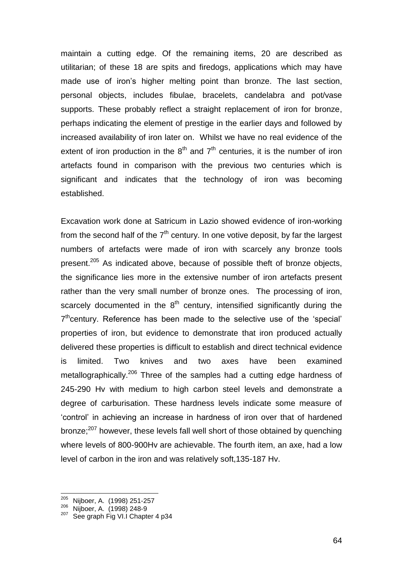maintain a cutting edge. Of the remaining items, 20 are described as utilitarian; of these 18 are spits and firedogs, applications which may have made use of iron"s higher melting point than bronze. The last section, personal objects, includes fibulae, bracelets, candelabra and pot/vase supports. These probably reflect a straight replacement of iron for bronze, perhaps indicating the element of prestige in the earlier days and followed by increased availability of iron later on. Whilst we have no real evidence of the extent of iron production in the  $8<sup>th</sup>$  and  $7<sup>th</sup>$  centuries, it is the number of iron artefacts found in comparison with the previous two centuries which is significant and indicates that the technology of iron was becoming established.

Excavation work done at Satricum in Lazio showed evidence of iron-working from the second half of the  $7<sup>th</sup>$  century. In one votive deposit, by far the largest numbers of artefacts were made of iron with scarcely any bronze tools present.<sup>205</sup> As indicated above, because of possible theft of bronze objects, the significance lies more in the extensive number of iron artefacts present rather than the very small number of bronze ones. The processing of iron, scarcely documented in the  $8<sup>th</sup>$  century, intensified significantly during the  $7<sup>th</sup>$ century. Reference has been made to the selective use of the 'special' properties of iron, but evidence to demonstrate that iron produced actually delivered these properties is difficult to establish and direct technical evidence is limited. Two knives and two axes have been examined metallographically.<sup>206</sup> Three of the samples had a cutting edge hardness of 245-290 Hv with medium to high carbon steel levels and demonstrate a degree of carburisation. These hardness levels indicate some measure of "control" in achieving an increase in hardness of iron over that of hardened bronze;<sup>207</sup> however, these levels fall well short of those obtained by quenching where levels of 800-900Hv are achievable. The fourth item, an axe, had a low level of carbon in the iron and was relatively soft,135-187 Hv.

<sup>205</sup> Nijboer, A. (1998) 251-257

<sup>206</sup> Nijboer, A. (1998) 248-9<br>207 Soo graph Eig VLLChapt

See graph Fig VI.I Chapter 4 p34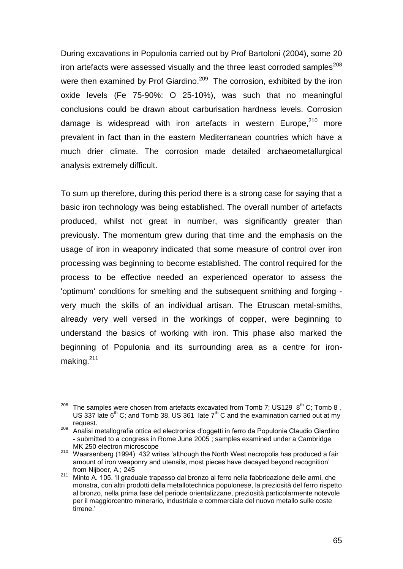During excavations in Populonia carried out by Prof Bartoloni (2004), some 20 iron artefacts were assessed visually and the three least corroded samples<sup>208</sup> were then examined by Prof Giardino.<sup>209</sup> The corrosion, exhibited by the iron oxide levels (Fe 75-90%: O 25-10%), was such that no meaningful conclusions could be drawn about carburisation hardness levels. Corrosion damage is widespread with iron artefacts in western Europe,<sup>210</sup> more prevalent in fact than in the eastern Mediterranean countries which have a much drier climate. The corrosion made detailed archaeometallurgical analysis extremely difficult.

To sum up therefore, during this period there is a strong case for saying that a basic iron technology was being established. The overall number of artefacts produced, whilst not great in number, was significantly greater than previously. The momentum grew during that time and the emphasis on the usage of iron in weaponry indicated that some measure of control over iron processing was beginning to become established. The control required for the process to be effective needed an experienced operator to assess the 'optimum' conditions for smelting and the subsequent smithing and forging very much the skills of an individual artisan. The Etruscan metal-smiths, already very well versed in the workings of copper, were beginning to understand the basics of working with iron. This phase also marked the beginning of Populonia and its surrounding area as a centre for ironmaking.<sup>211</sup>

l <sup>208</sup> The samples were chosen from artefacts excavated from Tomb 7; US129  $8^{th}$  C; Tomb 8, US 337 late  $6<sup>th</sup>$  C; and Tomb 38, US 361 late  $7<sup>th</sup>$  C and the examination carried out at my request.

<sup>209</sup> Analisi metallografia ottica ed electronica d"oggetti in ferro da Populonia Claudio Giardino - submitted to a congress in Rome June 2005 ; samples examined under a Cambridge MK 250 electron microscope

<sup>&</sup>lt;sup>210</sup> Waarsenberg (1994) 432 writes 'although the North West necropolis has produced a fair amount of iron weaponry and utensils, most pieces have decayed beyond recognition" from Nijboer, A.; 245

<sup>&</sup>lt;sup>211</sup> Minto A. 105. 'il graduale trapasso dal bronzo al ferro nella fabbricazione delle armi, che monstra, con altri prodotti della metallotechnica populonese, la preziosità del ferro rispetto al bronzo, nella prima fase del periode orientalizzane, preziosità particolarmente notevole per il maggiorcentro minerario, industriale e commerciale del nuovo metallo sulle coste tirrene."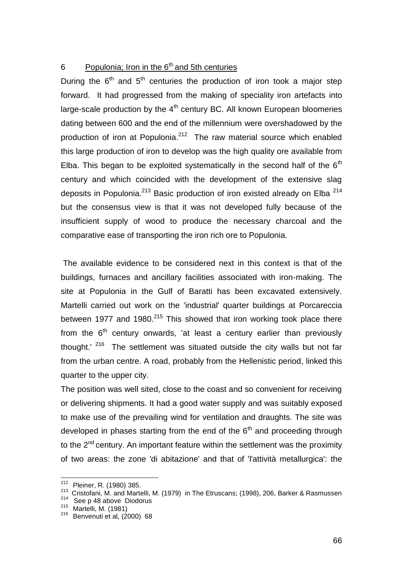# 6 Populonia; Iron in the 6<sup>th</sup> and 5th centuries

During the  $6<sup>th</sup>$  and  $5<sup>th</sup>$  centuries the production of iron took a major step forward. It had progressed from the making of speciality iron artefacts into large-scale production by the  $4<sup>th</sup>$  century BC. All known European bloomeries dating between 600 and the end of the millennium were overshadowed by the production of iron at Populonia.<sup>212</sup> The raw material source which enabled this large production of iron to develop was the high quality ore available from Elba. This began to be exploited systematically in the second half of the  $6<sup>th</sup>$ century and which coincided with the development of the extensive slag deposits in Populonia.<sup>213</sup> Basic production of iron existed already on Elba  $214$ but the consensus view is that it was not developed fully because of the insufficient supply of wood to produce the necessary charcoal and the comparative ease of transporting the iron rich ore to Populonia.

The available evidence to be considered next in this context is that of the buildings, furnaces and ancillary facilities associated with iron-making. The site at Populonia in the Gulf of Baratti has been excavated extensively. Martelli carried out work on the 'industrial' quarter buildings at Porcareccia between 1977 and 1980.<sup>215</sup> This showed that iron working took place there from the  $6<sup>th</sup>$  century onwards, 'at least a century earlier than previously thought.<sup>' 216</sup> The settlement was situated outside the city walls but not far from the urban centre. A road, probably from the Hellenistic period, linked this quarter to the upper city.

The position was well sited, close to the coast and so convenient for receiving or delivering shipments. It had a good water supply and was suitably exposed to make use of the prevailing wind for ventilation and draughts. The site was developed in phases starting from the end of the  $6<sup>th</sup>$  and proceeding through to the 2<sup>nd</sup> century. An important feature within the settlement was the proximity of two areas: the zone 'di abitazione' and that of 'l'attività metallurgica': the

<sup>&</sup>lt;sup>212</sup> Pleiner, R. (1980) 385.

<sup>213</sup> Cristofani, M. and Martelli, M. (1979) in The Etruscans; (1998), 206, Barker & Rasmussen

 $214$  See p 48 above Diodorus

<sup>215</sup> Martelli, M. (1981)

 $216$  Benvenuti et al, (2000) 68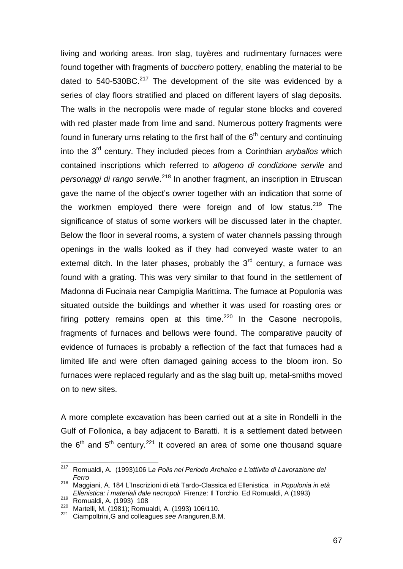living and working areas. Iron slag, tuyères and rudimentary furnaces were found together with fragments of *bucchero* pottery, enabling the material to be dated to  $540$ -530BC. $^{217}$  The development of the site was evidenced by a series of clay floors stratified and placed on different layers of slag deposits. The walls in the necropolis were made of regular stone blocks and covered with red plaster made from lime and sand. Numerous pottery fragments were found in funerary urns relating to the first half of the  $6<sup>th</sup>$  century and continuing into the 3rd century. They included pieces from a Corinthian *aryballos* which contained inscriptions which referred to *allogeno di condizione servile* and *personaggi di rango servile.*<sup>218</sup> In another fragment, an inscription in Etruscan gave the name of the object's owner together with an indication that some of the workmen employed there were foreign and of low status.<sup>219</sup> The significance of status of some workers will be discussed later in the chapter. Below the floor in several rooms, a system of water channels passing through openings in the walls looked as if they had conveyed waste water to an external ditch. In the later phases, probably the  $3<sup>rd</sup>$  century, a furnace was found with a grating. This was very similar to that found in the settlement of Madonna di Fucinaia near Campiglia Marittima. The furnace at Populonia was situated outside the buildings and whether it was used for roasting ores or firing pottery remains open at this time. $220$  In the Casone necropolis, fragments of furnaces and bellows were found. The comparative paucity of evidence of furnaces is probably a reflection of the fact that furnaces had a limited life and were often damaged gaining access to the bloom iron. So furnaces were replaced regularly and as the slag built up, metal-smiths moved on to new sites.

A more complete excavation has been carried out at a site in Rondelli in the Gulf of Follonica, a bay adjacent to Baratti. It is a settlement dated between the  $6<sup>th</sup>$  and  $5<sup>th</sup>$  century.<sup>221</sup> It covered an area of some one thousand square

<sup>217</sup> <sup>217</sup> Romualdi, A. (1993)106 L*a Polis nel Periodo Archaico e L'attivita di Lavorazione del Ferro* 

<sup>218</sup> Maggiani, A. 184 L"Inscrizioni di età Tardo-Classica ed Ellenistica in *Populonia in età Ellenistica: i materiali dale necropoli* Firenze: Il Torchio. Ed Romualdi, A (1993)

<sup>219</sup> Romualdi, A. (1993) 108

<sup>220</sup> Martelli, M. (1981); Romualdi, A. (1993) 106/110.

<sup>221</sup> Ciampoltrini,G and colleagues *see* Aranguren,B.M.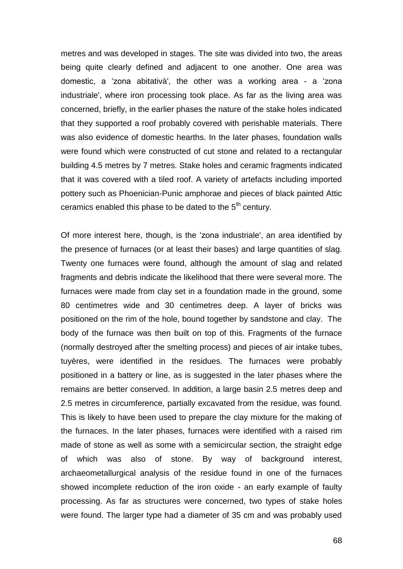metres and was developed in stages. The site was divided into two, the areas being quite clearly defined and adjacent to one another. One area was domestic, a "zona abitativà', the other was a working area - a "zona industriale', where iron processing took place. As far as the living area was concerned, briefly, in the earlier phases the nature of the stake holes indicated that they supported a roof probably covered with perishable materials. There was also evidence of domestic hearths. In the later phases, foundation walls were found which were constructed of cut stone and related to a rectangular building 4.5 metres by 7 metres. Stake holes and ceramic fragments indicated that it was covered with a tiled roof. A variety of artefacts including imported pottery such as Phoenician-Punic amphorae and pieces of black painted Attic ceramics enabled this phase to be dated to the  $5<sup>th</sup>$  century.

Of more interest here, though, is the "zona industriale', an area identified by the presence of furnaces (or at least their bases) and large quantities of slag. Twenty one furnaces were found, although the amount of slag and related fragments and debris indicate the likelihood that there were several more. The furnaces were made from clay set in a foundation made in the ground, some 80 centimetres wide and 30 centimetres deep. A layer of bricks was positioned on the rim of the hole, bound together by sandstone and clay. The body of the furnace was then built on top of this. Fragments of the furnace (normally destroyed after the smelting process) and pieces of air intake tubes, tuyères, were identified in the residues. The furnaces were probably positioned in a battery or line, as is suggested in the later phases where the remains are better conserved. In addition, a large basin 2.5 metres deep and 2.5 metres in circumference, partially excavated from the residue, was found. This is likely to have been used to prepare the clay mixture for the making of the furnaces. In the later phases, furnaces were identified with a raised rim made of stone as well as some with a semicircular section, the straight edge of which was also of stone. By way of background interest, archaeometallurgical analysis of the residue found in one of the furnaces showed incomplete reduction of the iron oxide - an early example of faulty processing. As far as structures were concerned, two types of stake holes were found. The larger type had a diameter of 35 cm and was probably used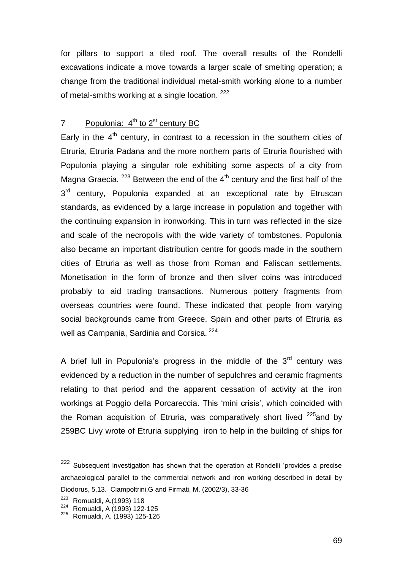for pillars to support a tiled roof. The overall results of the Rondelli excavations indicate a move towards a larger scale of smelting operation; a change from the traditional individual metal-smith working alone to a number of metal-smiths working at a single location. <sup>222</sup>

# 7 Populonia: 4<sup>th</sup> to 2<sup>st</sup> century BC

Early in the  $4<sup>th</sup>$  century, in contrast to a recession in the southern cities of Etruria, Etruria Padana and the more northern parts of Etruria flourished with Populonia playing a singular role exhibiting some aspects of a city from Magna Graecia.  $223$  Between the end of the  $4<sup>th</sup>$  century and the first half of the 3<sup>rd</sup> century, Populonia expanded at an exceptional rate by Etruscan standards, as evidenced by a large increase in population and together with the continuing expansion in ironworking. This in turn was reflected in the size and scale of the necropolis with the wide variety of tombstones. Populonia also became an important distribution centre for goods made in the southern cities of Etruria as well as those from Roman and Faliscan settlements. Monetisation in the form of bronze and then silver coins was introduced probably to aid trading transactions. Numerous pottery fragments from overseas countries were found. These indicated that people from varying social backgrounds came from Greece, Spain and other parts of Etruria as well as Campania, Sardinia and Corsica. <sup>224</sup>

A brief lull in Populonia's progress in the middle of the  $3<sup>rd</sup>$  century was evidenced by a reduction in the number of sepulchres and ceramic fragments relating to that period and the apparent cessation of activity at the iron workings at Poggio della Porcareccia. This 'mini crisis', which coincided with the Roman acquisition of Etruria, was comparatively short lived  $225$  and by 259BC Livy wrote of Etruria supplying iron to help in the building of ships for

<sup>&</sup>lt;sup>222</sup> Subsequent investigation has shown that the operation at Rondelli 'provides a precise archaeological parallel to the commercial network and iron working described in detail by Diodorus, 5,13. Ciampoltrini,G and Firmati, M. (2002/3), 33-36

<sup>223</sup> Romualdi, A.(1993) 118

<sup>224</sup> Romualdi, A (1993) 122-125

<sup>225</sup> Romualdi, A. (1993) 125-126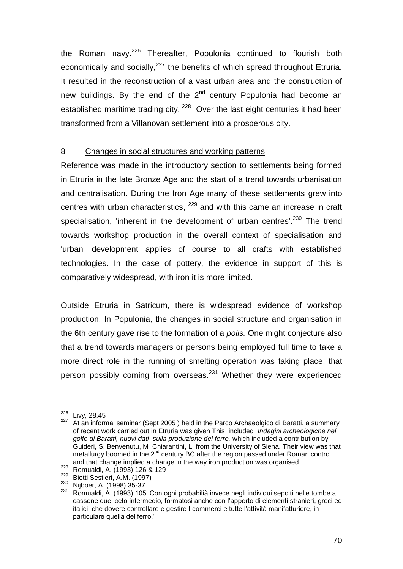the Roman navy.<sup>226</sup> Thereafter, Populonia continued to flourish both economically and socially,  $227$  the benefits of which spread throughout Etruria. It resulted in the reconstruction of a vast urban area and the construction of new buildings. By the end of the  $2<sup>nd</sup>$  century Populonia had become an established maritime trading city.<sup>228</sup> Over the last eight centuries it had been transformed from a Villanovan settlement into a prosperous city.

# 8 Changes in social structures and working patterns

Reference was made in the introductory section to settlements being formed in Etruria in the late Bronze Age and the start of a trend towards urbanisation and centralisation. During the Iron Age many of these settlements grew into centres with urban characteristics, <sup>229</sup> and with this came an increase in craft specialisation. 'inherent in the development of urban centres'.<sup>230</sup> The trend towards workshop production in the overall context of specialisation and 'urban' development applies of course to all crafts with established technologies. In the case of pottery, the evidence in support of this is comparatively widespread, with iron it is more limited.

Outside Etruria in Satricum, there is widespread evidence of workshop production. In Populonia, the changes in social structure and organisation in the 6th century gave rise to the formation of a *polis.* One might conjecture also that a trend towards managers or persons being employed full time to take a more direct role in the running of smelting operation was taking place; that person possibly coming from overseas. $^{231}$  Whether they were experienced

<sup>&</sup>lt;sup>226</sup> Livy, 28,45

<sup>227</sup> At an informal seminar (Sept 2005 ) held in the Parco Archaeolgico di Baratti, a summary of recent work carried out in Etruria was given This included *Indagini archeologiche nel golfo di Baratti, nuovi dati sulla produzione del ferro.* which included a contribution by Guideri, S. Benvenutu, M Chiarantini, L. from the University of Siena. Their view was that metallurgy boomed in the  $2^{nd}$  century BC after the region passed under Roman control and that change implied a change in the way iron production was organised.

<sup>228</sup> Romualdi, A. (1993) 126 & 129

<sup>&</sup>lt;sup>229</sup> Bietti Sestieri, A.M. (1997)<br><sup>230</sup> Nijboor A (1998) 35.37

 $\frac{^{230}}{^{231}}$  Nijboer, A. (1998) 35-37

<sup>231</sup> Romualdi, A. (1993) 105 "Con ogni probabilià invece negli individui sepolti nelle tombe a cassone quel ceto intermedio, formatosi anche con l"apporto di elementi stranieri, greci ed italici, che dovere controllare e gestire I commerci e tutte l"attività manifatturiere, in particulare quella del ferro.'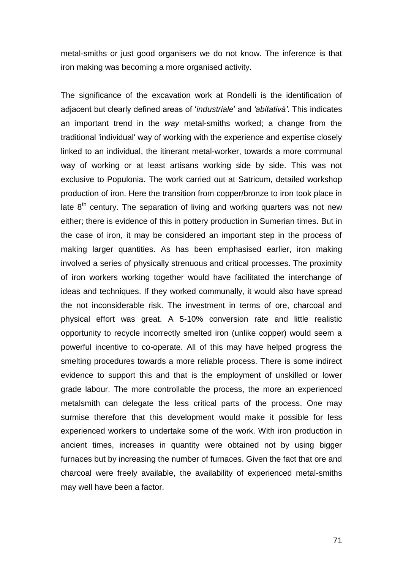metal-smiths or just good organisers we do not know. The inference is that iron making was becoming a more organised activity.

The significance of the excavation work at Rondelli is the identification of adjacent but clearly defined areas of "*industriale*" and *'abitativà'*. This indicates an important trend in the *way* metal-smiths worked; a change from the traditional 'individual' way of working with the experience and expertise closely linked to an individual, the itinerant metal-worker, towards a more communal way of working or at least artisans working side by side. This was not exclusive to Populonia. The work carried out at Satricum, detailed workshop production of iron. Here the transition from copper/bronze to iron took place in late  $8<sup>th</sup>$  century. The separation of living and working quarters was not new either; there is evidence of this in pottery production in Sumerian times. But in the case of iron, it may be considered an important step in the process of making larger quantities. As has been emphasised earlier, iron making involved a series of physically strenuous and critical processes. The proximity of iron workers working together would have facilitated the interchange of ideas and techniques. If they worked communally, it would also have spread the not inconsiderable risk. The investment in terms of ore, charcoal and physical effort was great. A 5-10% conversion rate and little realistic opportunity to recycle incorrectly smelted iron (unlike copper) would seem a powerful incentive to co-operate. All of this may have helped progress the smelting procedures towards a more reliable process. There is some indirect evidence to support this and that is the employment of unskilled or lower grade labour. The more controllable the process, the more an experienced metalsmith can delegate the less critical parts of the process. One may surmise therefore that this development would make it possible for less experienced workers to undertake some of the work. With iron production in ancient times, increases in quantity were obtained not by using bigger furnaces but by increasing the number of furnaces. Given the fact that ore and charcoal were freely available, the availability of experienced metal-smiths may well have been a factor.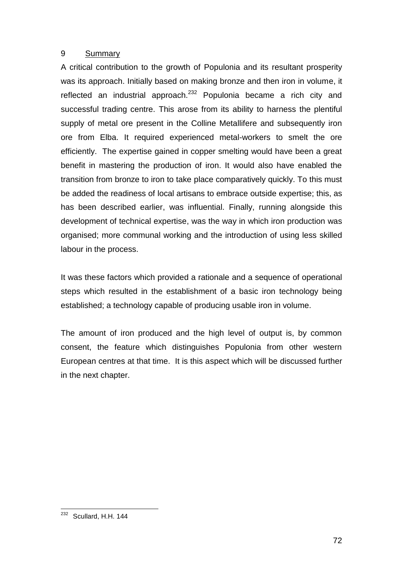# 9 Summary

A critical contribution to the growth of Populonia and its resultant prosperity was its approach. Initially based on making bronze and then iron in volume, it reflected an industrial approach.<sup>232</sup> Populonia became a rich city and successful trading centre. This arose from its ability to harness the plentiful supply of metal ore present in the Colline Metallifere and subsequently iron ore from Elba. It required experienced metal-workers to smelt the ore efficiently. The expertise gained in copper smelting would have been a great benefit in mastering the production of iron. It would also have enabled the transition from bronze to iron to take place comparatively quickly. To this must be added the readiness of local artisans to embrace outside expertise; this, as has been described earlier, was influential. Finally, running alongside this development of technical expertise, was the way in which iron production was organised; more communal working and the introduction of using less skilled labour in the process.

It was these factors which provided a rationale and a sequence of operational steps which resulted in the establishment of a basic iron technology being established; a technology capable of producing usable iron in volume.

The amount of iron produced and the high level of output is, by common consent, the feature which distinguishes Populonia from other western European centres at that time. It is this aspect which will be discussed further in the next chapter.

l  $232$  Scullard, H.H. 144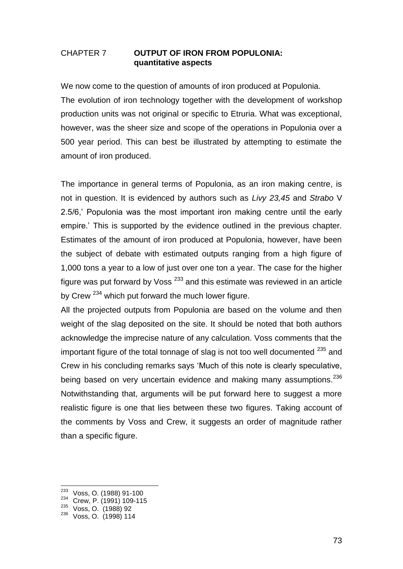### CHAPTER 7 **OUTPUT OF IRON FROM POPULONIA: quantitative aspects**

We now come to the question of amounts of iron produced at Populonia. The evolution of iron technology together with the development of workshop production units was not original or specific to Etruria. What was exceptional, however, was the sheer size and scope of the operations in Populonia over a 500 year period. This can best be illustrated by attempting to estimate the amount of iron produced.

The importance in general terms of Populonia, as an iron making centre, is not in question. It is evidenced by authors such as *Livy 23,45* and *Strabo* V 2.5/6," Populonia was the most important iron making centre until the early empire.' This is supported by the evidence outlined in the previous chapter. Estimates of the amount of iron produced at Populonia, however, have been the subject of debate with estimated outputs ranging from a high figure of 1,000 tons a year to a low of just over one ton a year. The case for the higher figure was put forward by Voss<sup> $233$ </sup> and this estimate was reviewed in an article by Crew <sup>234</sup> which put forward the much lower figure.

All the projected outputs from Populonia are based on the volume and then weight of the slag deposited on the site. It should be noted that both authors acknowledge the imprecise nature of any calculation. Voss comments that the important figure of the total tonnage of slag is not too well documented  $235$  and Crew in his concluding remarks says "Much of this note is clearly speculative, being based on very uncertain evidence and making many assumptions.<sup>236</sup> Notwithstanding that, arguments will be put forward here to suggest a more realistic figure is one that lies between these two figures. Taking account of the comments by Voss and Crew, it suggests an order of magnitude rather than a specific figure.

<sup>233</sup> Voss, O. (1988) 91-100

<sup>&</sup>lt;sup>234</sup> Crew, P. (1991) 109-115

<sup>235</sup> Voss, O. (1988) 92

<sup>236</sup> Voss, O. (1998) 114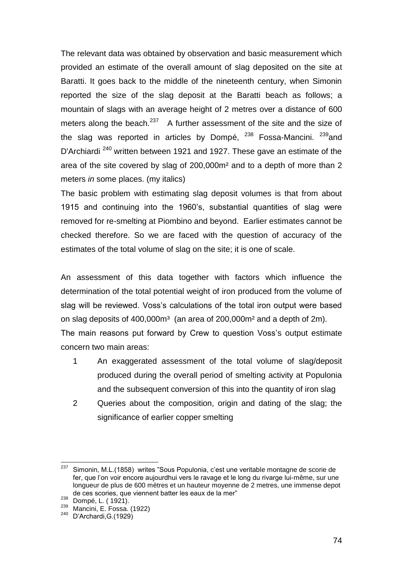The relevant data was obtained by observation and basic measurement which provided an estimate of the overall amount of slag deposited on the site at Baratti. It goes back to the middle of the nineteenth century, when Simonin reported the size of the slag deposit at the Baratti beach as follows; a mountain of slags with an average height of 2 metres over a distance of 600 meters along the beach. $237$  A further assessment of the site and the size of the slag was reported in articles by Dompé, <sup>238</sup> Fossa-Mancini. <sup>239</sup>and D'Archiardi<sup>240</sup> written between 1921 and 1927. These gave an estimate of the area of the site covered by slag of 200,000m² and to a depth of more than 2 meters *in* some places. (my italics)

The basic problem with estimating slag deposit volumes is that from about 1915 and continuing into the 1960"s, substantial quantities of slag were removed for re-smelting at Piombino and beyond. Earlier estimates cannot be checked therefore. So we are faced with the question of accuracy of the estimates of the total volume of slag on the site; it is one of scale.

An assessment of this data together with factors which influence the determination of the total potential weight of iron produced from the volume of slag will be reviewed. Voss's calculations of the total iron output were based on slag deposits of 400,000m<sup>3</sup> (an area of 200,000m<sup>2</sup> and a depth of 2m). The main reasons put forward by Crew to question Voss's output estimate concern two main areas:

- 1 An exaggerated assessment of the total volume of slag/deposit produced during the overall period of smelting activity at Populonia and the subsequent conversion of this into the quantity of iron slag
- 2 Queries about the composition, origin and dating of the slag; the significance of earlier copper smelting

<sup>237</sup> <sup>237</sup> Simonin, M.L.(1858) writes "Sous Populonia, c"est une veritable montagne de scorie de fer, que l"on voir encore aujourdhui vers le ravage et le long du rivarge lui-même, sur une longueur de plus de 600 mètres et un hauteur moyenne de 2 metres, une immense depot de ces scories, que viennent batter les eaux de la mer"

<sup>238</sup> Dompé, L. ( 1921).

<sup>239</sup> Mancini, E. Fossa. (1922)

<sup>240</sup> D"Archardi,G.(1929)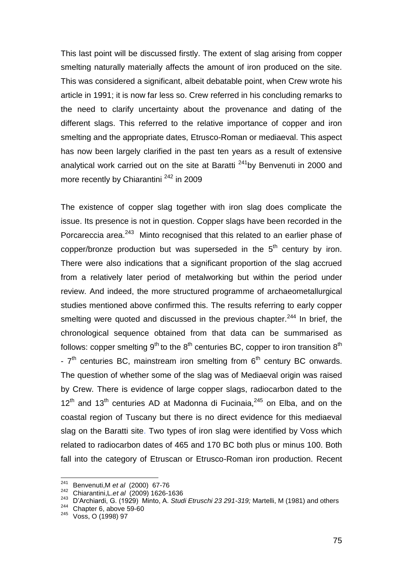This last point will be discussed firstly. The extent of slag arising from copper smelting naturally materially affects the amount of iron produced on the site. This was considered a significant, albeit debatable point, when Crew wrote his article in 1991; it is now far less so. Crew referred in his concluding remarks to the need to clarify uncertainty about the provenance and dating of the different slags. This referred to the relative importance of copper and iron smelting and the appropriate dates, Etrusco-Roman or mediaeval. This aspect has now been largely clarified in the past ten years as a result of extensive analytical work carried out on the site at Baratti<sup>241</sup>by Benvenuti in 2000 and more recently by Chiarantini<sup>242</sup> in 2009

The existence of copper slag together with iron slag does complicate the issue. Its presence is not in question. Copper slags have been recorded in the Porcareccia area.<sup>243</sup> Minto recognised that this related to an earlier phase of copper/bronze production but was superseded in the  $5<sup>th</sup>$  century by iron. There were also indications that a significant proportion of the slag accrued from a relatively later period of metalworking but within the period under review. And indeed, the more structured programme of archaeometallurgical studies mentioned above confirmed this. The results referring to early copper smelting were quoted and discussed in the previous chapter.<sup>244</sup> In brief, the chronological sequence obtained from that data can be summarised as follows: copper smelting 9<sup>th</sup> to the 8<sup>th</sup> centuries BC, copper to iron transition 8<sup>th</sup> -  $7<sup>th</sup>$  centuries BC, mainstream iron smelting from  $6<sup>th</sup>$  century BC onwards. The question of whether some of the slag was of Mediaeval origin was raised by Crew. There is evidence of large copper slags, radiocarbon dated to the  $12<sup>th</sup>$  and  $13<sup>th</sup>$  centuries AD at Madonna di Fucinaia,  $245$  on Elba, and on the coastal region of Tuscany but there is no direct evidence for this mediaeval slag on the Baratti site. Two types of iron slag were identified by Voss which related to radiocarbon dates of 465 and 170 BC both plus or minus 100. Both fall into the category of Etruscan or Etrusco-Roman iron production. Recent

<sup>241</sup> <sup>241</sup> Benvenuti,M *et al* (2000) 67-76

<sup>242</sup> Chiarantini,L.*et al* (2009) 1626-1636

<sup>243</sup> D"Archiardi, G. (1929) Minto, A. *Studi Etruschi 23 291-319;* Martelli, M (1981) and others

Chapter 6, above 59-60

<sup>245</sup> Voss, O (1998) 97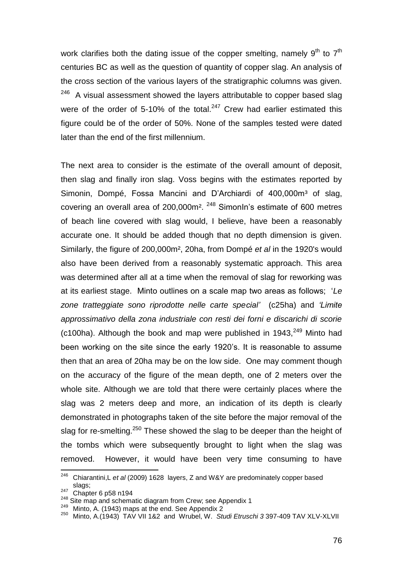work clarifies both the dating issue of the copper smelting, namely  $9<sup>th</sup>$  to  $7<sup>th</sup>$ centuries BC as well as the question of quantity of copper slag. An analysis of the cross section of the various layers of the stratigraphic columns was given. 246 A visual assessment showed the layers attributable to copper based slag were of the order of 5-10% of the total.<sup>247</sup> Crew had earlier estimated this figure could be of the order of 50%. None of the samples tested were dated later than the end of the first millennium.

The next area to consider is the estimate of the overall amount of deposit, then slag and finally iron slag. Voss begins with the estimates reported by Simonin, Dompé, Fossa Mancini and D'Archiardi of 400,000m<sup>3</sup> of slag, covering an overall area of 200,000m². <sup>248</sup> SimonIn"s estimate of 600 metres of beach line covered with slag would, I believe, have been a reasonably accurate one. It should be added though that no depth dimension is given. Similarly, the figure of 200,000m², 20ha, from Dompé *et al* in the 1920's would also have been derived from a reasonably systematic approach. This area was determined after all at a time when the removal of slag for reworking was at its earliest stage. Minto outlines on a scale map two areas as follows; "*Le zone tratteggiate sono riprodotte nelle carte special'* (c25ha) and *'Limite approssimativo della zona industriale con resti dei forni e discarichi di scorie* (c100ha). Although the book and map were published in  $1943$ ,  $249$  Minto had been working on the site since the early 1920"s. It is reasonable to assume then that an area of 20ha may be on the low side. One may comment though on the accuracy of the figure of the mean depth, one of 2 meters over the whole site. Although we are told that there were certainly places where the slag was 2 meters deep and more, an indication of its depth is clearly demonstrated in photographs taken of the site before the major removal of the slag for re-smelting.<sup>250</sup> These showed the slag to be deeper than the height of the tombs which were subsequently brought to light when the slag was removed. However, it would have been very time consuming to have

<sup>246</sup> Chiarantini,L *et al* (2009) 1628 layers, Z and W&Y are predominately copper based slags:

slays,<br><sup>247</sup> Chapter 6 p58 n194

<sup>&</sup>lt;sup>248</sup> Site map and schematic diagram from Crew; see Appendix 1

<sup>249</sup> Minto, A. (1943) maps at the end. See Appendix 2

<sup>250</sup> Minto, A.(1943) TAV VII 1&2 and Wrubel, W. *Studi Etruschi 3* 397-409 TAV XLV-XLVII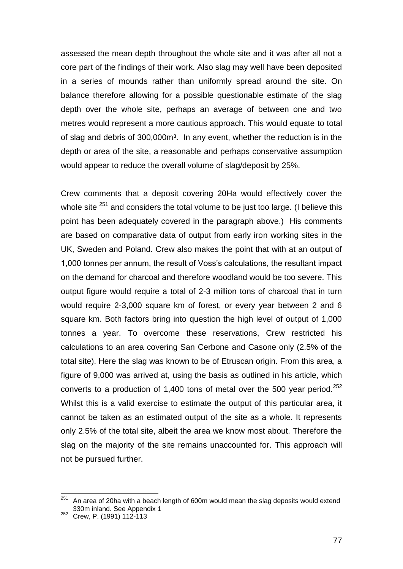assessed the mean depth throughout the whole site and it was after all not a core part of the findings of their work. Also slag may well have been deposited in a series of mounds rather than uniformly spread around the site. On balance therefore allowing for a possible questionable estimate of the slag depth over the whole site, perhaps an average of between one and two metres would represent a more cautious approach. This would equate to total of slag and debris of 300,000m<sup>3</sup>. In any event, whether the reduction is in the depth or area of the site, a reasonable and perhaps conservative assumption would appear to reduce the overall volume of slag/deposit by 25%.

Crew comments that a deposit covering 20Ha would effectively cover the whole site  $251$  and considers the total volume to be just too large. (I believe this point has been adequately covered in the paragraph above.) His comments are based on comparative data of output from early iron working sites in the UK, Sweden and Poland. Crew also makes the point that with at an output of 1,000 tonnes per annum, the result of Voss"s calculations, the resultant impact on the demand for charcoal and therefore woodland would be too severe. This output figure would require a total of 2-3 million tons of charcoal that in turn would require 2-3,000 square km of forest, or every year between 2 and 6 square km. Both factors bring into question the high level of output of 1,000 tonnes a year. To overcome these reservations, Crew restricted his calculations to an area covering San Cerbone and Casone only (2.5% of the total site). Here the slag was known to be of Etruscan origin. From this area, a figure of 9,000 was arrived at, using the basis as outlined in his article, which converts to a production of 1,400 tons of metal over the 500 year period.<sup>252</sup> Whilst this is a valid exercise to estimate the output of this particular area, it cannot be taken as an estimated output of the site as a whole. It represents only 2.5% of the total site, albeit the area we know most about. Therefore the slag on the majority of the site remains unaccounted for. This approach will not be pursued further.

 $251$  An area of 20ha with a beach length of 600m would mean the slag deposits would extend 330m inland. See Appendix 1

<sup>252</sup> Crew, P. (1991) 112-113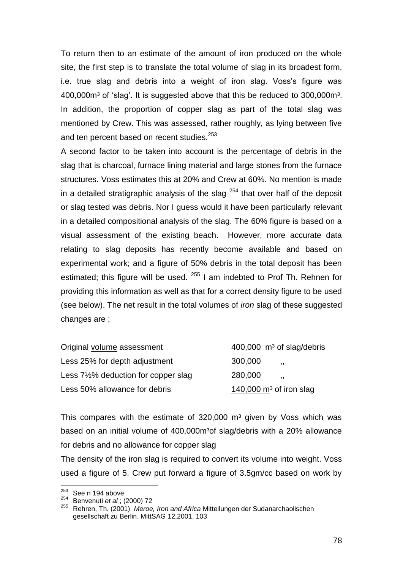To return then to an estimate of the amount of iron produced on the whole site, the first step is to translate the total volume of slag in its broadest form, i.e. true slag and debris into a weight of iron slag. Voss's figure was 400,000m<sup>3</sup> of 'slag'. It is suggested above that this be reduced to 300,000m<sup>3</sup>. In addition, the proportion of copper slag as part of the total slag was mentioned by Crew. This was assessed, rather roughly, as lying between five and ten percent based on recent studies.<sup>253</sup>

A second factor to be taken into account is the percentage of debris in the slag that is charcoal, furnace lining material and large stones from the furnace structures. Voss estimates this at 20% and Crew at 60%. No mention is made in a detailed stratigraphic analysis of the slag  $254$  that over half of the deposit or slag tested was debris. Nor I guess would it have been particularly relevant in a detailed compositional analysis of the slag. The 60% figure is based on a visual assessment of the existing beach. However, more accurate data relating to slag deposits has recently become available and based on experimental work; and a figure of 50% debris in the total deposit has been estimated; this figure will be used.  $255$  I am indebted to Prof Th. Rehnen for providing this information as well as that for a correct density figure to be used (see below). The net result in the total volumes of *iron* slag of these suggested changes are ;

| Original volume assessment                      |         | 400,000 m <sup>3</sup> of slag/debris |
|-------------------------------------------------|---------|---------------------------------------|
| Less 25% for depth adjustment                   | 300,000 | $\overline{\mathbf{1}}$               |
| Less $7\frac{1}{2}\%$ deduction for copper slag | 280,000 | . .                                   |
| Less 50% allowance for debris                   |         | 140,000 $\mathrm{m}^3$ of iron slag   |

This compares with the estimate of  $320,000$  m<sup>3</sup> given by Voss which was based on an initial volume of 400,000m<sup>3</sup> of slag/debris with a 20% allowance for debris and no allowance for copper slag

The density of the iron slag is required to convert its volume into weight. Voss used a figure of 5. Crew put forward a figure of 3.5gm/cc based on work by

<sup>253</sup>  $\frac{253}{254}$  See n 194 above

<sup>&</sup>lt;sup>254</sup> Benvenuti *et al* ; (2000) 72<br><sup>255</sup> Behren Th. (2004), Marca

<sup>255</sup> Rehren, Th. (2001) *Meroe, Iron and Africa* Mitteilungen der Sudanarchaolischen gesellschaft zu Berlin. MittSAG 12,2001, 103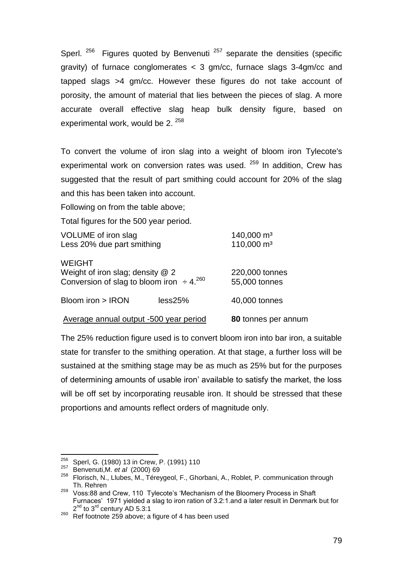Sperl.  $256$  Figures quoted by Benvenuti  $257$  separate the densities (specific gravity) of furnace conglomerates < 3 gm/cc, furnace slags 3-4gm/cc and tapped slags >4 gm/cc. However these figures do not take account of porosity, the amount of material that lies between the pieces of slag. A more accurate overall effective slag heap bulk density figure, based on experimental work, would be 2.<sup>258</sup>

To convert the volume of iron slag into a weight of bloom iron Tylecote's experimental work on conversion rates was used. <sup>259</sup> In addition, Crew has suggested that the result of part smithing could account for 20% of the slag and this has been taken into account.

Following on from the table above;

Total figures for the 500 year period.

| VOLUME of iron slag<br>Less 20% due part smithing                                                      | $140,000 \text{ m}^3$<br>$110,000 \text{ m}^3$ |                                 |  |
|--------------------------------------------------------------------------------------------------------|------------------------------------------------|---------------------------------|--|
| <b>WEIGHT</b><br>Weight of iron slag; density $@$ 2<br>Conversion of slag to bloom iron $\div 4^{260}$ |                                                | 220,000 tonnes<br>55,000 tonnes |  |
| Bloom iron > IRON                                                                                      | less25%                                        | 40,000 tonnes                   |  |
| Average annual output -500 year period                                                                 |                                                | 80 tonnes per annum             |  |

The 25% reduction figure used is to convert bloom iron into bar iron, a suitable state for transfer to the smithing operation. At that stage, a further loss will be sustained at the smithing stage may be as much as 25% but for the purposes of determining amounts of usable iron" available to satisfy the market, the loss will be off set by incorporating reusable iron. It should be stressed that these proportions and amounts reflect orders of magnitude only.

<sup>256</sup>  $\frac{256}{257}$  Sperl, G. (1980) 13 in Crew, P. (1991) 110

<sup>257</sup> Benvenuti,M. *et al* (2000) 69

<sup>258</sup> Florisch, N., Llubes, M., Téreygeol, F., Ghorbani, A., Roblet, P. communication through Th. Rehren

<sup>&</sup>lt;sup>259</sup> Voss:88 and Crew, 110 Tylecote's 'Mechanism of the Bloomery Process in Shaft Furnaces' 1971 yielded a slag to iron ration of 3.2:1.and a later result in Denmark but for 2<sup>nd</sup> to 3<sup>rd</sup> century AD 5.3:1

<sup>260</sup> Ref footnote 259 above; a figure of 4 has been used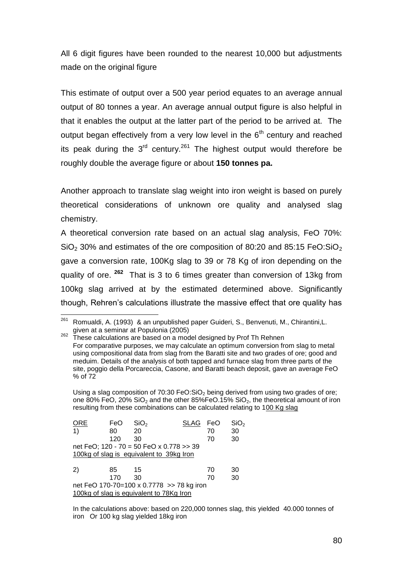All 6 digit figures have been rounded to the nearest 10,000 but adjustments made on the original figure

This estimate of output over a 500 year period equates to an average annual output of 80 tonnes a year. An average annual output figure is also helpful in that it enables the output at the latter part of the period to be arrived at. The output began effectively from a very low level in the  $6<sup>th</sup>$  century and reached its peak during the  $3<sup>rd</sup>$  century.<sup>261</sup> The highest output would therefore be roughly double the average figure or about **150 tonnes pa.**

Another approach to translate slag weight into iron weight is based on purely theoretical considerations of unknown ore quality and analysed slag chemistry.

A theoretical conversion rate based on an actual slag analysis, FeO 70%:  $SiO<sub>2</sub>$  30% and estimates of the ore composition of 80:20 and 85:15 FeO: $SiO<sub>2</sub>$ gave a conversion rate, 100Kg slag to 39 or 78 Kg of iron depending on the quality of ore. **<sup>262</sup>** That is 3 to 6 times greater than conversion of 13kg from 100kg slag arrived at by the estimated determined above. Significantly though, Rehren"s calculations illustrate the massive effect that ore quality has

Using a slag composition of 70:30 FeO: $SiO<sub>2</sub>$  being derived from using two grades of ore; one 80% FeO, 20% SiO<sub>2</sub> and the other 85%FeO.15% SiO<sub>2</sub>, the theoretical amount of iron resulting from these combinations can be calculated relating to 100 Kg slag

| <b>ORE</b>                                     | FeO | SiO <sub>2</sub> | <b>SLAG</b> | FeO | SiO <sub>2</sub> |  |
|------------------------------------------------|-----|------------------|-------------|-----|------------------|--|
| $\left( \begin{matrix} 1 \end{matrix} \right)$ | 80  | 20               |             | 70  | 30               |  |
|                                                | 120 | 30               |             | 70  | 30               |  |
| net FeO; 120 - 70 = 50 FeO x 0.778 > 39        |     |                  |             |     |                  |  |
| 100kg of slag is equivalent to 39kg Iron       |     |                  |             |     |                  |  |
| 2)                                             | 85  | 15               |             | 70  | 30               |  |
|                                                | 170 | 30               |             | 70  | 30               |  |
| net FeO 170-70=100 x 0.7778 >> 78 kg iron      |     |                  |             |     |                  |  |
| 100kg of slag is equivalent to 78Kg Iron       |     |                  |             |     |                  |  |

In the calculations above: based on 220,000 tonnes slag, this yielded 40.000 tonnes of iron Or 100 kg slag yielded 18kg iron

<sup>261</sup> <sup>261</sup> Romualdi, A. (1993) & an unpublished paper Guideri, S., Benvenuti, M., Chirantini,L. given at a seminar at Populonia (2005)

 $262$  These calculations are based on a model designed by Prof Th Rehnen For comparative purposes, we may calculate an optimum conversion from slag to metal using compositional data from slag from the Baratti site and two grades of ore; good and meduim. Details of the analysis of both tapped and furnace slag from three parts of the site, poggio della Porcareccia, Casone, and Baratti beach deposit, gave an average FeO % of 72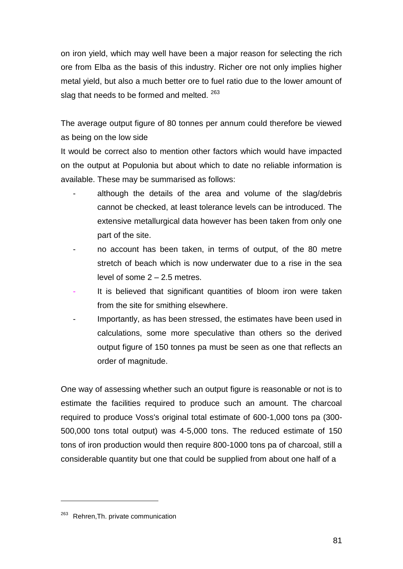on iron yield, which may well have been a major reason for selecting the rich ore from Elba as the basis of this industry. Richer ore not only implies higher metal yield, but also a much better ore to fuel ratio due to the lower amount of slag that needs to be formed and melted. <sup>263</sup>

The average output figure of 80 tonnes per annum could therefore be viewed as being on the low side

It would be correct also to mention other factors which would have impacted on the output at Populonia but about which to date no reliable information is available. These may be summarised as follows:

- although the details of the area and volume of the slag/debris cannot be checked, at least tolerance levels can be introduced. The extensive metallurgical data however has been taken from only one part of the site.
- no account has been taken, in terms of output, of the 80 metre stretch of beach which is now underwater due to a rise in the sea level of some 2 – 2.5 metres.
- It is believed that significant quantities of bloom iron were taken from the site for smithing elsewhere.
- Importantly, as has been stressed, the estimates have been used in calculations, some more speculative than others so the derived output figure of 150 tonnes pa must be seen as one that reflects an order of magnitude.

One way of assessing whether such an output figure is reasonable or not is to estimate the facilities required to produce such an amount. The charcoal required to produce Voss's original total estimate of 600-1,000 tons pa (300- 500,000 tons total output) was 4-5,000 tons. The reduced estimate of 150 tons of iron production would then require 800-1000 tons pa of charcoal, still a considerable quantity but one that could be supplied from about one half of a

<sup>&</sup>lt;sup>263</sup> Rehren, Th. private communication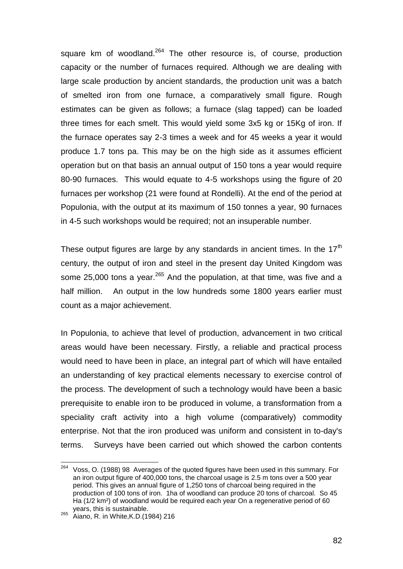square km of woodland.<sup>264</sup> The other resource is, of course, production capacity or the number of furnaces required. Although we are dealing with large scale production by ancient standards, the production unit was a batch of smelted iron from one furnace, a comparatively small figure. Rough estimates can be given as follows; a furnace (slag tapped) can be loaded three times for each smelt. This would yield some 3x5 kg or 15Kg of iron. If the furnace operates say 2-3 times a week and for 45 weeks a year it would produce 1.7 tons pa. This may be on the high side as it assumes efficient operation but on that basis an annual output of 150 tons a year would require 80-90 furnaces. This would equate to 4-5 workshops using the figure of 20 furnaces per workshop (21 were found at Rondelli). At the end of the period at Populonia, with the output at its maximum of 150 tonnes a year, 90 furnaces in 4-5 such workshops would be required; not an insuperable number.

These output figures are large by any standards in ancient times. In the  $17<sup>th</sup>$ century, the output of iron and steel in the present day United Kingdom was some 25,000 tons a year.<sup>265</sup> And the population, at that time, was five and a half million. An output in the low hundreds some 1800 years earlier must count as a major achievement.

In Populonia, to achieve that level of production, advancement in two critical areas would have been necessary. Firstly, a reliable and practical process would need to have been in place, an integral part of which will have entailed an understanding of key practical elements necessary to exercise control of the process. The development of such a technology would have been a basic prerequisite to enable iron to be produced in volume, a transformation from a speciality craft activity into a high volume (comparatively) commodity enterprise. Not that the iron produced was uniform and consistent in to-day's terms. Surveys have been carried out which showed the carbon contents

<sup>264</sup> <sup>264</sup> Voss, O. (1988) 98 Averages of the quoted figures have been used in this summary. For an iron output figure of 400,000 tons, the charcoal usage is 2.5 m tons over a 500 year period. This gives an annual figure of 1,250 tons of charcoal being required in the production of 100 tons of iron. 1ha of woodland can produce 20 tons of charcoal. So 45 Ha (1/2 km²) of woodland would be required each year On a regenerative period of 60 years, this is sustainable.

<sup>265</sup> years, uns is successive.<br><sup>265</sup> Aiano, R. in White, K.D. (1984) 216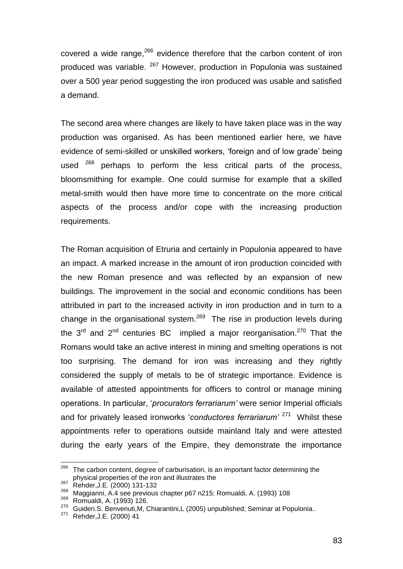covered a wide range,  $266$  evidence therefore that the carbon content of iron produced was variable. <sup>267</sup> However, production in Populonia was sustained over a 500 year period suggesting the iron produced was usable and satisfied a demand.

The second area where changes are likely to have taken place was in the way production was organised. As has been mentioned earlier here, we have evidence of semi-skilled or unskilled workers, "foreign and of low grade" being used  $268$  perhaps to perform the less critical parts of the process, bloomsmithing for example. One could surmise for example that a skilled metal-smith would then have more time to concentrate on the more critical aspects of the process and/or cope with the increasing production requirements.

The Roman acquisition of Etruria and certainly in Populonia appeared to have an impact. A marked increase in the amount of iron production coincided with the new Roman presence and was reflected by an expansion of new buildings. The improvement in the social and economic conditions has been attributed in part to the increased activity in iron production and in turn to a change in the organisational system. $269$  The rise in production levels during the 3<sup>rd</sup> and 2<sup>nd</sup> centuries BC implied a major reorganisation.<sup>270</sup> That the Romans would take an active interest in mining and smelting operations is not too surprising. The demand for iron was increasing and they rightly considered the supply of metals to be of strategic importance. Evidence is available of attested appointments for officers to control or manage mining operations. In particular, "*procurators ferrariarum'* were senior Imperial officials and for privately leased ironworks "*conductores ferrariarum'* <sup>271</sup> Whilst these appointments refer to operations outside mainland Italy and were attested during the early years of the Empire, they demonstrate the importance

<sup>266</sup> The carbon content, degree of carburisation, is an important factor determining the physical properties of the iron and illustrates the

<sup>267</sup> Rehder, J.E. (2000) 131-132

<sup>&</sup>lt;sup>268</sup> Maggianni, A.4 see previous chapter p67 n215; Romualdi, A. (1993) 108

 $\frac{269}{270}$  Romualdi, A. (1993) 126.

<sup>&</sup>lt;sup>270</sup> Guideri.S. Benvenuti,M, Chiarantini,L (2005) unpublished; Seminar at Populonia..<br><sup>271</sup> Bobder J.E. (2000) 44

Rehder, J.E. (2000) 41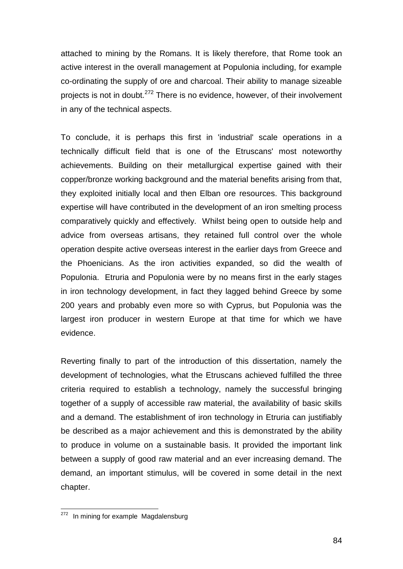attached to mining by the Romans. It is likely therefore, that Rome took an active interest in the overall management at Populonia including, for example co-ordinating the supply of ore and charcoal. Their ability to manage sizeable projects is not in doubt.<sup>272</sup> There is no evidence, however, of their involvement in any of the technical aspects.

To conclude, it is perhaps this first in 'industrial' scale operations in a technically difficult field that is one of the Etruscans' most noteworthy achievements. Building on their metallurgical expertise gained with their copper/bronze working background and the material benefits arising from that, they exploited initially local and then Elban ore resources. This background expertise will have contributed in the development of an iron smelting process comparatively quickly and effectively. Whilst being open to outside help and advice from overseas artisans, they retained full control over the whole operation despite active overseas interest in the earlier days from Greece and the Phoenicians. As the iron activities expanded, so did the wealth of Populonia. Etruria and Populonia were by no means first in the early stages in iron technology development, in fact they lagged behind Greece by some 200 years and probably even more so with Cyprus, but Populonia was the largest iron producer in western Europe at that time for which we have evidence.

Reverting finally to part of the introduction of this dissertation, namely the development of technologies, what the Etruscans achieved fulfilled the three criteria required to establish a technology, namely the successful bringing together of a supply of accessible raw material, the availability of basic skills and a demand. The establishment of iron technology in Etruria can justifiably be described as a major achievement and this is demonstrated by the ability to produce in volume on a sustainable basis. It provided the important link between a supply of good raw material and an ever increasing demand. The demand, an important stimulus, will be covered in some detail in the next chapter.

<sup>&</sup>lt;sup>272</sup> In mining for example Magdalensburg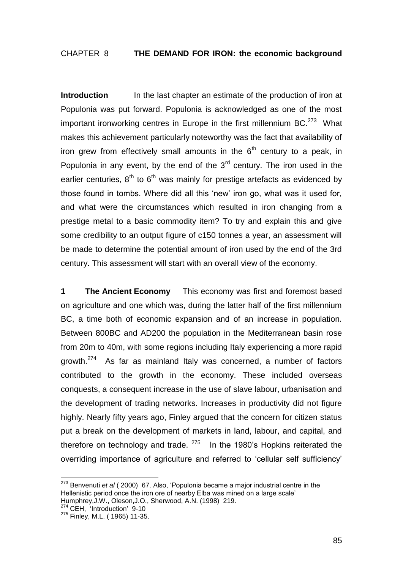# CHAPTER 8 **THE DEMAND FOR IRON: the economic background**

**Introduction** In the last chapter an estimate of the production of iron at Populonia was put forward. Populonia is acknowledged as one of the most important ironworking centres in Europe in the first millennium BC. $273$  What makes this achievement particularly noteworthy was the fact that availability of iron grew from effectively small amounts in the  $6<sup>th</sup>$  century to a peak, in Populonia in any event, by the end of the  $3<sup>rd</sup>$  century. The iron used in the earlier centuries,  $8<sup>th</sup>$  to  $6<sup>th</sup>$  was mainly for prestige artefacts as evidenced by those found in tombs. Where did all this 'new' iron go, what was it used for, and what were the circumstances which resulted in iron changing from a prestige metal to a basic commodity item? To try and explain this and give some credibility to an output figure of c150 tonnes a year, an assessment will be made to determine the potential amount of iron used by the end of the 3rd century. This assessment will start with an overall view of the economy.

**1 The Ancient Economy** This economy was first and foremost based on agriculture and one which was, during the latter half of the first millennium BC, a time both of economic expansion and of an increase in population. Between 800BC and AD200 the population in the Mediterranean basin rose from 20m to 40m, with some regions including Italy experiencing a more rapid growth.<sup>274</sup> As far as mainland Italy was concerned, a number of factors contributed to the growth in the economy. These included overseas conquests, a consequent increase in the use of slave labour, urbanisation and the development of trading networks. Increases in productivity did not figure highly. Nearly fifty years ago, Finley argued that the concern for citizen status put a break on the development of markets in land, labour, and capital, and therefore on technology and trade.  $275$  In the 1980's Hopkins reiterated the overriding importance of agriculture and referred to "cellular self sufficiency"

<sup>273</sup> Benvenuti *et al* ( 2000) 67. Also, "Populonia became a major industrial centre in the Hellenistic period once the iron ore of nearby Elba was mined on a large scale' Humphrey,J.W., Oleson,J.O., Sherwood, A.N. (1998) 219.

<sup>&</sup>lt;sup>274</sup> CEH, 'Introduction' 9-10

<sup>&</sup>lt;sup>275</sup> Finley, M.L. ( 1965) 11-35.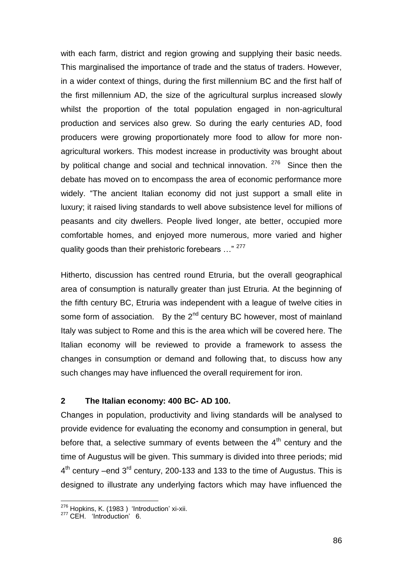with each farm, district and region growing and supplying their basic needs. This marginalised the importance of trade and the status of traders. However, in a wider context of things, during the first millennium BC and the first half of the first millennium AD, the size of the agricultural surplus increased slowly whilst the proportion of the total population engaged in non-agricultural production and services also grew. So during the early centuries AD, food producers were growing proportionately more food to allow for more nonagricultural workers. This modest increase in productivity was brought about by political change and social and technical innovation. <sup>276</sup> Since then the debate has moved on to encompass the area of economic performance more widely. "The ancient Italian economy did not just support a small elite in luxury; it raised living standards to well above subsistence level for millions of peasants and city dwellers. People lived longer, ate better, occupied more comfortable homes, and enjoyed more numerous, more varied and higher quality goods than their prehistoric forebears ..." <sup>277</sup>

Hitherto, discussion has centred round Etruria, but the overall geographical area of consumption is naturally greater than just Etruria. At the beginning of the fifth century BC, Etruria was independent with a league of twelve cities in some form of association. By the  $2^{nd}$  century BC however, most of mainland Italy was subject to Rome and this is the area which will be covered here. The Italian economy will be reviewed to provide a framework to assess the changes in consumption or demand and following that, to discuss how any such changes may have influenced the overall requirement for iron.

# **2 The Italian economy: 400 BC- AD 100.**

Changes in population, productivity and living standards will be analysed to provide evidence for evaluating the economy and consumption in general, but before that, a selective summary of events between the  $4<sup>th</sup>$  century and the time of Augustus will be given. This summary is divided into three periods; mid  $4<sup>th</sup>$  century –end 3<sup>rd</sup> century, 200-133 and 133 to the time of Augustus. This is designed to illustrate any underlying factors which may have influenced the

<sup>&</sup>lt;sup>276</sup> Hopkins, K. (1983 ) 'Introduction' xi-xii.

<sup>&</sup>lt;sup>277</sup> CEH. 'Introduction' 6.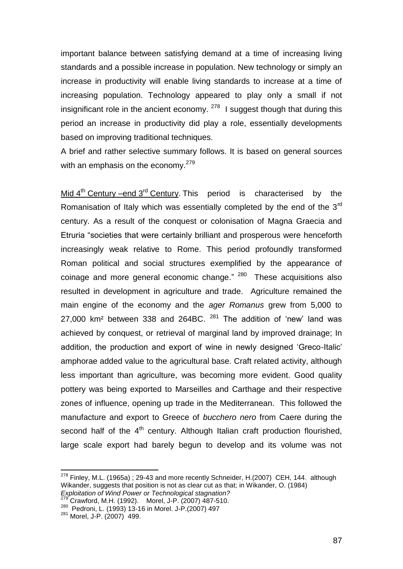important balance between satisfying demand at a time of increasing living standards and a possible increase in population. New technology or simply an increase in productivity will enable living standards to increase at a time of increasing population. Technology appeared to play only a small if not insignificant role in the ancient economy.  $278$  I suggest though that during this period an increase in productivity did play a role, essentially developments based on improving traditional techniques.

A brief and rather selective summary follows. It is based on general sources with an emphasis on the economy. $279$ 

Mid  $4<sup>th</sup>$  Century –end  $3<sup>rd</sup>$  Century. This period is characterised by the Romanisation of Italy which was essentially completed by the end of the 3<sup>rd</sup> century. As a result of the conquest or colonisation of Magna Graecia and Etruria "societies that were certainly brilliant and prosperous were henceforth increasingly weak relative to Rome. This period profoundly transformed Roman political and social structures exemplified by the appearance of coinage and more general economic change." <sup>280</sup> These acquisitions also resulted in development in agriculture and trade. Agriculture remained the main engine of the economy and the *ager Romanus* grew from 5,000 to 27,000 km<sup>2</sup> between 338 and 264BC.  $281$  The addition of 'new' land was achieved by conquest, or retrieval of marginal land by improved drainage; In addition, the production and export of wine in newly designed "Greco-Italic" amphorae added value to the agricultural base. Craft related activity, although less important than agriculture, was becoming more evident. Good quality pottery was being exported to Marseilles and Carthage and their respective zones of influence, opening up trade in the Mediterranean. This followed the manufacture and export to Greece of *bucchero nero* from Caere during the second half of the  $4<sup>th</sup>$  century. Although Italian craft production flourished, large scale export had barely begun to develop and its volume was not

 $278$  Finley, M.L. (1965a) : 29-43 and more recently Schneider, H. (2007) CEH, 144. although Wikander, suggests that position is not as clear cut as that; in Wikander, O. (1984) *Exploitation of Wind Power or Technological stagnation?*

<sup>279</sup> Crawford, M.H. (1992). Morel, J-P. (2007) 487-510.

<sup>280</sup> Pedroni, L. (1993) 13-16 in Morel. J-P.(2007) 497

<sup>281</sup> Morel, J-P. (2007) 499.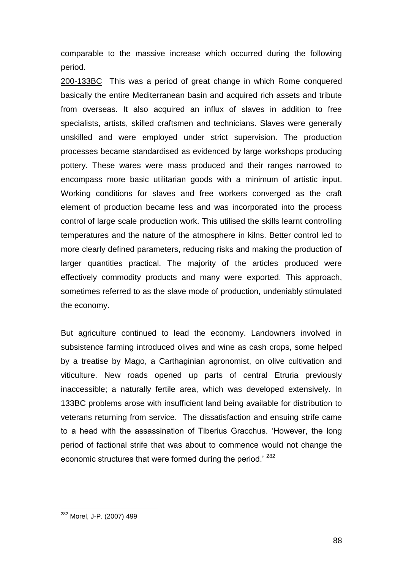comparable to the massive increase which occurred during the following period.

200-133BC This was a period of great change in which Rome conquered basically the entire Mediterranean basin and acquired rich assets and tribute from overseas. It also acquired an influx of slaves in addition to free specialists, artists, skilled craftsmen and technicians. Slaves were generally unskilled and were employed under strict supervision. The production processes became standardised as evidenced by large workshops producing pottery. These wares were mass produced and their ranges narrowed to encompass more basic utilitarian goods with a minimum of artistic input. Working conditions for slaves and free workers converged as the craft element of production became less and was incorporated into the process control of large scale production work. This utilised the skills learnt controlling temperatures and the nature of the atmosphere in kilns. Better control led to more clearly defined parameters, reducing risks and making the production of larger quantities practical. The majority of the articles produced were effectively commodity products and many were exported. This approach, sometimes referred to as the slave mode of production, undeniably stimulated the economy.

But agriculture continued to lead the economy. Landowners involved in subsistence farming introduced olives and wine as cash crops, some helped by a treatise by Mago, a Carthaginian agronomist, on olive cultivation and viticulture. New roads opened up parts of central Etruria previously inaccessible; a naturally fertile area, which was developed extensively. In 133BC problems arose with insufficient land being available for distribution to veterans returning from service. The dissatisfaction and ensuing strife came to a head with the assassination of Tiberius Gracchus. "However, the long period of factional strife that was about to commence would not change the economic structures that were formed during the period.<sup>' 282</sup>

<sup>&</sup>lt;sup>282</sup> Morel, J-P. (2007) 499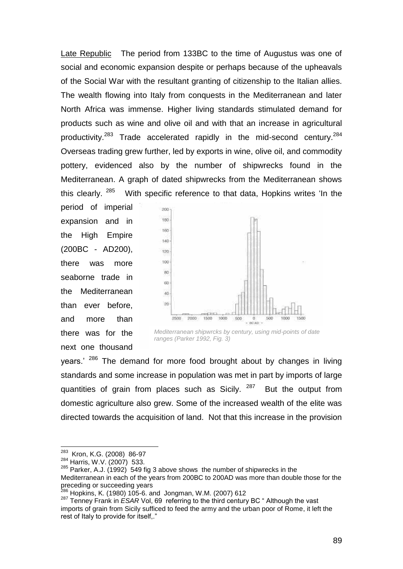Late Republic The period from 133BC to the time of Augustus was one of social and economic expansion despite or perhaps because of the upheavals of the Social War with the resultant granting of citizenship to the Italian allies. The wealth flowing into Italy from conquests in the Mediterranean and later North Africa was immense. Higher living standards stimulated demand for products such as wine and olive oil and with that an increase in agricultural productivity.<sup>283</sup> Trade accelerated rapidly in the mid-second century.<sup>284</sup> Overseas trading grew further, led by exports in wine, olive oil, and commodity pottery, evidenced also by the number of shipwrecks found in the Mediterranean. A graph of dated shipwrecks from the Mediterranean shows this clearly. <sup>285</sup> With specific reference to that data, Hopkins writes 'In the

period of imperial expansion and in the High Empire (200BC - AD200), there was more seaborne trade in the Mediterranean than ever before, and more than there was for the next one thousand



*Mediterranean shipwrcks by century, using mid-points of date ranges (Parker 1992, Fig. 3)*

years." <sup>286</sup> The demand for more food brought about by changes in living standards and some increase in population was met in part by imports of large quantities of grain from places such as Sicily. 287 But the output from domestic agriculture also grew. Some of the increased wealth of the elite was directed towards the acquisition of land. Not that this increase in the provision

<sup>&</sup>lt;sup>283</sup> Kron, K.G. (2008) 86-97

<sup>284</sup> Harris, W.V. (2007) 533.

 $285$  Parker, A.J. (1992) 549 fig 3 above shows the number of shipwrecks in the Mediterranean in each of the years from 200BC to 200AD was more than double those for the preceding or succeeding years

<sup>286</sup> Hopkins, K. (1980) 105-6. and Jongman, W.M. (2007) 612

<sup>287</sup> Tenney Frank in *ESAR* Vol, 69 referring to the third century BC " Although the vast imports of grain from Sicily sufficed to feed the army and the urban poor of Rome, it left the rest of Italy to provide for itself,."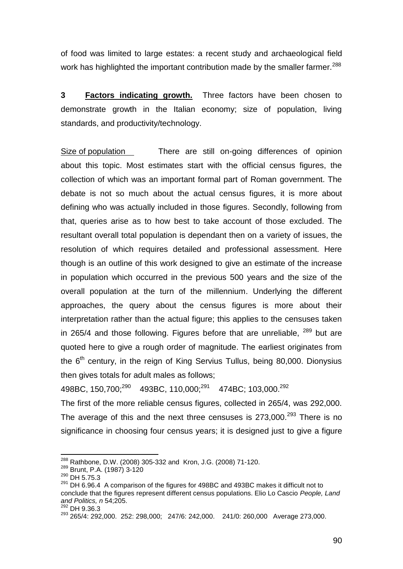of food was limited to large estates: a recent study and archaeological field work has highlighted the important contribution made by the smaller farmer.<sup>288</sup>

**3 Factors indicating growth.** Three factors have been chosen to demonstrate growth in the Italian economy; size of population, living standards, and productivity/technology.

Size of population There are still on-going differences of opinion about this topic. Most estimates start with the official census figures, the collection of which was an important formal part of Roman government. The debate is not so much about the actual census figures, it is more about defining who was actually included in those figures. Secondly, following from that, queries arise as to how best to take account of those excluded. The resultant overall total population is dependant then on a variety of issues, the resolution of which requires detailed and professional assessment. Here though is an outline of this work designed to give an estimate of the increase in population which occurred in the previous 500 years and the size of the overall population at the turn of the millennium. Underlying the different approaches, the query about the census figures is more about their interpretation rather than the actual figure; this applies to the censuses taken in 265/4 and those following. Figures before that are unreliable,  $289$  but are quoted here to give a rough order of magnitude. The earliest originates from the  $6<sup>th</sup>$  century, in the reign of King Servius Tullus, being 80,000. Dionysius then gives totals for adult males as follows;

498BC, 150,700;<sup>290</sup> 493BC, 110,000;<sup>291</sup> 474BC; 103,000.<sup>292</sup> The first of the more reliable census figures, collected in 265/4, was 292,000. The average of this and the next three censuses is  $273,000$ .<sup>293</sup> There is no

significance in choosing four census years; it is designed just to give a figure

l <sup>288</sup> Rathbone, D.W. (2008) 305-332 and Kron, J.G. (2008) 71-120.

<sup>289</sup> Brunt, P.A. (1987) 3-120

<sup>290</sup> DH 5.75.3

 $291$  DH 6.96.4 A comparison of the figures for 498BC and 493BC makes it difficult not to conclude that the figures represent different census populations. Elio Lo Cascio *People, Land and Politics, n* 54;205.

 $292$  DH 9.36.3

<sup>293</sup> 265/4: 292,000. 252: 298,000; 247/6: 242,000. 241/0: 260,000 Average 273,000.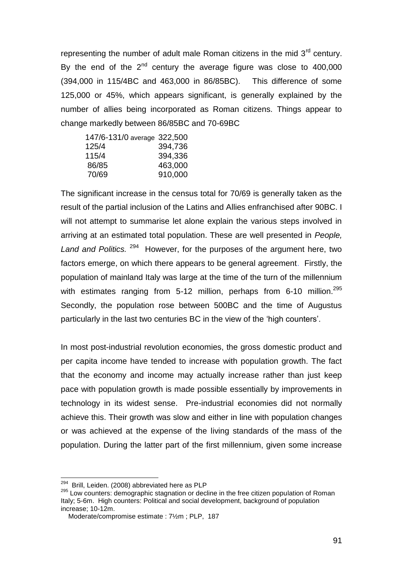representing the number of adult male Roman citizens in the mid  $3<sup>rd</sup>$  century. By the end of the  $2^{nd}$  century the average figure was close to 400,000 (394,000 in 115/4BC and 463,000 in 86/85BC). This difference of some 125,000 or 45%, which appears significant, is generally explained by the number of allies being incorporated as Roman citizens. Things appear to change markedly between 86/85BC and 70-69BC

| 147/6-131/0 average 322,500 |         |
|-----------------------------|---------|
| 125/4                       | 394,736 |
| 115/4                       | 394,336 |
| 86/85                       | 463,000 |
| 70/69                       | 910,000 |

The significant increase in the census total for 70/69 is generally taken as the result of the partial inclusion of the Latins and Allies enfranchised after 90BC. I will not attempt to summarise let alone explain the various steps involved in arriving at an estimated total population. These are well presented in *People, Land and Politics.* <sup>294</sup> However, for the purposes of the argument here, two factors emerge, on which there appears to be general agreement. Firstly, the population of mainland Italy was large at the time of the turn of the millennium with estimates ranging from 5-12 million, perhaps from 6-10 million. $^{295}$ Secondly, the population rose between 500BC and the time of Augustus particularly in the last two centuries BC in the view of the "high counters".

In most post-industrial revolution economies, the gross domestic product and per capita income have tended to increase with population growth. The fact that the economy and income may actually increase rather than just keep pace with population growth is made possible essentially by improvements in technology in its widest sense. Pre-industrial economies did not normally achieve this. Their growth was slow and either in line with population changes or was achieved at the expense of the living standards of the mass of the population. During the latter part of the first millennium, given some increase

<sup>&</sup>lt;sup>294</sup> Brill, Leiden. (2008) abbreviated here as PLP

<sup>&</sup>lt;sup>295</sup> Low counters: demographic stagnation or decline in the free citizen population of Roman Italy; 5-6m. High counters: Political and social development, background of population increase; 10-12m.

Moderate/compromise estimate : 7½m ; PLP, 187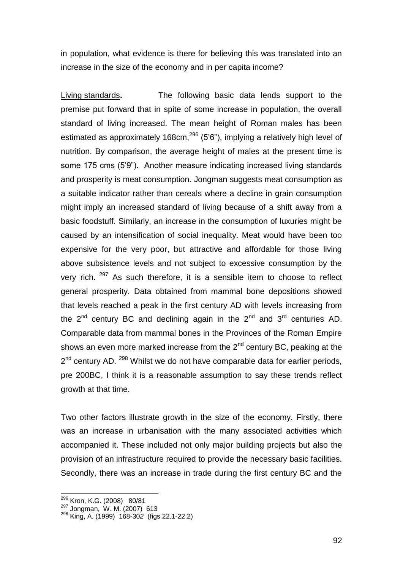in population, what evidence is there for believing this was translated into an increase in the size of the economy and in per capita income?

Living standards**.** The following basic data lends support to the premise put forward that in spite of some increase in population, the overall standard of living increased. The mean height of Roman males has been estimated as approximately 168 $cm<sup>296</sup>$  (5'6"), implying a relatively high level of nutrition. By comparison, the average height of males at the present time is some 175 cms (5'9"). Another measure indicating increased living standards and prosperity is meat consumption. Jongman suggests meat consumption as a suitable indicator rather than cereals where a decline in grain consumption might imply an increased standard of living because of a shift away from a basic foodstuff. Similarly, an increase in the consumption of luxuries might be caused by an intensification of social inequality. Meat would have been too expensive for the very poor, but attractive and affordable for those living above subsistence levels and not subject to excessive consumption by the very rich. <sup>297</sup> As such therefore, it is a sensible item to choose to reflect general prosperity. Data obtained from mammal bone depositions showed that levels reached a peak in the first century AD with levels increasing from the  $2^{nd}$  century BC and declining again in the  $2^{nd}$  and  $3^{rd}$  centuries AD. Comparable data from mammal bones in the Provinces of the Roman Empire shows an even more marked increase from the  $2<sup>nd</sup>$  century BC, peaking at the 2<sup>nd</sup> century AD. <sup>298</sup> Whilst we do not have comparable data for earlier periods, pre 200BC, I think it is a reasonable assumption to say these trends reflect growth at that time.

Two other factors illustrate growth in the size of the economy. Firstly, there was an increase in urbanisation with the many associated activities which accompanied it. These included not only major building projects but also the provision of an infrastructure required to provide the necessary basic facilities. Secondly, there was an increase in trade during the first century BC and the

<sup>296</sup> Kron, K.G. (2008) 80/81

<sup>&</sup>lt;sup>297</sup> Jongman, W. M. (2007) 613

<sup>298</sup> King, A. (1999) 168-30*2* (figs 22.1-22.2)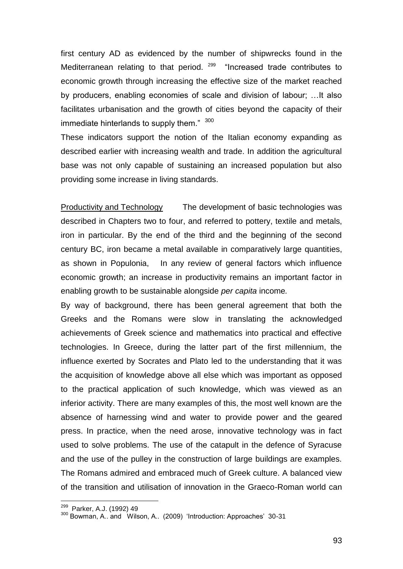first century AD as evidenced by the number of shipwrecks found in the Mediterranean relating to that period.  $299$  "Increased trade contributes to economic growth through increasing the effective size of the market reached by producers, enabling economies of scale and division of labour; …It also facilitates urbanisation and the growth of cities beyond the capacity of their immediate hinterlands to supply them." 300

These indicators support the notion of the Italian economy expanding as described earlier with increasing wealth and trade. In addition the agricultural base was not only capable of sustaining an increased population but also providing some increase in living standards.

Productivity and Technology The development of basic technologies was described in Chapters two to four, and referred to pottery, textile and metals, iron in particular. By the end of the third and the beginning of the second century BC, iron became a metal available in comparatively large quantities, as shown in Populonia, In any review of general factors which influence economic growth; an increase in productivity remains an important factor in enabling growth to be sustainable alongside *per capita* income*.* 

By way of background, there has been general agreement that both the Greeks and the Romans were slow in translating the acknowledged achievements of Greek science and mathematics into practical and effective technologies. In Greece, during the latter part of the first millennium, the influence exerted by Socrates and Plato led to the understanding that it was the acquisition of knowledge above all else which was important as opposed to the practical application of such knowledge, which was viewed as an inferior activity. There are many examples of this, the most well known are the absence of harnessing wind and water to provide power and the geared press. In practice, when the need arose, innovative technology was in fact used to solve problems. The use of the catapult in the defence of Syracuse and the use of the pulley in the construction of large buildings are examples. The Romans admired and embraced much of Greek culture. A balanced view of the transition and utilisation of innovation in the Graeco-Roman world can

<sup>&</sup>lt;sup>299</sup> Parker, A.J. (1992) 49

 $300$  Bowman, A.. and Wilson, A.. (2009) 'Introduction: Approaches' 30-31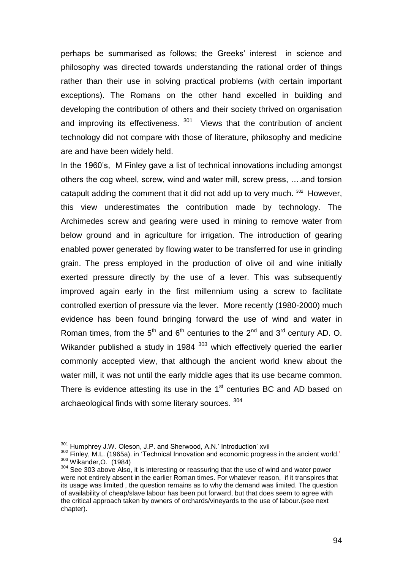perhaps be summarised as follows; the Greeks" interest in science and philosophy was directed towards understanding the rational order of things rather than their use in solving practical problems (with certain important exceptions). The Romans on the other hand excelled in building and developing the contribution of others and their society thrived on organisation and improving its effectiveness.  $301$  Views that the contribution of ancient technology did not compare with those of literature, philosophy and medicine are and have been widely held.

In the 1960"s, M Finley gave a list of technical innovations including amongst others the cog wheel, screw, wind and water mill, screw press, ….and torsion catapult adding the comment that it did not add up to very much. <sup>302</sup> However, this view underestimates the contribution made by technology. The Archimedes screw and gearing were used in mining to remove water from below ground and in agriculture for irrigation. The introduction of gearing enabled power generated by flowing water to be transferred for use in grinding grain. The press employed in the production of olive oil and wine initially exerted pressure directly by the use of a lever. This was subsequently improved again early in the first millennium using a screw to facilitate controlled exertion of pressure via the lever. More recently (1980-2000) much evidence has been found bringing forward the use of wind and water in Roman times, from the  $5<sup>th</sup>$  and  $6<sup>th</sup>$  centuries to the  $2<sup>nd</sup>$  and  $3<sup>rd</sup>$  century AD. O. Wikander published a study in 1984<sup>303</sup> which effectively queried the earlier commonly accepted view, that although the ancient world knew about the water mill, it was not until the early middle ages that its use became common. There is evidence attesting its use in the  $1<sup>st</sup>$  centuries BC and AD based on archaeological finds with some literary sources. <sup>304</sup>

<sup>&</sup>lt;sup>301</sup> Humphrey J.W. Oleson, J.P. and Sherwood, A.N.' Introduction' xvii

<sup>302</sup> Finley, M.L. (1965a). in 'Technical Innovation and economic progress in the ancient world.' <sup>303</sup> Wikander,O. (1984)

<sup>304</sup> See 303 above Also, it is interesting or reassuring that the use of wind and water power were not entirely absent in the earlier Roman times. For whatever reason, if it transpires that its usage was limited , the question remains as to why the demand was limited. The question of availability of cheap/slave labour has been put forward, but that does seem to agree with the critical approach taken by owners of orchards/vineyards to the use of labour.(see next chapter).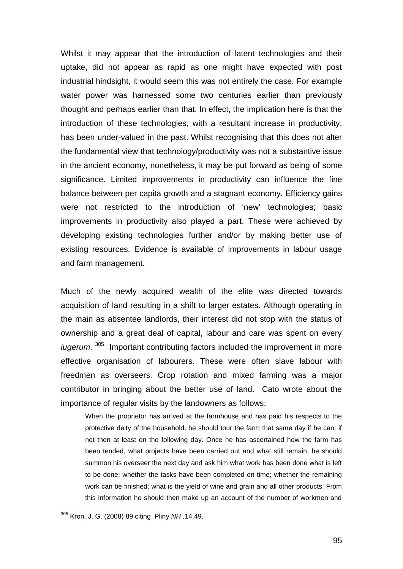Whilst it may appear that the introduction of latent technologies and their uptake, did not appear as rapid as one might have expected with post industrial hindsight, it would seem this was not entirely the case. For example water power was harnessed some two centuries earlier than previously thought and perhaps earlier than that. In effect, the implication here is that the introduction of these technologies, with a resultant increase in productivity, has been under-valued in the past. Whilst recognising that this does not alter the fundamental view that technology/productivity was not a substantive issue in the ancient economy, nonetheless, it may be put forward as being of some significance. Limited improvements in productivity can influence the fine balance between per capita growth and a stagnant economy. Efficiency gains were not restricted to the introduction of 'new' technologies; basic improvements in productivity also played a part. These were achieved by developing existing technologies further and/or by making better use of existing resources. Evidence is available of improvements in labour usage and farm management.

Much of the newly acquired wealth of the elite was directed towards acquisition of land resulting in a shift to larger estates. Although operating in the main as absentee landlords, their interest did not stop with the status of ownership and a great deal of capital, labour and care was spent on every iugerum.<sup>305</sup> Important contributing factors included the improvement in more effective organisation of labourers. These were often slave labour with freedmen as overseers. Crop rotation and mixed farming was a major contributor in bringing about the better use of land. Cato wrote about the importance of regular visits by the landowners as follows;

When the proprietor has arrived at the farmhouse and has paid his respects to the protective deity of the household, he should tour the farm that same day if he can; if not then at least on the following day. Once he has ascertained how the farm has been tended, what projects have been carried out and what still remain, he should summon his overseer the next day and ask him what work has been done what is left to be done; whether the tasks have been completed on time; whether the remaining work can be finished; what is the yield of wine and grain and all other products. From this information he should then make up an account of the number of workmen and

 $\overline{a}$ 

<sup>305</sup> Kron, J. G. (2008) 89 citing Pliny *NH .*14.49.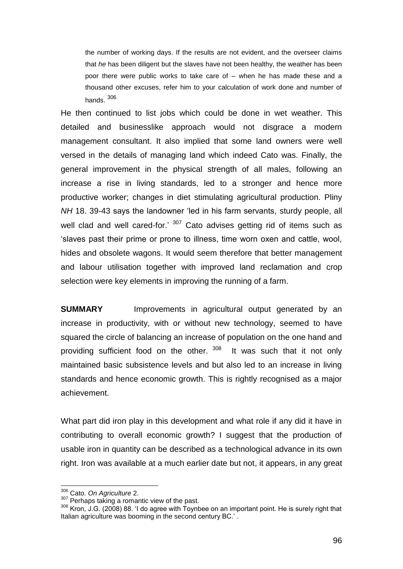the number of working days. If the results are not evident, and the overseer claims that *he* has been diligent but the slaves have not been healthy, the weather has been poor there were public works to take care of – when he has made these and a thousand other excuses, refer him to your calculation of work done and number of hands. <sup>306</sup>

He then continued to list jobs which could be done in wet weather. This detailed and businesslike approach would not disgrace a modern management consultant. It also implied that some land owners were well versed in the details of managing land which indeed Cato was. Finally, the general improvement in the physical strength of all males, following an increase a rise in living standards, led to a stronger and hence more productive worker; changes in diet stimulating agricultural production. Pliny *NH* 18. 39-43 says the landowner "led in his farm servants, sturdy people, all well clad and well cared-for.'  $307$  Cato advises getting rid of items such as "slaves past their prime or prone to illness, time worn oxen and cattle, wool, hides and obsolete wagons. It would seem therefore that better management and labour utilisation together with improved land reclamation and crop selection were key elements in improving the running of a farm.

**SUMMARY** Improvements in agricultural output generated by an increase in productivity, with or without new technology, seemed to have squared the circle of balancing an increase of population on the one hand and providing sufficient food on the other. 308 It was such that it not only maintained basic subsistence levels and but also led to an increase in living standards and hence economic growth. This is rightly recognised as a major achievement.

What part did iron play in this development and what role if any did it have in contributing to overall economic growth? I suggest that the production of usable iron in quantity can be described as a technological advance in its own right. Iron was available at a much earlier date but not, it appears, in any great

<sup>306</sup> Cato. *On Agriculture* 2.

<sup>&</sup>lt;sup>307</sup> Perhaps taking a romantic view of the past.

<sup>&</sup>lt;sup>308</sup> Kron, J.G. (2008) 88. 'I do agree with Toynbee on an important point. He is surely right that Italian agriculture was booming in the second century BC.'.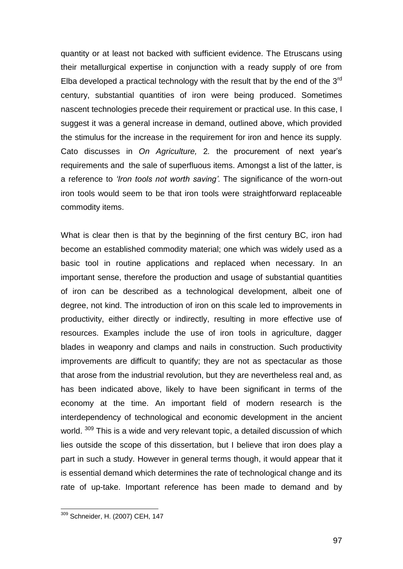quantity or at least not backed with sufficient evidence. The Etruscans using their metallurgical expertise in conjunction with a ready supply of ore from Elba developed a practical technology with the result that by the end of the  $3<sup>rd</sup>$ century, substantial quantities of iron were being produced. Sometimes nascent technologies precede their requirement or practical use. In this case, I suggest it was a general increase in demand, outlined above, which provided the stimulus for the increase in the requirement for iron and hence its supply. Cato discusses in *On Agriculture,* 2*.* the procurement of next year"s requirements and the sale of superfluous items. Amongst a list of the latter, is a reference to *'Iron tools not worth saving'.* The significance of the worn-out iron tools would seem to be that iron tools were straightforward replaceable commodity items.

What is clear then is that by the beginning of the first century BC, iron had become an established commodity material; one which was widely used as a basic tool in routine applications and replaced when necessary. In an important sense, therefore the production and usage of substantial quantities of iron can be described as a technological development, albeit one of degree, not kind. The introduction of iron on this scale led to improvements in productivity, either directly or indirectly, resulting in more effective use of resources. Examples include the use of iron tools in agriculture, dagger blades in weaponry and clamps and nails in construction. Such productivity improvements are difficult to quantify; they are not as spectacular as those that arose from the industrial revolution, but they are nevertheless real and, as has been indicated above, likely to have been significant in terms of the economy at the time. An important field of modern research is the interdependency of technological and economic development in the ancient world. <sup>309</sup> This is a wide and very relevant topic, a detailed discussion of which lies outside the scope of this dissertation, but I believe that iron does play a part in such a study. However in general terms though, it would appear that it is essential demand which determines the rate of technological change and its rate of up-take. Important reference has been made to demand and by

l <sup>309</sup> Schneider, H. (2007) CEH, 147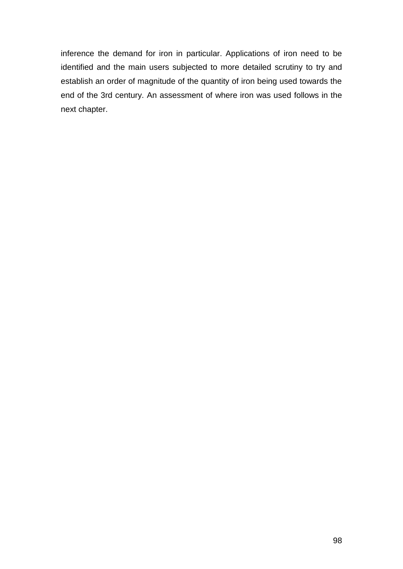inference the demand for iron in particular. Applications of iron need to be identified and the main users subjected to more detailed scrutiny to try and establish an order of magnitude of the quantity of iron being used towards the end of the 3rd century. An assessment of where iron was used follows in the next chapter.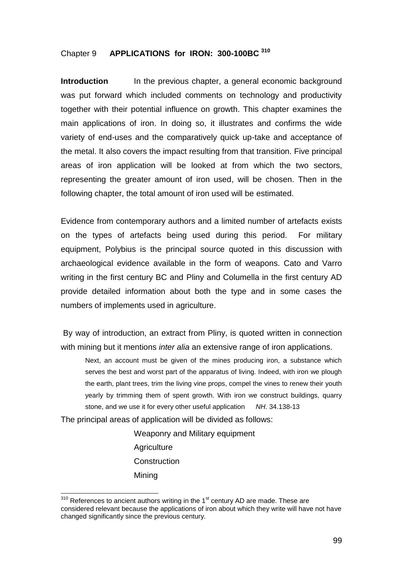# Chapter 9 **APPLICATIONS for IRON: 300-100BC <sup>310</sup>**

**Introduction** In the previous chapter, a general economic background was put forward which included comments on technology and productivity together with their potential influence on growth. This chapter examines the main applications of iron. In doing so, it illustrates and confirms the wide variety of end-uses and the comparatively quick up-take and acceptance of the metal. It also covers the impact resulting from that transition. Five principal areas of iron application will be looked at from which the two sectors, representing the greater amount of iron used, will be chosen. Then in the following chapter, the total amount of iron used will be estimated.

Evidence from contemporary authors and a limited number of artefacts exists on the types of artefacts being used during this period. For military equipment, Polybius is the principal source quoted in this discussion with archaeological evidence available in the form of weapons. Cato and Varro writing in the first century BC and Pliny and Columella in the first century AD provide detailed information about both the type and in some cases the numbers of implements used in agriculture.

By way of introduction, an extract from Pliny, is quoted written in connection with mining but it mentions *inter alia* an extensive range of iron applications.

Next, an account must be given of the mines producing iron, a substance which serves the best and worst part of the apparatus of living. Indeed, with iron we plough the earth, plant trees, trim the living vine props, compel the vines to renew their youth yearly by trimming them of spent growth. With iron we construct buildings, quarry stone, and we use it for every other useful application *NH.* 34.138-13

The principal areas of application will be divided as follows:

l

Weaponry and Military equipment **Agriculture Construction** Mining

 $310$  References to ancient authors writing in the 1<sup>st</sup> century AD are made. These are considered relevant because the applications of iron about which they write will have not have changed significantly since the previous century.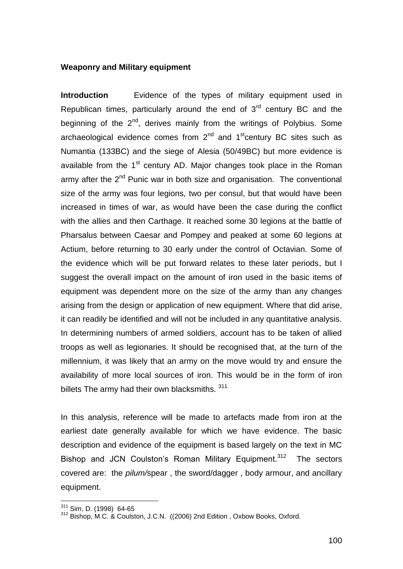#### **Weaponry and Military equipment**

**Introduction** Evidence of the types of military equipment used in Republican times, particularly around the end of  $3<sup>rd</sup>$  century BC and the beginning of the 2<sup>nd</sup>, derives mainly from the writings of Polybius. Some archaeological evidence comes from  $2^{nd}$  and  $1^{st}$ century BC sites such as Numantia (133BC) and the siege of Alesia (50/49BC) but more evidence is available from the  $1<sup>st</sup>$  century AD. Major changes took place in the Roman army after the  $2^{nd}$  Punic war in both size and organisation. The conventional size of the army was four legions, two per consul, but that would have been increased in times of war, as would have been the case during the conflict with the allies and then Carthage. It reached some 30 legions at the battle of Pharsalus between Caesar and Pompey and peaked at some 60 legions at Actium, before returning to 30 early under the control of Octavian. Some of the evidence which will be put forward relates to these later periods, but I suggest the overall impact on the amount of iron used in the basic items of equipment was dependent more on the size of the army than any changes arising from the design or application of new equipment. Where that did arise, it can readily be identified and will not be included in any quantitative analysis. In determining numbers of armed soldiers, account has to be taken of allied troops as well as legionaries. It should be recognised that, at the turn of the millennium, it was likely that an army on the move would try and ensure the availability of more local sources of iron. This would be in the form of iron billets The army had their own blacksmiths. 311

In this analysis, reference will be made to artefacts made from iron at the earliest date generally available for which we have evidence. The basic description and evidence of the equipment is based largely on the text in MC Bishop and JCN Coulston's Roman Military Equipment.<sup>312</sup> The sectors covered are: the *pilum/*spear , the sword/dagger , body armour, and ancillary equipment.

<sup>&</sup>lt;sup>311</sup> Sim, D. (1998) 64-65

<sup>&</sup>lt;sup>312</sup> Bishop, M.C. & Coulston, J.C.N. ((2006) 2nd Edition, Oxbow Books, Oxford.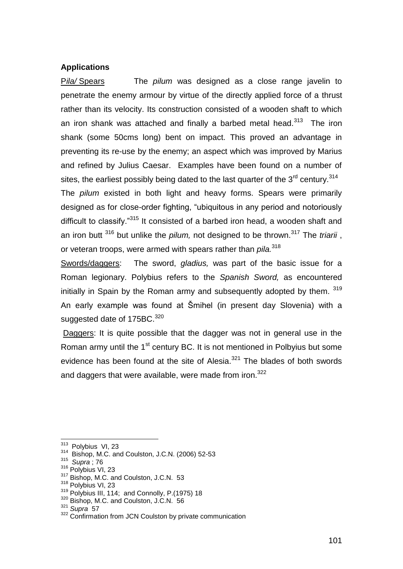### **Applications**

P*ila/* Spears The *pilum* was designed as a close range javelin to penetrate the enemy armour by virtue of the directly applied force of a thrust rather than its velocity. Its construction consisted of a wooden shaft to which an iron shank was attached and finally a barbed metal head.<sup>313</sup> The iron shank (some 50cms long) bent on impact. This proved an advantage in preventing its re-use by the enemy; an aspect which was improved by Marius and refined by Julius Caesar. Examples have been found on a number of sites, the earliest possibly being dated to the last quarter of the  $3<sup>rd</sup>$  century.<sup>314</sup> The *pilum* existed in both light and heavy forms. Spears were primarily designed as for close-order fighting, "ubiquitous in any period and notoriously difficult to classify."<sup>315</sup> It consisted of a barbed iron head, a wooden shaft and an iron butt <sup>316</sup> but unlike the *pilum,* not designed to be thrown.<sup>317</sup> The *triarii* , or veteran troops, were armed with spears rather than *pila.*<sup>318</sup>

Swords/daggers: The sword, *gladius,* was part of the basic issue for a Roman legionary. Polybius refers to the *Spanish Sword,* as encountered initially in Spain by the Roman army and subsequently adopted by them. 319 An early example was found at Šmihel (in present day Slovenia) with a suggested date of 175BC.<sup>320</sup>

Daggers: It is quite possible that the dagger was not in general use in the Roman army until the 1<sup>st</sup> century BC. It is not mentioned in Polbyius but some evidence has been found at the site of Alesia. $321$  The blades of both swords and daggers that were available, were made from iron. $322$ 

<sup>&</sup>lt;sup>313</sup> Polybius VI, 23

<sup>314</sup> Bishop, M.C. and Coulston, J.C.N. (2006) 52-53

<sup>315</sup> *Supra* ; 76

<sup>316</sup> Polybius VI, 23

<sup>&</sup>lt;sup>317</sup> Bishop, M.C. and Coulston, J.C.N. 53

<sup>318</sup> Polybius VI, 23

<sup>319</sup> Polybius III, 114; and Connolly, P.(1975) 18

<sup>320</sup> Bishop, M.C. and Coulston, J.C.N. 56

<sup>321</sup> *Supra* 57

<sup>&</sup>lt;sup>322</sup> Confirmation from JCN Coulston by private communication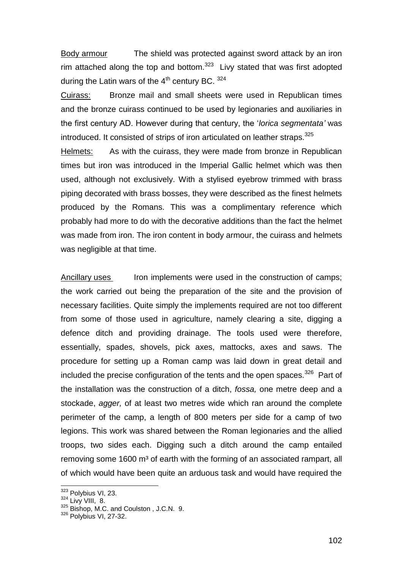Body armour The shield was protected against sword attack by an iron rim attached along the top and bottom. $323$  Livy stated that was first adopted during the Latin wars of the  $4<sup>th</sup>$  century BC.  $324$ 

Cuirass: Bronze mail and small sheets were used in Republican times and the bronze cuirass continued to be used by legionaries and auxiliaries in the first century AD. However during that century, the "*lorica segmentata'* was introduced. It consisted of strips of iron articulated on leather straps.<sup>325</sup>

Helmets: As with the cuirass, they were made from bronze in Republican times but iron was introduced in the Imperial Gallic helmet which was then used, although not exclusively. With a stylised eyebrow trimmed with brass piping decorated with brass bosses, they were described as the finest helmets produced by the Romans. This was a complimentary reference which probably had more to do with the decorative additions than the fact the helmet was made from iron. The iron content in body armour, the cuirass and helmets was negligible at that time.

Ancillary uses Iron implements were used in the construction of camps; the work carried out being the preparation of the site and the provision of necessary facilities. Quite simply the implements required are not too different from some of those used in agriculture, namely clearing a site, digging a defence ditch and providing drainage. The tools used were therefore, essentially, spades, shovels, pick axes, mattocks, axes and saws. The procedure for setting up a Roman camp was laid down in great detail and included the precise configuration of the tents and the open spaces.<sup>326</sup> Part of the installation was the construction of a ditch, *fossa,* one metre deep and a stockade, *agger,* of at least two metres wide which ran around the complete perimeter of the camp, a length of 800 meters per side for a camp of two legions. This work was shared between the Roman legionaries and the allied troops, two sides each. Digging such a ditch around the camp entailed removing some 1600 m<sup>3</sup> of earth with the forming of an associated rampart, all of which would have been quite an arduous task and would have required the

<sup>&</sup>lt;sup>323</sup> Polybius VI, 23.

 $324$  Livy VIII, 8.

<sup>325</sup> Bishop, M.C. and Coulston, J.C.N. 9.

<sup>326</sup> Polybius VI, 27-32.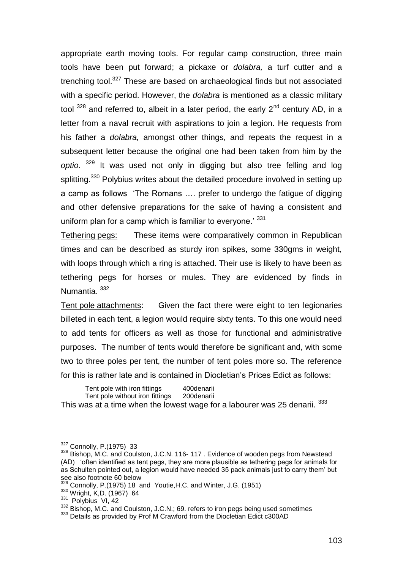appropriate earth moving tools. For regular camp construction, three main tools have been put forward; a pickaxe or *dolabra,* a turf cutter and a trenching tool.<sup>327</sup> These are based on archaeological finds but not associated with a specific period. However, the *dolabra* is mentioned as a classic military tool  $328$  and referred to, albeit in a later period, the early  $2<sup>nd</sup>$  century AD, in a letter from a naval recruit with aspirations to join a legion. He requests from his father a *dolabra,* amongst other things, and repeats the request in a subsequent letter because the original one had been taken from him by the *optio*. <sup>329</sup> It was used not only in digging but also tree felling and log splitting.<sup>330</sup> Polybius writes about the detailed procedure involved in setting up a camp as follows "The Romans …. prefer to undergo the fatigue of digging and other defensive preparations for the sake of having a consistent and uniform plan for a camp which is familiar to everyone.<sup> $331$ </sup>

Tethering pegs: These items were comparatively common in Republican times and can be described as sturdy iron spikes, some 330gms in weight, with loops through which a ring is attached. Their use is likely to have been as tethering pegs for horses or mules. They are evidenced by finds in Numantia. <sup>332</sup>

Tent pole attachments: Given the fact there were eight to ten legionaries billeted in each tent, a legion would require sixty tents. To this one would need to add tents for officers as well as those for functional and administrative purposes. The number of tents would therefore be significant and, with some two to three poles per tent, the number of tent poles more so. The reference for this is rather late and is contained in Diocletian"s Prices Edict as follows:

Tent pole with iron fittings 400 denarii<br>Tent pole without iron fittings 200 denarii Tent pole without iron fittings This was at a time when the lowest wage for a labourer was 25 denarii. 333

<sup>&</sup>lt;sup>327</sup> Connolly, P.(1975) 33

 $328$  Bishop, M.C. and Coulston, J.C.N. 116-117. Evidence of wooden pegs from Newstead (AD) "often identified as tent pegs, they are more plausible as tethering pegs for animals for as Schulten pointed out, a legion would have needed 35 pack animals just to carry them" but see also footnote 60 below

<sup>&</sup>lt;sup>329</sup> Connolly, P.(1975) 18 and Youtie, H.C. and Winter, J.G. (1951)

<sup>330</sup> Wright, K,D. (1967) 64

<sup>&</sup>lt;sup>331</sup> Polybius VI, 42

<sup>332</sup> Bishop, M.C. and Coulston, J.C.N.; 69. refers to iron pegs being used sometimes

<sup>333</sup> Details as provided by Prof M Crawford from the Diocletian Edict c300AD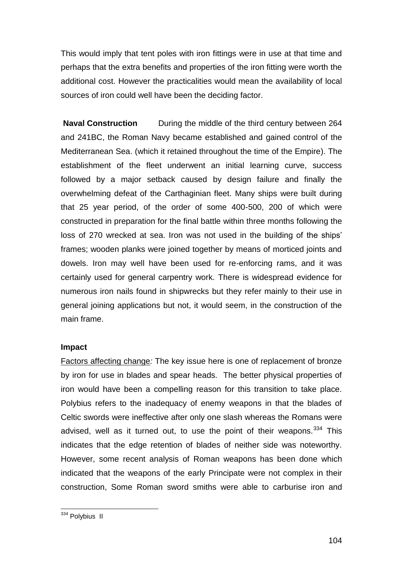This would imply that tent poles with iron fittings were in use at that time and perhaps that the extra benefits and properties of the iron fitting were worth the additional cost. However the practicalities would mean the availability of local sources of iron could well have been the deciding factor.

**Naval Construction** During the middle of the third century between 264 and 241BC, the Roman Navy became established and gained control of the Mediterranean Sea. (which it retained throughout the time of the Empire). The establishment of the fleet underwent an initial learning curve, success followed by a major setback caused by design failure and finally the overwhelming defeat of the Carthaginian fleet. Many ships were built during that 25 year period, of the order of some 400-500, 200 of which were constructed in preparation for the final battle within three months following the loss of 270 wrecked at sea. Iron was not used in the building of the ships' frames; wooden planks were joined together by means of morticed joints and dowels. Iron may well have been used for re-enforcing rams, and it was certainly used for general carpentry work. There is widespread evidence for numerous iron nails found in shipwrecks but they refer mainly to their use in general joining applications but not, it would seem, in the construction of the main frame.

# **Impact**

Factors affecting change*:* The key issue here is one of replacement of bronze by iron for use in blades and spear heads. The better physical properties of iron would have been a compelling reason for this transition to take place. Polybius refers to the inadequacy of enemy weapons in that the blades of Celtic swords were ineffective after only one slash whereas the Romans were advised, well as it turned out, to use the point of their weapons.  $334$  This indicates that the edge retention of blades of neither side was noteworthy. However, some recent analysis of Roman weapons has been done which indicated that the weapons of the early Principate were not complex in their construction, Some Roman sword smiths were able to carburise iron and

l <sup>334</sup> Polybius II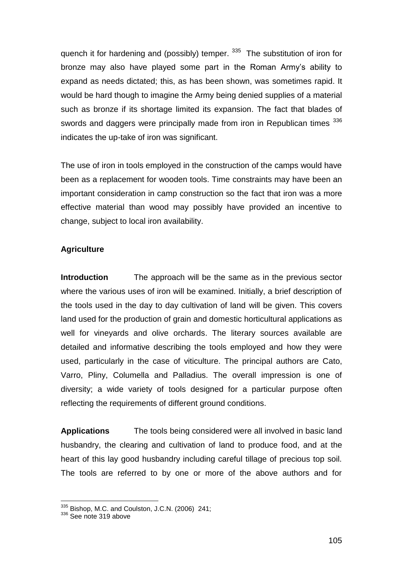quench it for hardening and (possibly) temper. <sup>335</sup> The substitution of iron for bronze may also have played some part in the Roman Army"s ability to expand as needs dictated; this, as has been shown, was sometimes rapid. It would be hard though to imagine the Army being denied supplies of a material such as bronze if its shortage limited its expansion. The fact that blades of swords and daggers were principally made from iron in Republican times 336 indicates the up-take of iron was significant.

The use of iron in tools employed in the construction of the camps would have been as a replacement for wooden tools. Time constraints may have been an important consideration in camp construction so the fact that iron was a more effective material than wood may possibly have provided an incentive to change, subject to local iron availability.

# **Agriculture**

**Introduction** The approach will be the same as in the previous sector where the various uses of iron will be examined. Initially, a brief description of the tools used in the day to day cultivation of land will be given. This covers land used for the production of grain and domestic horticultural applications as well for vineyards and olive orchards. The literary sources available are detailed and informative describing the tools employed and how they were used, particularly in the case of viticulture. The principal authors are Cato, Varro, Pliny, Columella and Palladius. The overall impression is one of diversity; a wide variety of tools designed for a particular purpose often reflecting the requirements of different ground conditions.

**Applications** The tools being considered were all involved in basic land husbandry, the clearing and cultivation of land to produce food, and at the heart of this lay good husbandry including careful tillage of precious top soil. The tools are referred to by one or more of the above authors and for

 $335$  Bishop, M.C. and Coulston, J.C.N. (2006) 241;

<sup>336</sup> See note 319 above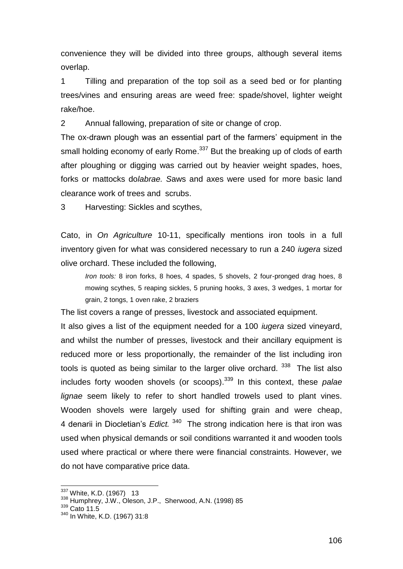convenience they will be divided into three groups, although several items overlap.

1 Tilling and preparation of the top soil as a seed bed or for planting trees/vines and ensuring areas are weed free: spade/shovel, lighter weight rake/hoe.

2 Annual fallowing, preparation of site or change of crop.

The ox-drawn plough was an essential part of the farmers' equipment in the small holding economy of early Rome.<sup>337</sup> But the breaking up of clods of earth after ploughing or digging was carried out by heavier weight spades, hoes, forks or mattocks do*labrae. S*aws and axes were used for more basic land clearance work of trees and scrubs.

3 Harvesting: Sickles and scythes,

Cato, in *On Agriculture* 10-11, specifically mentions iron tools in a full inventory given for what was considered necessary to run a 240 *iugera* sized olive orchard. These included the following,

*Iron tools:* 8 iron forks, 8 hoes, 4 spades, 5 shovels, 2 four-pronged drag hoes, 8 mowing scythes, 5 reaping sickles, 5 pruning hooks, 3 axes, 3 wedges, 1 mortar for grain, 2 tongs, 1 oven rake, 2 braziers

The list covers a range of presses, livestock and associated equipment.

It also gives a list of the equipment needed for a 100 *iugera* sized vineyard, and whilst the number of presses, livestock and their ancillary equipment is reduced more or less proportionally, the remainder of the list including iron tools is quoted as being similar to the larger olive orchard. <sup>338</sup> The list also includes forty wooden shovels (or scoops). <sup>339</sup> In this context, these *palae lignae* seem likely to refer to short handled trowels used to plant vines. Wooden shovels were largely used for shifting grain and were cheap, 4 denarii in Diocletian"s *Edict.* <sup>340</sup> The strong indication here is that iron was used when physical demands or soil conditions warranted it and wooden tools used where practical or where there were financial constraints. However, we do not have comparative price data.

<sup>&</sup>lt;sup>337</sup> White, K.D. (1967) 13

<sup>338</sup> Humphrey, J.W., Oleson, J.P., Sherwood, A.N. (1998) 85

<sup>339</sup> Cato 11.5

<sup>340</sup> In White, K.D. (1967) 31:8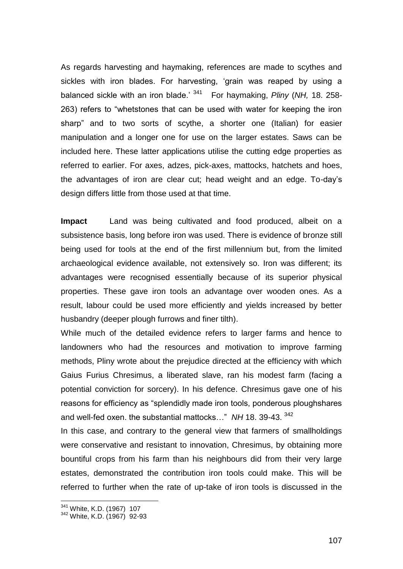As regards harvesting and haymaking, references are made to scythes and sickles with iron blades. For harvesting, "grain was reaped by using a balanced sickle with an iron blade." <sup>341</sup> For haymaking, *Pliny* (*NH,* 18. 258- 263) refers to "whetstones that can be used with water for keeping the iron sharp" and to two sorts of scythe, a shorter one (Italian) for easier manipulation and a longer one for use on the larger estates. Saws can be included here. These latter applications utilise the cutting edge properties as referred to earlier. For axes, adzes, pick-axes, mattocks, hatchets and hoes, the advantages of iron are clear cut; head weight and an edge. To-day"s design differs little from those used at that time.

**Impact** Land was being cultivated and food produced, albeit on a subsistence basis, long before iron was used. There is evidence of bronze still being used for tools at the end of the first millennium but, from the limited archaeological evidence available, not extensively so. Iron was different; its advantages were recognised essentially because of its superior physical properties. These gave iron tools an advantage over wooden ones. As a result, labour could be used more efficiently and yields increased by better husbandry (deeper plough furrows and finer tilth).

While much of the detailed evidence refers to larger farms and hence to landowners who had the resources and motivation to improve farming methods, Pliny wrote about the prejudice directed at the efficiency with which Gaius Furius Chresimus, a liberated slave, ran his modest farm (facing a potential conviction for sorcery). In his defence. Chresimus gave one of his reasons for efficiency as "splendidly made iron tools, ponderous ploughshares and well-fed oxen. the substantial mattocks…" *NH* 18. 39-43. <sup>342</sup>

In this case, and contrary to the general view that farmers of smallholdings were conservative and resistant to innovation, Chresimus, by obtaining more bountiful crops from his farm than his neighbours did from their very large estates, demonstrated the contribution iron tools could make. This will be referred to further when the rate of up-take of iron tools is discussed in the

<sup>&</sup>lt;sup>341</sup> White, K.D. (1967) 107

<sup>342</sup> White, K.D. (1967) 92-93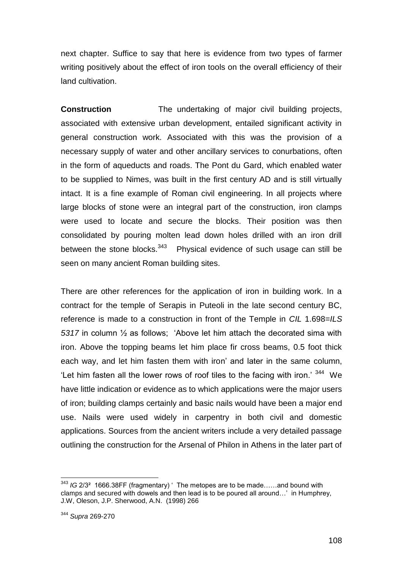next chapter. Suffice to say that here is evidence from two types of farmer writing positively about the effect of iron tools on the overall efficiency of their land cultivation.

**Construction** The undertaking of major civil building projects, associated with extensive urban development, entailed significant activity in general construction work. Associated with this was the provision of a necessary supply of water and other ancillary services to conurbations, often in the form of aqueducts and roads. The Pont du Gard, which enabled water to be supplied to Nimes, was built in the first century AD and is still virtually intact. It is a fine example of Roman civil engineering. In all projects where large blocks of stone were an integral part of the construction, iron clamps were used to locate and secure the blocks. Their position was then consolidated by pouring molten lead down holes drilled with an iron drill between the stone blocks.<sup>343</sup> Physical evidence of such usage can still be seen on many ancient Roman building sites.

There are other references for the application of iron in building work. In a contract for the temple of Serapis in Puteoli in the late second century BC, reference is made to a construction in front of the Temple in *CIL* 1.698=*ILS 5317* in column ½ as follows; "Above let him attach the decorated sima with iron. Above the topping beams let him place fir cross beams, 0.5 foot thick each way, and let him fasten them with iron' and later in the same column, 'Let him fasten all the lower rows of roof tiles to the facing with iron.'  $344$  We have little indication or evidence as to which applications were the major users of iron; building clamps certainly and basic nails would have been a major end use. Nails were used widely in carpentry in both civil and domestic applications. Sources from the ancient writers include a very detailed passage outlining the construction for the Arsenal of Philon in Athens in the later part of

l <sup>343</sup> IG 2/3<sup>2</sup> 1666.38FF (fragmentary) ' The metopes are to be made......and bound with clamps and secured with dowels and then lead is to be poured all around…" in Humphrey, J.W, Oleson, J.P. Sherwood, A.N. (1998) 266

<sup>344</sup> *Supra* 269-270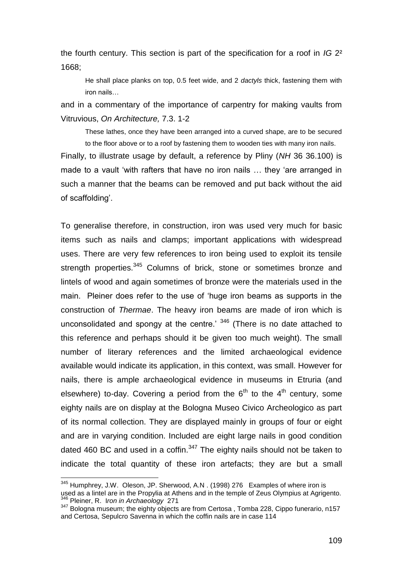the fourth century. This section is part of the specification for a roof in *IG* 2² 1668;

He shall place planks on top, 0.5 feet wide, and 2 *dactyls* thick, fastening them with iron nails…

and in a commentary of the importance of carpentry for making vaults from Vitruvious, *On Architecture,* 7.3. 1-2

These lathes, once they have been arranged into a curved shape, are to be secured to the floor above or to a roof by fastening them to wooden ties with many iron nails.

Finally, to illustrate usage by default, a reference by Pliny (*NH* 36 36.100) is made to a vault 'with rafters that have no iron nails ... they 'are arranged in such a manner that the beams can be removed and put back without the aid of scaffolding".

To generalise therefore, in construction, iron was used very much for basic items such as nails and clamps; important applications with widespread uses. There are very few references to iron being used to exploit its tensile strength properties.<sup>345</sup> Columns of brick, stone or sometimes bronze and lintels of wood and again sometimes of bronze were the materials used in the main. Pleiner does refer to the use of "huge iron beams as supports in the construction of *Thermae*. The heavy iron beams are made of iron which is unconsolidated and spongy at the centre.<sup> $346$ </sup> (There is no date attached to this reference and perhaps should it be given too much weight). The small number of literary references and the limited archaeological evidence available would indicate its application, in this context, was small. However for nails, there is ample archaeological evidence in museums in Etruria (and elsewhere) to-day. Covering a period from the  $6<sup>th</sup>$  to the  $4<sup>th</sup>$  century, some eighty nails are on display at the Bologna Museo Civico Archeologico as part of its normal collection. They are displayed mainly in groups of four or eight and are in varying condition. Included are eight large nails in good condition dated 460 BC and used in a coffin. $347$  The eighty nails should not be taken to indicate the total quantity of these iron artefacts; they are but a small

<sup>&</sup>lt;sup>345</sup> Humphrey, J.W. Oleson, JP. Sherwood, A.N. (1998) 276 Examples of where iron is used as a lintel are in the Propylia at Athens and in the temple of Zeus Olympius at Agrigento. <sup>346</sup> Pleiner, R. I*ron in Archaeology* 271

<sup>&</sup>lt;sup>347</sup> Bologna museum; the eighty objects are from Certosa, Tomba 228, Cippo funerario, n157 and Certosa, Sepulcro Savenna in which the coffin nails are in case 114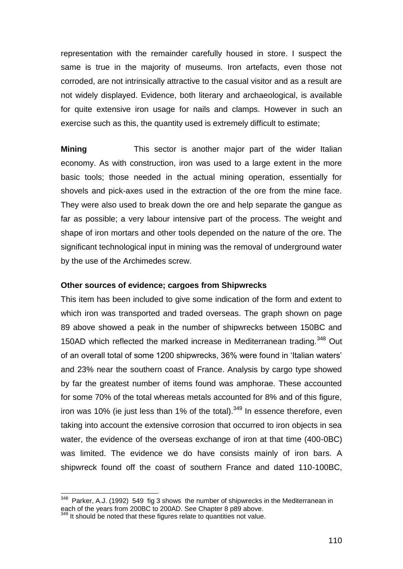representation with the remainder carefully housed in store. I suspect the same is true in the majority of museums. Iron artefacts, even those not corroded, are not intrinsically attractive to the casual visitor and as a result are not widely displayed. Evidence, both literary and archaeological, is available for quite extensive iron usage for nails and clamps. However in such an exercise such as this, the quantity used is extremely difficult to estimate;

**Mining** This sector is another major part of the wider Italian economy. As with construction, iron was used to a large extent in the more basic tools; those needed in the actual mining operation, essentially for shovels and pick-axes used in the extraction of the ore from the mine face. They were also used to break down the ore and help separate the gangue as far as possible; a very labour intensive part of the process. The weight and shape of iron mortars and other tools depended on the nature of the ore. The significant technological input in mining was the removal of underground water by the use of the Archimedes screw.

### **Other sources of evidence; cargoes from Shipwrecks**

This item has been included to give some indication of the form and extent to which iron was transported and traded overseas. The graph shown on page 89 above showed a peak in the number of shipwrecks between 150BC and 150AD which reflected the marked increase in Mediterranean trading.<sup>348</sup> Out of an overall total of some 1200 shipwrecks, 36% were found in "Italian waters" and 23% near the southern coast of France. Analysis by cargo type showed by far the greatest number of items found was amphorae. These accounted for some 70% of the total whereas metals accounted for 8% and of this figure, iron was 10% (ie just less than 1% of the total). $349$  In essence therefore, even taking into account the extensive corrosion that occurred to iron objects in sea water, the evidence of the overseas exchange of iron at that time (400-0BC) was limited. The evidence we do have consists mainly of iron bars. A shipwreck found off the coast of southern France and dated 110-100BC,

 348 Parker, A.J. (1992) 549 fig 3 shows the number of shipwrecks in the Mediterranean in each of the years from 200BC to 200AD. See Chapter 8 p89 above.

<sup>&</sup>lt;sup>349</sup> It should be noted that these figures relate to quantities not value.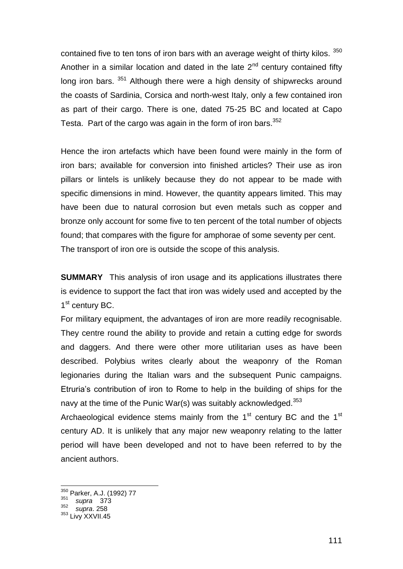contained five to ten tons of iron bars with an average weight of thirty kilos.  $350$ Another in a similar location and dated in the late  $2<sup>nd</sup>$  century contained fifty long iron bars. <sup>351</sup> Although there were a high density of shipwrecks around the coasts of Sardinia, Corsica and north-west Italy, only a few contained iron as part of their cargo. There is one, dated 75-25 BC and located at Capo Testa. Part of the cargo was again in the form of iron bars. $352$ 

Hence the iron artefacts which have been found were mainly in the form of iron bars; available for conversion into finished articles? Their use as iron pillars or lintels is unlikely because they do not appear to be made with specific dimensions in mind. However, the quantity appears limited. This may have been due to natural corrosion but even metals such as copper and bronze only account for some five to ten percent of the total number of objects found; that compares with the figure for amphorae of some seventy per cent. The transport of iron ore is outside the scope of this analysis.

**SUMMARY** This analysis of iron usage and its applications illustrates there is evidence to support the fact that iron was widely used and accepted by the 1<sup>st</sup> century BC.

For military equipment, the advantages of iron are more readily recognisable. They centre round the ability to provide and retain a cutting edge for swords and daggers. And there were other more utilitarian uses as have been described. Polybius writes clearly about the weaponry of the Roman legionaries during the Italian wars and the subsequent Punic campaigns. Etruria"s contribution of iron to Rome to help in the building of ships for the navy at the time of the Punic War(s) was suitably acknowledged. $353$ 

Archaeological evidence stems mainly from the  $1<sup>st</sup>$  century BC and the  $1<sup>st</sup>$ century AD. It is unlikely that any major new weaponry relating to the latter period will have been developed and not to have been referred to by the ancient authors.

<sup>&</sup>lt;sup>350</sup> Parker, A.J. (1992) 77

<sup>351</sup> *supra* 373

<sup>352</sup> *supra*. 258

<sup>353</sup> Livy XXVII.45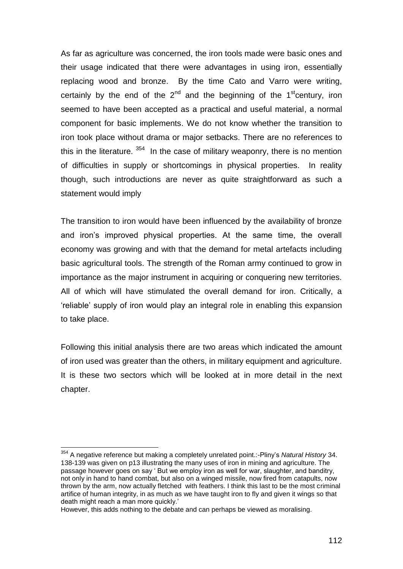As far as agriculture was concerned, the iron tools made were basic ones and their usage indicated that there were advantages in using iron, essentially replacing wood and bronze. By the time Cato and Varro were writing, certainly by the end of the  $2<sup>nd</sup>$  and the beginning of the 1<sup>st</sup>century, iron seemed to have been accepted as a practical and useful material, a normal component for basic implements. We do not know whether the transition to iron took place without drama or major setbacks. There are no references to this in the literature.  $354$  In the case of military weaponry, there is no mention of difficulties in supply or shortcomings in physical properties. In reality though, such introductions are never as quite straightforward as such a statement would imply

The transition to iron would have been influenced by the availability of bronze and iron"s improved physical properties. At the same time, the overall economy was growing and with that the demand for metal artefacts including basic agricultural tools. The strength of the Roman army continued to grow in importance as the major instrument in acquiring or conquering new territories. All of which will have stimulated the overall demand for iron. Critically, a "reliable" supply of iron would play an integral role in enabling this expansion to take place.

Following this initial analysis there are two areas which indicated the amount of iron used was greater than the others, in military equipment and agriculture. It is these two sectors which will be looked at in more detail in the next chapter.

<sup>354</sup> A negative reference but making a completely unrelated point.:-Pliny"s *Natural History* 34. 138-139 was given on p13 illustrating the many uses of iron in mining and agriculture. The passage however goes on say " But we employ iron as well for war, slaughter, and banditry, not only in hand to hand combat, but also on a winged missile, now fired from catapults, now thrown by the arm, now actually fletched with feathers. I think this last to be the most criminal artifice of human integrity, in as much as we have taught iron to fly and given it wings so that death might reach a man more quickly."

However, this adds nothing to the debate and can perhaps be viewed as moralising.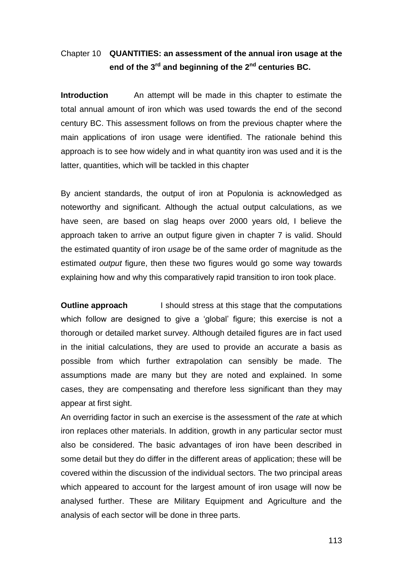# Chapter 10 **QUANTITIES: an assessment of the annual iron usage at the end of the 3rd and beginning of the 2 nd centuries BC.**

**Introduction** An attempt will be made in this chapter to estimate the total annual amount of iron which was used towards the end of the second century BC. This assessment follows on from the previous chapter where the main applications of iron usage were identified. The rationale behind this approach is to see how widely and in what quantity iron was used and it is the latter, quantities, which will be tackled in this chapter

By ancient standards, the output of iron at Populonia is acknowledged as noteworthy and significant. Although the actual output calculations, as we have seen, are based on slag heaps over 2000 years old, I believe the approach taken to arrive an output figure given in chapter 7 is valid. Should the estimated quantity of iron *usage* be of the same order of magnitude as the estimated *output* figure, then these two figures would go some way towards explaining how and why this comparatively rapid transition to iron took place.

**Outline approach** I should stress at this stage that the computations which follow are designed to give a 'global' figure; this exercise is not a thorough or detailed market survey. Although detailed figures are in fact used in the initial calculations, they are used to provide an accurate a basis as possible from which further extrapolation can sensibly be made. The assumptions made are many but they are noted and explained. In some cases, they are compensating and therefore less significant than they may appear at first sight.

An overriding factor in such an exercise is the assessment of the *rate* at which iron replaces other materials. In addition, growth in any particular sector must also be considered. The basic advantages of iron have been described in some detail but they do differ in the different areas of application; these will be covered within the discussion of the individual sectors. The two principal areas which appeared to account for the largest amount of iron usage will now be analysed further. These are Military Equipment and Agriculture and the analysis of each sector will be done in three parts.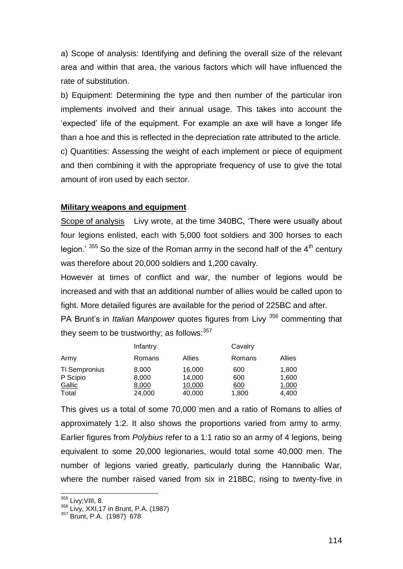a) Scope of analysis: Identifying and defining the overall size of the relevant area and within that area, the various factors which will have influenced the rate of substitution.

b) Equipment: Determining the type and then number of the particular iron implements involved and their annual usage. This takes into account the "expected" life of the equipment. For example an axe will have a longer life than a hoe and this is reflected in the depreciation rate attributed to the article. c) Quantities: Assessing the weight of each implement or piece of equipment and then combining it with the appropriate frequency of use to give the total amount of iron used by each sector.

### **Military weapons and equipment**

Scope of analysis Livy wrote, at the time 340BC, "There were usually about four legions enlisted, each with 5,000 foot soldiers and 300 horses to each legion."  $355$  So the size of the Roman army in the second half of the  $4<sup>th</sup>$  century was therefore about 20,000 soldiers and 1,200 cavalry.

However at times of conflict and war, the number of legions would be increased and with that an additional number of allies would be called upon to fight. More detailed figures are available for the period of 225BC and after.

PA Brunt"s in *Italian Manpower* quotes figures from Livy <sup>356</sup> commenting that they seem to be trustworthy; as follows:  $357$ 

|               | Infantry |        | Cavalry |        |  |  |
|---------------|----------|--------|---------|--------|--|--|
| Army          | Romans   | Allies | Romans  | Allies |  |  |
| Ti Sempronius | 8,000    | 16,000 | 600     | 1,800  |  |  |
| P Scipio      | 8,000    | 14,000 | 600     | 1,600  |  |  |
| Gallic        | 8,000    | 10,000 | 600     | 1,000  |  |  |
| Total         | 24,000   | 40,000 | 1,800   | 4.400  |  |  |

This gives us a total of some 70,000 men and a ratio of Romans to allies of approximately 1:2. It also shows the proportions varied from army to army. Earlier figures from *Polybius* refer to a 1:1 ratio so an army of 4 legions, being equivalent to some 20,000 legionaries, would total some 40,000 men. The number of legions varied greatly, particularly during the Hannibalic War, where the number raised varied from six in 218BC, rising to twenty-five in

<sup>&</sup>lt;sup>355</sup> Livy;VIII, 8.

<sup>356</sup> Livy, XXI,17 in Brunt, P.A. (1987)

<sup>357</sup> Brunt, P.A. (1987) 678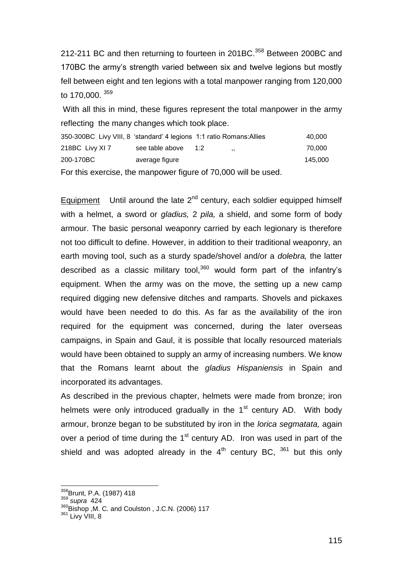212-211 BC and then returning to fourteen in 201BC.<sup>358</sup> Between 200BC and 170BC the army"s strength varied between six and twelve legions but mostly fell between eight and ten legions with a total manpower ranging from 120,000 to 170,000. <sup>359</sup>

With all this in mind, these figures represent the total manpower in the army reflecting the many changes which took place.

| 350-300BC Livy VIII, 8 'standard' 4 legions 1:1 ratio Romans: Allies |                 |     |                          | 40.000  |
|----------------------------------------------------------------------|-----------------|-----|--------------------------|---------|
| 218BC Livy XI 7                                                      | see table above | 1:2 | $\overline{\phantom{a}}$ | 70.000  |
| 200-170BC                                                            | average figure  |     |                          | 145.000 |
|                                                                      |                 |     |                          |         |

For this exercise, the manpower figure of 70,000 will be used.

Equipment Until around the late  $2^{nd}$  century, each soldier equipped himself with a helmet, a sword or *gladius,* 2 *pila,* a shield, and some form of body armour. The basic personal weaponry carried by each legionary is therefore not too difficult to define. However, in addition to their traditional weaponry, an earth moving tool, such as a sturdy spade/shovel and/or a *dolebra,* the latter described as a classic military tool, $360$  would form part of the infantry's equipment. When the army was on the move, the setting up a new camp required digging new defensive ditches and ramparts. Shovels and pickaxes would have been needed to do this. As far as the availability of the iron required for the equipment was concerned, during the later overseas campaigns, in Spain and Gaul, it is possible that locally resourced materials would have been obtained to supply an army of increasing numbers. We know that the Romans learnt about the *gladius Hispaniensis* in Spain and incorporated its advantages.

As described in the previous chapter, helmets were made from bronze; iron helmets were only introduced gradually in the  $1<sup>st</sup>$  century AD. With body armour, bronze began to be substituted by iron in the *lorica segmatata,* again over a period of time during the  $1<sup>st</sup>$  century AD. Iron was used in part of the shield and was adopted already in the  $4<sup>th</sup>$  century BC,  $361$  but this only

<sup>&</sup>lt;sup>358</sup>Brunt, P.A. (1987) 418

<sup>359</sup> *supra* 424

<sup>360</sup> Bishop , M. C. and Coulston , J.C.N. (2006) 117

<sup>361</sup> Livy VIII, 8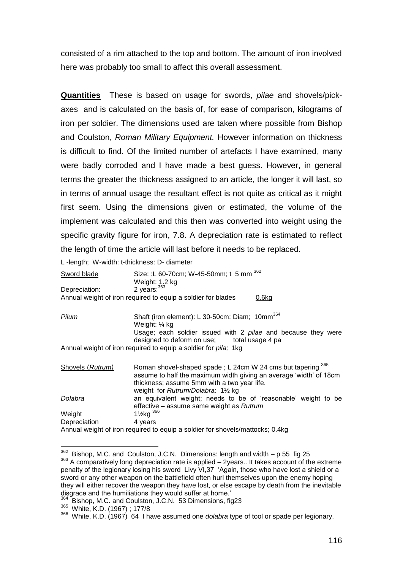consisted of a rim attached to the top and bottom. The amount of iron involved here was probably too small to affect this overall assessment.

**Quantities** These is based on usage for swords, *pilae* and shovels/pickaxes and is calculated on the basis of, for ease of comparison, kilograms of iron per soldier. The dimensions used are taken where possible from Bishop and Coulston, *Roman Military Equipment.* However information on thickness is difficult to find. Of the limited number of artefacts I have examined, many were badly corroded and I have made a best guess. However, in general terms the greater the thickness assigned to an article, the longer it will last, so in terms of annual usage the resultant effect is not quite as critical as it might first seem. Using the dimensions given or estimated, the volume of the implement was calculated and this then was converted into weight using the specific gravity figure for iron, 7.8. A depreciation rate is estimated to reflect the length of time the article will last before it needs to be replaced.

L -length; W-width: t-thickness: D- diameter

| Sword blade      | Size: : L 60-70cm; W-45-50mm; t 5 mm 362<br>Weight: 1.2 kg                    |
|------------------|-------------------------------------------------------------------------------|
| Depreciation:    | 2 years: $363$                                                                |
|                  | Annual weight of iron required to equip a soldier for blades<br>$0.6$ kg      |
|                  |                                                                               |
| Pilum            | Shaft (iron element): L 30-50cm; Diam; 10mm <sup>364</sup>                    |
|                  | Weight: ¼ kg<br>Usage; each soldier issued with 2 pilae and because they were |
|                  | designed to deform on use; total usage 4 pa                                   |
|                  | Annual weight of iron required to equip a soldier for pila; 1kg               |
| Shovels (Rutrum) | Roman shovel-shaped spade; L 24cm W 24 cms but tapering 365                   |
|                  | assume to half the maximum width giving an average 'width' of 18cm            |
|                  | thickness; assume 5mm with a two year life.                                   |
|                  | weight for Rutrum/Dolabra: 11/2 kg                                            |
| Dolabra          | an equivalent weight; needs to be of 'reasonable' weight to be                |
|                  | effective – assume same weight as Rutrum                                      |
| Weight           | $1\frac{1}{2}$ kg $366$                                                       |
| Depreciation     | 4 years                                                                       |
|                  |                                                                               |

Annual weight of iron required to equip a soldier for shovels/mattocks; 0.4kg

l  $362$  Bishop, M.C. and Coulston, J.C.N. Dimensions: length and width – p 55 fig 25

 $363$  A comparatively long depreciation rate is applied  $-$  2years.. It takes account of the extreme penalty of the legionary losing his sword Livy VI,37 "Again, those who have lost a shield or a sword or any other weapon on the battlefield often hurl themselves upon the enemy hoping they will either recover the weapon they have lost, or else escape by death from the inevitable disgrace and the humiliations they would suffer at home."

<sup>&</sup>lt;sup>364</sup> Bishop, M.C. and Coulston, J.C.N. 53 Dimensions, fig23

<sup>365</sup> White, K.D. (1967) ; 177/8

<sup>366</sup> White, K.D. (1967) 64 I have assumed one *dolabra* type of tool or spade per legionary.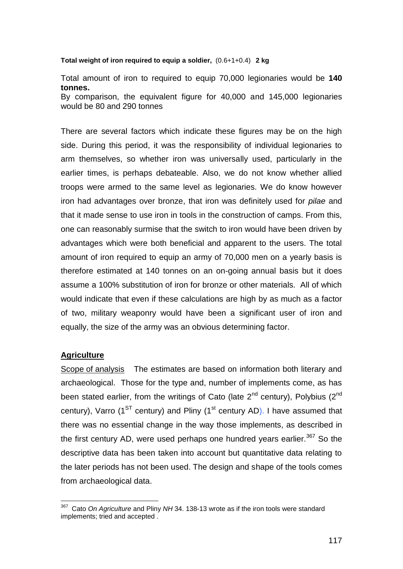#### **Total weight of iron required to equip a soldier,** (0.6+1+0.4) **2 kg**

Total amount of iron to required to equip 70,000 legionaries would be **140 tonnes.**  By comparison, the equivalent figure for 40,000 and 145,000 legionaries would be 80 and 290 tonnes

There are several factors which indicate these figures may be on the high side. During this period, it was the responsibility of individual legionaries to arm themselves, so whether iron was universally used, particularly in the earlier times, is perhaps debateable. Also, we do not know whether allied troops were armed to the same level as legionaries. We do know however iron had advantages over bronze, that iron was definitely used for *pilae* and that it made sense to use iron in tools in the construction of camps. From this, one can reasonably surmise that the switch to iron would have been driven by advantages which were both beneficial and apparent to the users. The total amount of iron required to equip an army of 70,000 men on a yearly basis is therefore estimated at 140 tonnes on an on-going annual basis but it does assume a 100% substitution of iron for bronze or other materials. All of which would indicate that even if these calculations are high by as much as a factor of two, military weaponry would have been a significant user of iron and equally, the size of the army was an obvious determining factor.

# **Agriculture**

Scope of analysis The estimates are based on information both literary and archaeological. Those for the type and, number of implements come, as has been stated earlier, from the writings of Cato (late  $2^{nd}$  century), Polybius ( $2^{nd}$ century), Varro ( $1^{ST}$  century) and Pliny ( $1^{st}$  century AD). I have assumed that there was no essential change in the way those implements, as described in the first century AD, were used perhaps one hundred years earlier.<sup>367</sup> So the descriptive data has been taken into account but quantitative data relating to the later periods has not been used. The design and shape of the tools comes from archaeological data.

 367 Cato *On Agriculture* and Pliny *NH* 34. 138-13 wrote as if the iron tools were standard implements; tried and accepted .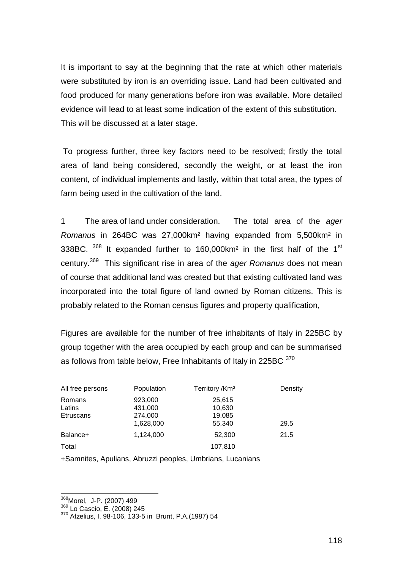It is important to say at the beginning that the rate at which other materials were substituted by iron is an overriding issue. Land had been cultivated and food produced for many generations before iron was available. More detailed evidence will lead to at least some indication of the extent of this substitution. This will be discussed at a later stage.

To progress further, three key factors need to be resolved; firstly the total area of land being considered, secondly the weight, or at least the iron content, of individual implements and lastly, within that total area, the types of farm being used in the cultivation of the land.

1 The area of land under consideration. The total area of the *ager Romanus* in 264BC was 27,000km² having expanded from 5,500km² in 338BC.  $368$  It expanded further to 160,000 km<sup>2</sup> in the first half of the 1<sup>st</sup> century.<sup>369</sup> This significant rise in area of the *ager Romanus* does not mean of course that additional land was created but that existing cultivated land was incorporated into the total figure of land owned by Roman citizens. This is probably related to the Roman census figures and property qualification,

Figures are available for the number of free inhabitants of Italy in 225BC by group together with the area occupied by each group and can be summarised as follows from table below, Free Inhabitants of Italy in 225BC 370

| All free persons                     | Population                                 | Territory / Km <sup>2</sup>          | Density |
|--------------------------------------|--------------------------------------------|--------------------------------------|---------|
| Romans<br>Latins<br><b>Etruscans</b> | 923,000<br>431,000<br>274,000<br>1,628,000 | 25,615<br>10,630<br>19,085<br>55,340 | 29.5    |
| Balance+                             | 1,124,000                                  | 52,300                               | 21.5    |
| Total                                |                                            | 107,810                              |         |

+Samnites, Apulians, Abruzzi peoples, Umbrians, Lucanians

<sup>&</sup>lt;sup>368</sup>Morel, J-P. (2007) 499

<sup>&</sup>lt;sup>369</sup> Lo Cascio, È. (2008) 245

<sup>370</sup> Afzelius, I. 98-106, 133-5 in Brunt, P.A.(1987) 54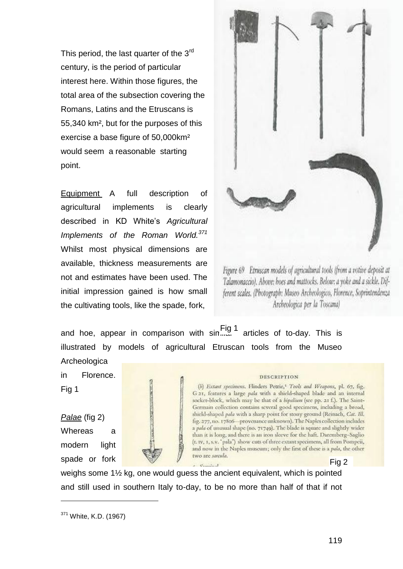This period, the last quarter of the 3<sup>rd</sup> century, is the period of particular interest here. Within those figures, the total area of the subsection covering the Romans, Latins and the Etruscans is 55,340 km², but for the purposes of this exercise a base figure of 50,000km² would seem a reasonable starting point.

Equipment A full description of agricultural implements is clearly described in KD White"s *Agricultural Implements of the Roman World.<sup>371</sup>*  Whilst most physical dimensions are available, thickness measurements are not and estimates have been used. The initial impression gained is how small the cultivating tools, like the spade, fork,

and hoe, appear in comparison with sin...... <br>articles of to-day. This is illustrated by models of agricultural Etruscan tools from the Museo Archeologica

in Florence.

Fig 1

l

*Palae* (fig 2) Whereas a modern light spade or fork



weighs some 1½ kg, one would guess the ancient equivalent, which is pointed and still used in southern Italy to-day, to be no more than half of that if not



Figure 69 Etruscan models of agricultural tools (from a votive deposit at Talamonaccio), Above: hoes and mattocks. Below: a yoke and a sickle. Different scales. (Photograph: Museo Archeologico, Florence, Soprintendenza Archeologica per la Toscana)

#### **DESCRIPTION**

(b) Extant specimens. Flinders Petric,<sup>1</sup> Tools and Weapons, pl. 67, fig. G 21, features a large pala with a shield-shaped blade and an internal socket-block, which may be that of a bipalium (see pp. 21 f.). The Saint-Germain collection contains several good specimens, including a broad, shield-shaped pala with a sharp point for stony ground (Reinach, Cat. Ill. fig. 277, no. 17806 - provenance unknown). The Naples collection includes a pala of unusual shape (no. 71749). The blade is square and slightly wider than it is long, and there is an iron sleeve for the haft. Daremberg-Saglio (t. tv, 1, s.v. 'pala') show cuts of three extant specimens, all from Pompeii, and now in the Naples museum; only the first of these is a pala, the other two are sarcula.

Fig 2

<sup>371</sup> White, K.D. (1967)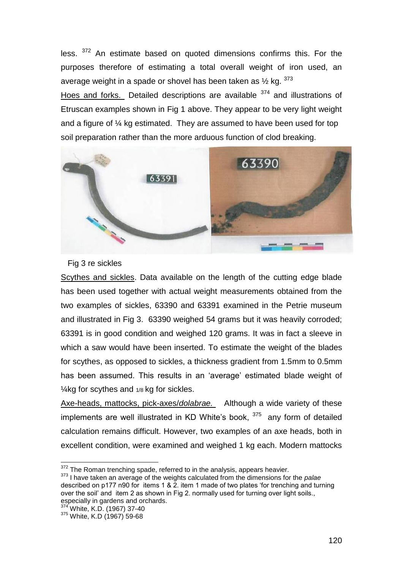less. <sup>372</sup> An estimate based on quoted dimensions confirms this. For the purposes therefore of estimating a total overall weight of iron used, an average weight in a spade or shovel has been taken as  $\frac{1}{2}$  kg.  $\frac{373}{2}$ 

Hoes and forks. Detailed descriptions are available <sup>374</sup> and illustrations of Etruscan examples shown in Fig 1 above. They appear to be very light weight and a figure of ¼ kg estimated. They are assumed to have been used for top soil preparation rather than the more arduous function of clod breaking.



### Fig 3 re sickles

Scythes and sickles. Data available on the length of the cutting edge blade has been used together with actual weight measurements obtained from the two examples of sickles, 63390 and 63391 examined in the Petrie museum and illustrated in Fig 3. 63390 weighed 54 grams but it was heavily corroded; 63391 is in good condition and weighed 120 grams. It was in fact a sleeve in which a saw would have been inserted. To estimate the weight of the blades for scythes, as opposed to sickles, a thickness gradient from 1.5mm to 0.5mm has been assumed. This results in an 'average' estimated blade weight of ¼kg for scythes and 1/8 kg for sickles.

Axe-heads, mattocks, pick-axes/*dolabrae.* Although a wide variety of these implements are well illustrated in KD White's book,  $375$  any form of detailed calculation remains difficult. However, two examples of an axe heads, both in excellent condition, were examined and weighed 1 kg each. Modern mattocks

l  $372$  The Roman trenching spade, referred to in the analysis, appears heavier.

<sup>373</sup> I have taken an average of the weights calculated from the dimensions for the *palae*  described on p177 n90 for items 1 & 2. item 1 made of two plates "for trenching and turning over the soil" and item 2 as shown in Fig 2. normally used for turning over light soils., especially in gardens and orchards.

<sup>&</sup>lt;sup>374'</sup> White, K.D. (1967) 37-40

<sup>375</sup> White, K.D (1967) 59-68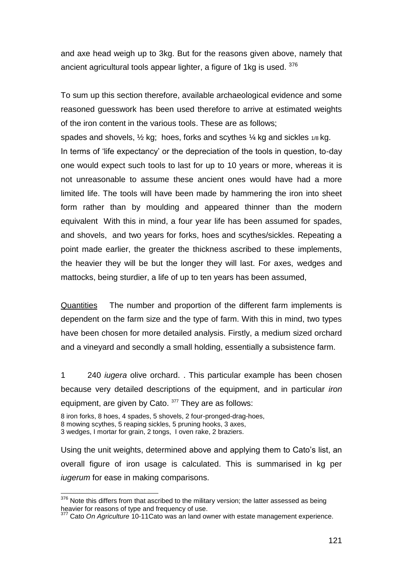and axe head weigh up to 3kg. But for the reasons given above, namely that ancient agricultural tools appear lighter, a figure of 1kg is used. 376

To sum up this section therefore, available archaeological evidence and some reasoned guesswork has been used therefore to arrive at estimated weights of the iron content in the various tools. These are as follows;

spades and shovels,  $\frac{1}{2}$  kg; hoes, forks and scythes  $\frac{1}{4}$  kg and sickles  $\frac{1}{8}$  kg. In terms of "life expectancy" or the depreciation of the tools in question, to-day one would expect such tools to last for up to 10 years or more, whereas it is not unreasonable to assume these ancient ones would have had a more limited life. The tools will have been made by hammering the iron into sheet form rather than by moulding and appeared thinner than the modern equivalent With this in mind, a four year life has been assumed for spades, and shovels, and two years for forks, hoes and scythes/sickles. Repeating a point made earlier, the greater the thickness ascribed to these implements, the heavier they will be but the longer they will last. For axes, wedges and mattocks, being sturdier, a life of up to ten years has been assumed,

Quantities The number and proportion of the different farm implements is dependent on the farm size and the type of farm. With this in mind, two types have been chosen for more detailed analysis. Firstly, a medium sized orchard and a vineyard and secondly a small holding, essentially a subsistence farm.

1 240 *iugera* olive orchard. . This particular example has been chosen because very detailed descriptions of the equipment, and in particular *iron*  equipment, are given by Cato. 377 They are as follows:

8 iron forks, 8 hoes, 4 spades, 5 shovels, 2 four-pronged-drag-hoes,

l

Using the unit weights, determined above and applying them to Cato"s list, an overall figure of iron usage is calculated. This is summarised in kg per *iugerum* for ease in making comparisons.

<sup>8</sup> mowing scythes, 5 reaping sickles, 5 pruning hooks, 3 axes,

<sup>3</sup> wedges, I mortar for grain, 2 tongs, I oven rake, 2 braziers.

 $376$  Note this differs from that ascribed to the military version; the latter assessed as being heavier for reasons of type and frequency of use.

<sup>&</sup>lt;sup>7</sup> Cato *On Agriculture* 10-11Cato was an land owner with estate management experience.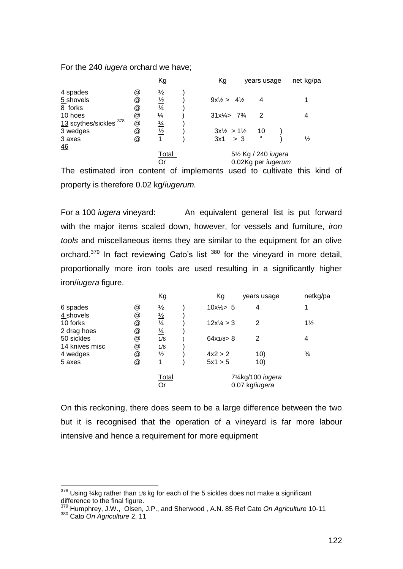For the 240 *iugera* orchard we have;

|                            |   | Кg            | Kg                             |                                                | years usage          | net kg/pa     |
|----------------------------|---|---------------|--------------------------------|------------------------------------------------|----------------------|---------------|
| 4 spades                   | @ | ⅓             |                                |                                                |                      |               |
| 5 shovels                  | @ | $\frac{1}{2}$ | $9x\frac{1}{2} > 4\frac{1}{2}$ |                                                | 4                    |               |
| 8 forks                    | @ | $\frac{1}{4}$ |                                |                                                |                      |               |
| 10 hoes                    | @ | $\frac{1}{4}$ |                                | $31x\frac{1}{4}$ 7 <sup>3</sup> / <sub>4</sub> | 2                    |               |
| $13$ scythes/sickles $378$ | @ | $\frac{1}{4}$ |                                |                                                |                      |               |
| 3 wedges                   | @ | $\frac{1}{2}$ |                                | $3x\frac{1}{2} > 1\frac{1}{2}$                 | 10                   |               |
| $3$ axes                   | @ |               |                                | 3x1 > 3                                        | $\lq$                | $\frac{1}{2}$ |
| 46                         |   |               |                                |                                                |                      |               |
|                            |   | Total         |                                |                                                | 51/2 Kg / 240 iugera |               |
|                            |   | Or            |                                |                                                | 0.02Kg per iugerum   |               |
|                            |   |               |                                |                                                |                      |               |

The estimated iron content of implements used to cultivate this kind of property is therefore 0.02 kg/*iugerum.*

For a 100 *iugera* vineyard: An equivalent general list is put forward with the major items scaled down, however, for vessels and furniture, *iron tools* and miscellaneous items they are similar to the equipment for an olive orchard. $379$  In fact reviewing Cato's list  $380$  for the vineyard in more detail, proportionally more iron tools are used resulting in a significantly higher iron/*iugera* figure.

|                |   | Kg            | Kg                   | years usage       | netkg/pa       |
|----------------|---|---------------|----------------------|-------------------|----------------|
| 6 spades       | @ | $\frac{1}{2}$ | $10x\frac{1}{2}$ 5   | 4                 | 1              |
| 4 shovels      | @ | $\frac{1}{2}$ |                      |                   |                |
| 10 forks       | @ | $\frac{1}{4}$ | $12x\frac{1}{4} > 3$ | 2                 | $1\frac{1}{2}$ |
| 2 drag hoes    | @ | $\frac{1}{4}$ |                      |                   |                |
| 50 sickles     | @ | 1/8           | 64x1/8 > 8           | 2                 | 4              |
| 14 knives misc | @ | 1/8           |                      |                   |                |
| 4 wedges       | @ | ⅓             | $4x^2 > 2$           | 10)               | $\frac{3}{4}$  |
| 5 axes         | @ | 1             | 5x1 > 5              | 10)               |                |
|                |   | Total         |                      | 71/4kg/100 iugera |                |
|                |   | Or            |                      | 0.07 kg/iugera    |                |

On this reckoning, there does seem to be a large difference between the two but it is recognised that the operation of a vineyard is far more labour intensive and hence a requirement for more equipment

l  $378$  Using ¼kg rather than 1/8 kg for each of the 5 sickles does not make a significant difference to the final figure.

<sup>379</sup> Humphrey, J.W., Olsen, J.P., and Sherwood , A.N. 85 Ref Cato *On Agriculture* 10-11 <sup>380</sup> Cato *On Agriculture* 2, 11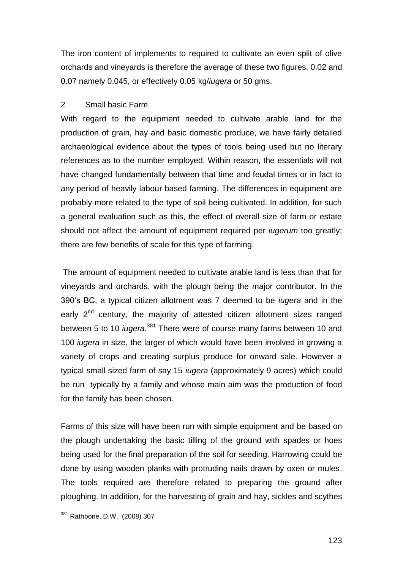The iron content of implements to required to cultivate an even split of olive orchards and vineyards is therefore the average of these two figures, 0.02 and 0.07 namely 0.045, or effectively 0.05 kg/*iugera* or 50 gms.

# 2 Small basic Farm

With regard to the equipment needed to cultivate arable land for the production of grain, hay and basic domestic produce, we have fairly detailed archaeological evidence about the types of tools being used but no literary references as to the number employed. Within reason, the essentials will not have changed fundamentally between that time and feudal times or in fact to any period of heavily labour based farming. The differences in equipment are probably more related to the type of soil being cultivated. In addition, for such a general evaluation such as this, the effect of overall size of farm or estate should not affect the amount of equipment required per *iugerum* too greatly; there are few benefits of scale for this type of farming.

The amount of equipment needed to cultivate arable land is less than that for vineyards and orchards, with the plough being the major contributor. In the 390"s BC, a typical citizen allotment was 7 deemed to be *iugera* and in the early 2<sup>nd</sup> century, the majority of attested citizen allotment sizes ranged between 5 to 10 *iugera.*<sup>381</sup> There were of course many farms between 10 and 100 *iugera* in size, the larger of which would have been involved in growing a variety of crops and creating surplus produce for onward sale. However a typical small sized farm of say 15 *iugera* (approximately 9 acres) which could be run typically by a family and whose main aim was the production of food for the family has been chosen.

Farms of this size will have been run with simple equipment and be based on the plough undertaking the basic tilling of the ground with spades or hoes being used for the final preparation of the soil for seeding. Harrowing could be done by using wooden planks with protruding nails drawn by oxen or mules. The tools required are therefore related to preparing the ground after ploughing. In addition, for the harvesting of grain and hay, sickles and scythes

l <sup>381</sup> Rathbone, D.W. (2008) 307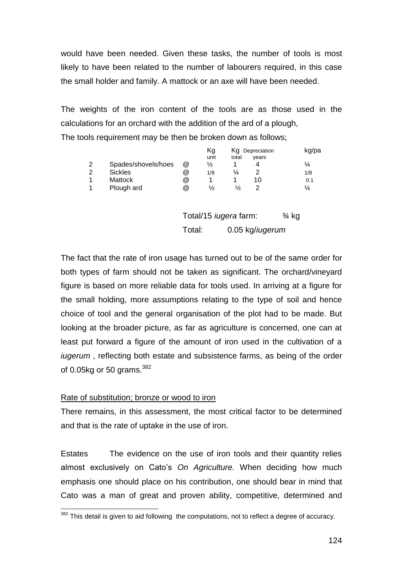would have been needed. Given these tasks, the number of tools is most likely to have been related to the number of labourers required, in this case the small holder and family. A mattock or an axe will have been needed.

The weights of the iron content of the tools are as those used in the calculations for an orchard with the addition of the ard of a plough, The tools requirement may be then be broken down as follows;

|   |                     |   | Κg<br>unit                   | total | Kg Depreciation<br>years | kg/pa            |
|---|---------------------|---|------------------------------|-------|--------------------------|------------------|
| 2 | Spades/shovels/hoes | @ | ⅛                            |       | 4                        | $\frac{1}{4}$    |
| 2 | <b>Sickles</b>      | @ | 1/8                          | ¼     | 2                        | 1/8              |
| 1 | <b>Mattock</b>      | @ |                              |       | 10                       | 0.1              |
| 1 | Plough ard          | @ | ⅓                            | ⅓     | 2                        | ¼                |
|   |                     |   | Total/15 <i>iugera</i> farm: |       |                          | $\frac{3}{4}$ kg |

Total: 0.05 kg/*iugerum*

The fact that the rate of iron usage has turned out to be of the same order for both types of farm should not be taken as significant. The orchard/vineyard figure is based on more reliable data for tools used. In arriving at a figure for the small holding, more assumptions relating to the type of soil and hence choice of tool and the general organisation of the plot had to be made. But looking at the broader picture, as far as agriculture is concerned, one can at least put forward a figure of the amount of iron used in the cultivation of a *iugerum* , reflecting both estate and subsistence farms, as being of the order of 0.05 $kq$  or 50 grams.<sup>382</sup>

### Rate of substitution; bronze or wood to iron

l

There remains, in this assessment, the most critical factor to be determined and that is the rate of uptake in the use of iron.

Estates The evidence on the use of iron tools and their quantity relies almost exclusively on Cato"s *On Agriculture.* When deciding how much emphasis one should place on his contribution, one should bear in mind that Cato was a man of great and proven ability, competitive, determined and

 $382$  This detail is given to aid following the computations, not to reflect a degree of accuracy.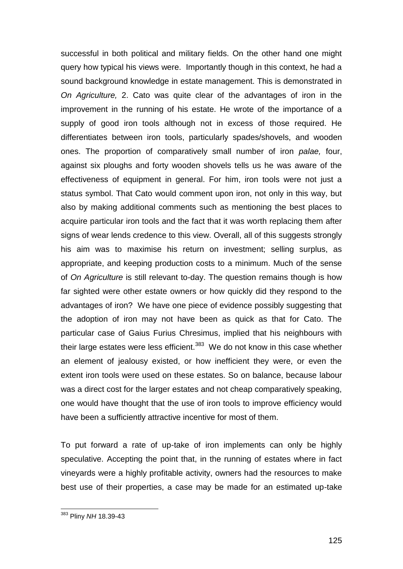successful in both political and military fields. On the other hand one might query how typical his views were. Importantly though in this context, he had a sound background knowledge in estate management. This is demonstrated in *On Agriculture,* 2. Cato was quite clear of the advantages of iron in the improvement in the running of his estate. He wrote of the importance of a supply of good iron tools although not in excess of those required. He differentiates between iron tools, particularly spades/shovels, and wooden ones. The proportion of comparatively small number of iron *palae,* four, against six ploughs and forty wooden shovels tells us he was aware of the effectiveness of equipment in general. For him, iron tools were not just a status symbol. That Cato would comment upon iron, not only in this way, but also by making additional comments such as mentioning the best places to acquire particular iron tools and the fact that it was worth replacing them after signs of wear lends credence to this view. Overall, all of this suggests strongly his aim was to maximise his return on investment; selling surplus, as appropriate, and keeping production costs to a minimum. Much of the sense of *On Agriculture* is still relevant to-day. The question remains though is how far sighted were other estate owners or how quickly did they respond to the advantages of iron? We have one piece of evidence possibly suggesting that the adoption of iron may not have been as quick as that for Cato. The particular case of Gaius Furius Chresimus, implied that his neighbours with their large estates were less efficient. $383$  We do not know in this case whether an element of jealousy existed, or how inefficient they were, or even the extent iron tools were used on these estates. So on balance, because labour was a direct cost for the larger estates and not cheap comparatively speaking, one would have thought that the use of iron tools to improve efficiency would have been a sufficiently attractive incentive for most of them.

To put forward a rate of up-take of iron implements can only be highly speculative. Accepting the point that, in the running of estates where in fact vineyards were a highly profitable activity, owners had the resources to make best use of their properties, a case may be made for an estimated up-take

 $\overline{a}$ 

<sup>383</sup> Pliny *NH* 18.39-43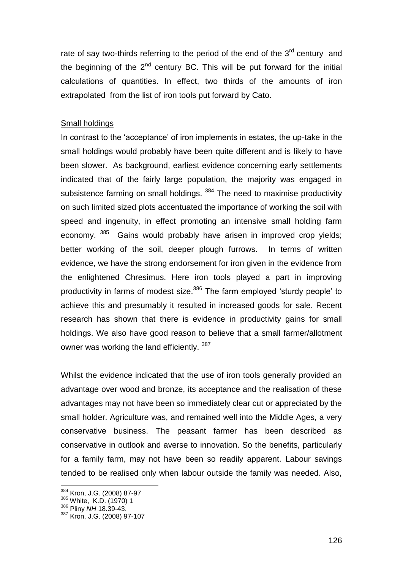rate of say two-thirds referring to the period of the end of the  $3<sup>rd</sup>$  century and the beginning of the  $2<sup>nd</sup>$  century BC. This will be put forward for the initial calculations of quantities. In effect, two thirds of the amounts of iron extrapolated from the list of iron tools put forward by Cato.

#### Small holdings

In contrast to the 'acceptance' of iron implements in estates, the up-take in the small holdings would probably have been quite different and is likely to have been slower. As background, earliest evidence concerning early settlements indicated that of the fairly large population, the majority was engaged in subsistence farming on small holdings.<sup>384</sup> The need to maximise productivity on such limited sized plots accentuated the importance of working the soil with speed and ingenuity, in effect promoting an intensive small holding farm economy. <sup>385</sup> Gains would probably have arisen in improved crop yields; better working of the soil, deeper plough furrows. In terms of written evidence, we have the strong endorsement for iron given in the evidence from the enlightened Chresimus. Here iron tools played a part in improving productivity in farms of modest size.<sup>386</sup> The farm employed 'sturdy people' to achieve this and presumably it resulted in increased goods for sale. Recent research has shown that there is evidence in productivity gains for small holdings. We also have good reason to believe that a small farmer/allotment owner was working the land efficiently. 387

Whilst the evidence indicated that the use of iron tools generally provided an advantage over wood and bronze, its acceptance and the realisation of these advantages may not have been so immediately clear cut or appreciated by the small holder. Agriculture was, and remained well into the Middle Ages, a very conservative business. The peasant farmer has been described as conservative in outlook and averse to innovation. So the benefits, particularly for a family farm, may not have been so readily apparent. Labour savings tended to be realised only when labour outside the family was needed. Also,

<sup>&</sup>lt;sup>384</sup> Kron, J.G. (2008) 87-97

<sup>385</sup> White, K.D. (1970) 1

<sup>386</sup> Pliny *NH* 18.39-43.

<sup>387</sup> Kron, J.G. (2008) 97-107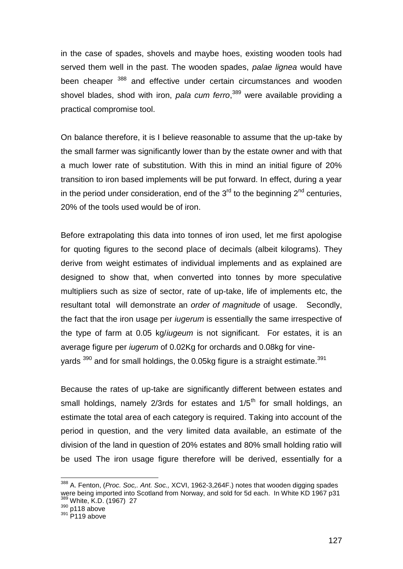in the case of spades, shovels and maybe hoes, existing wooden tools had served them well in the past. The wooden spades, *palae lignea* would have been cheaper <sup>388</sup> and effective under certain circumstances and wooden shovel blades, shod with iron, *pala cum ferro*, <sup>389</sup> were available providing a practical compromise tool.

On balance therefore, it is I believe reasonable to assume that the up-take by the small farmer was significantly lower than by the estate owner and with that a much lower rate of substitution. With this in mind an initial figure of 20% transition to iron based implements will be put forward. In effect, during a year in the period under consideration, end of the  $3<sup>rd</sup>$  to the beginning  $2<sup>nd</sup>$  centuries, 20% of the tools used would be of iron.

Before extrapolating this data into tonnes of iron used, let me first apologise for quoting figures to the second place of decimals (albeit kilograms). They derive from weight estimates of individual implements and as explained are designed to show that, when converted into tonnes by more speculative multipliers such as size of sector, rate of up-take, life of implements etc, the resultant total will demonstrate an *order of magnitude* of usage. Secondly, the fact that the iron usage per *iugerum* is essentially the same irrespective of the type of farm at 0.05 kg/*iugeum* is not significant. For estates, it is an average figure per *iugerum* of 0.02Kg for orchards and 0.08kg for vineyards  $^{390}$  and for small holdings, the 0.05kg figure is a straight estimate. $^{391}$ 

Because the rates of up-take are significantly different between estates and small holdings, namely  $2/3$ rds for estates and  $1/5<sup>th</sup>$  for small holdings, an estimate the total area of each category is required. Taking into account of the period in question, and the very limited data available, an estimate of the division of the land in question of 20% estates and 80% small holding ratio will be used The iron usage figure therefore will be derived, essentially for a

<sup>388</sup> A. Fenton, (*Proc. Soc,. Ant. Soc.,* XCVI, 1962-3,264F.) notes that wooden digging spades were being imported into Scotland from Norway, and sold for 5d each. In White KD 1967 p31 <sup>389</sup> White, K.D. (1967) 27

 $390$  p118 above

 $391$  P119 above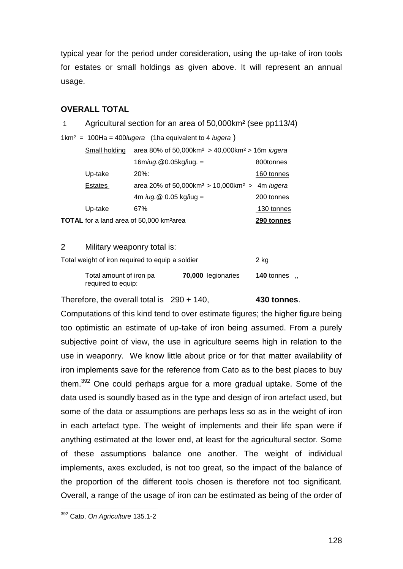typical year for the period under consideration, using the up-take of iron tools for estates or small holdings as given above. It will represent an annual usage.

### **OVERALL TOTAL**

|                                                                         | TOTAL for a land area of 50,000 km <sup>2</sup> area                                       | 290 tonnes |  |  |  |
|-------------------------------------------------------------------------|--------------------------------------------------------------------------------------------|------------|--|--|--|
| Up-take                                                                 | 67%                                                                                        | 130 tonnes |  |  |  |
|                                                                         | 4m $i\mu$ g. @ 0.05 kg/iug =                                                               | 200 tonnes |  |  |  |
| Estates                                                                 | area 20% of 50,000 km <sup>2</sup> > 10,000 km <sup>2</sup> > 4m <i>iugera</i>             |            |  |  |  |
| Up-take                                                                 | $20\%$ :                                                                                   | 160 tonnes |  |  |  |
|                                                                         | 16miug.@0.05kg/iug. =                                                                      | 800tonnes  |  |  |  |
| Small holding                                                           | area 80% of 50,000 km <sup>2</sup> > 40,000 km <sup>2</sup> > 16 m <i>iugera</i>           |            |  |  |  |
|                                                                         | $1 \text{km}^2 = 100 \text{Ha} = 400 \text{ i} \text{u}$ gera (1ha equivalent to 4 iugera) |            |  |  |  |
| Agricultural section for an area of 50,000km <sup>2</sup> (see pp113/4) |                                                                                            |            |  |  |  |

### 2 Military weaponry total is:

Total weight of iron required to equip a soldier 2 kg

| Total amount of iron pa | 70,000 legionaries | 140 tonnes |  |
|-------------------------|--------------------|------------|--|
| required to equip:      |                    |            |  |

Therefore, the overall total is 290 + 140, **430 tonnes**.

Computations of this kind tend to over estimate figures; the higher figure being too optimistic an estimate of up-take of iron being assumed. From a purely subjective point of view, the use in agriculture seems high in relation to the use in weaponry. We know little about price or for that matter availability of iron implements save for the reference from Cato as to the best places to buy them.<sup>392</sup> One could perhaps argue for a more gradual uptake. Some of the data used is soundly based as in the type and design of iron artefact used, but some of the data or assumptions are perhaps less so as in the weight of iron in each artefact type. The weight of implements and their life span were if anything estimated at the lower end, at least for the agricultural sector. Some of these assumptions balance one another. The weight of individual implements, axes excluded, is not too great, so the impact of the balance of the proportion of the different tools chosen is therefore not too significant. Overall, a range of the usage of iron can be estimated as being of the order of

 $\overline{a}$ <sup>392</sup> Cato, *On Agriculture* 135.1-2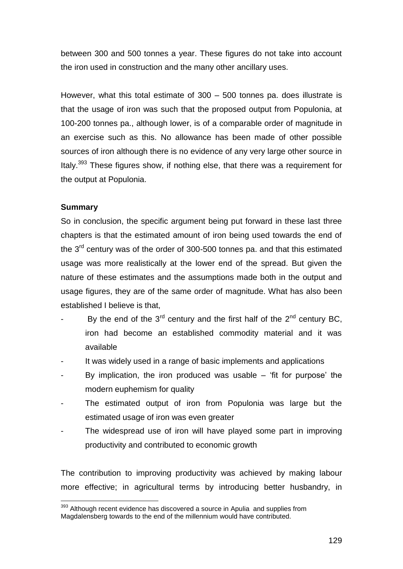between 300 and 500 tonnes a year. These figures do not take into account the iron used in construction and the many other ancillary uses.

However, what this total estimate of 300 – 500 tonnes pa. does illustrate is that the usage of iron was such that the proposed output from Populonia, at 100-200 tonnes pa., although lower, is of a comparable order of magnitude in an exercise such as this. No allowance has been made of other possible sources of iron although there is no evidence of any very large other source in Italy.<sup>393</sup> These figures show, if nothing else, that there was a requirement for the output at Populonia.

# **Summary**

l

So in conclusion, the specific argument being put forward in these last three chapters is that the estimated amount of iron being used towards the end of the  $3<sup>rd</sup>$  century was of the order of 300-500 tonnes pa. and that this estimated usage was more realistically at the lower end of the spread. But given the nature of these estimates and the assumptions made both in the output and usage figures, they are of the same order of magnitude. What has also been established I believe is that,

- By the end of the  $3<sup>rd</sup>$  century and the first half of the  $2<sup>nd</sup>$  century BC, iron had become an established commodity material and it was available
- It was widely used in a range of basic implements and applications
- By implication, the iron produced was usable  $-$  'fit for purpose' the modern euphemism for quality
- The estimated output of iron from Populonia was large but the estimated usage of iron was even greater
- The widespread use of iron will have played some part in improving productivity and contributed to economic growth

The contribution to improving productivity was achieved by making labour more effective; in agricultural terms by introducing better husbandry, in

<sup>&</sup>lt;sup>393</sup> Although recent evidence has discovered a source in Apulia and supplies from Magdalensberg towards to the end of the millennium would have contributed.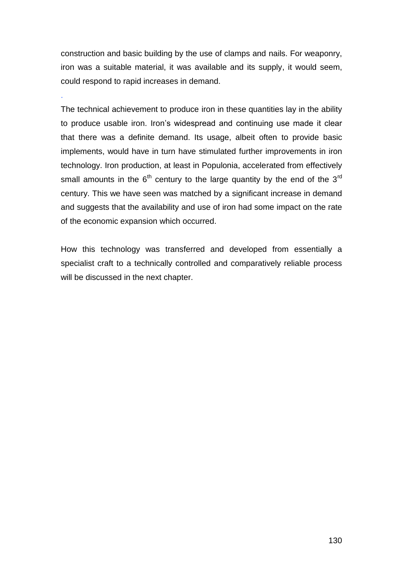construction and basic building by the use of clamps and nails. For weaponry, iron was a suitable material, it was available and its supply, it would seem, could respond to rapid increases in demand.

.

The technical achievement to produce iron in these quantities lay in the ability to produce usable iron. Iron"s widespread and continuing use made it clear that there was a definite demand. Its usage, albeit often to provide basic implements, would have in turn have stimulated further improvements in iron technology. Iron production, at least in Populonia, accelerated from effectively small amounts in the  $6<sup>th</sup>$  century to the large quantity by the end of the 3<sup>rd</sup> century. This we have seen was matched by a significant increase in demand and suggests that the availability and use of iron had some impact on the rate of the economic expansion which occurred.

How this technology was transferred and developed from essentially a specialist craft to a technically controlled and comparatively reliable process will be discussed in the next chapter.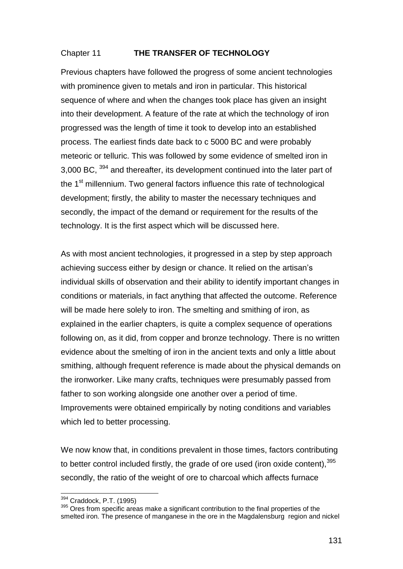# Chapter 11 **THE TRANSFER OF TECHNOLOGY**

Previous chapters have followed the progress of some ancient technologies with prominence given to metals and iron in particular. This historical sequence of where and when the changes took place has given an insight into their development. A feature of the rate at which the technology of iron progressed was the length of time it took to develop into an established process. The earliest finds date back to c 5000 BC and were probably meteoric or telluric. This was followed by some evidence of smelted iron in 3,000 BC, <sup>394</sup> and thereafter, its development continued into the later part of the 1<sup>st</sup> millennium. Two general factors influence this rate of technological development; firstly, the ability to master the necessary techniques and secondly, the impact of the demand or requirement for the results of the technology. It is the first aspect which will be discussed here.

As with most ancient technologies, it progressed in a step by step approach achieving success either by design or chance. It relied on the artisan"s individual skills of observation and their ability to identify important changes in conditions or materials, in fact anything that affected the outcome. Reference will be made here solely to iron. The smelting and smithing of iron, as explained in the earlier chapters, is quite a complex sequence of operations following on, as it did, from copper and bronze technology. There is no written evidence about the smelting of iron in the ancient texts and only a little about smithing, although frequent reference is made about the physical demands on the ironworker. Like many crafts, techniques were presumably passed from father to son working alongside one another over a period of time. Improvements were obtained empirically by noting conditions and variables which led to better processing.

We now know that, in conditions prevalent in those times, factors contributing to better control included firstly, the grade of ore used (iron oxide content),  $395$ secondly, the ratio of the weight of ore to charcoal which affects furnace

<sup>394</sup> Craddock, P.T. (1995)

<sup>395</sup> Ores from specific areas make a significant contribution to the final properties of the smelted iron. The presence of manganese in the ore in the Magdalensburg region and nickel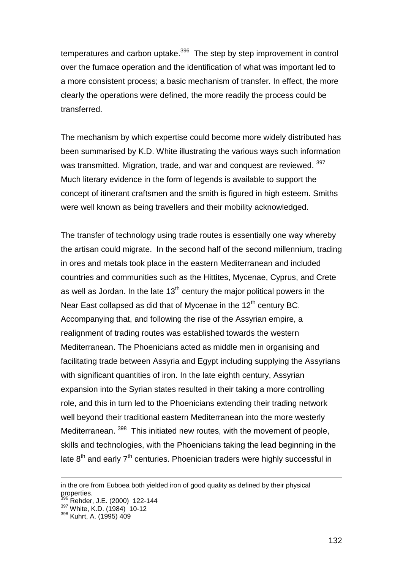temperatures and carbon uptake.<sup>396</sup> The step by step improvement in control over the furnace operation and the identification of what was important led to a more consistent process; a basic mechanism of transfer. In effect, the more clearly the operations were defined, the more readily the process could be transferred.

The mechanism by which expertise could become more widely distributed has been summarised by K.D. White illustrating the various ways such information was transmitted. Migration, trade, and war and conquest are reviewed. 397 Much literary evidence in the form of legends is available to support the concept of itinerant craftsmen and the smith is figured in high esteem. Smiths were well known as being travellers and their mobility acknowledged.

The transfer of technology using trade routes is essentially one way whereby the artisan could migrate. In the second half of the second millennium, trading in ores and metals took place in the eastern Mediterranean and included countries and communities such as the Hittites, Mycenae, Cyprus, and Crete as well as Jordan. In the late  $13<sup>th</sup>$  century the major political powers in the Near East collapsed as did that of Mycenae in the  $12<sup>th</sup>$  century BC. Accompanying that, and following the rise of the Assyrian empire, a realignment of trading routes was established towards the western Mediterranean. The Phoenicians acted as middle men in organising and facilitating trade between Assyria and Egypt including supplying the Assyrians with significant quantities of iron. In the late eighth century, Assyrian expansion into the Syrian states resulted in their taking a more controlling role, and this in turn led to the Phoenicians extending their trading network well beyond their traditional eastern Mediterranean into the more westerly Mediterranean. <sup>398</sup> This initiated new routes, with the movement of people, skills and technologies, with the Phoenicians taking the lead beginning in the late  $8<sup>th</sup>$  and early  $7<sup>th</sup>$  centuries. Phoenician traders were highly successful in

1

in the ore from Euboea both yielded iron of good quality as defined by their physical properties.

 $3$  Rehder, J.E. (2000) 122-144

<sup>397</sup> White, K.D. (1984) 10-12

<sup>398</sup> Kuhrt, A. (1995) 409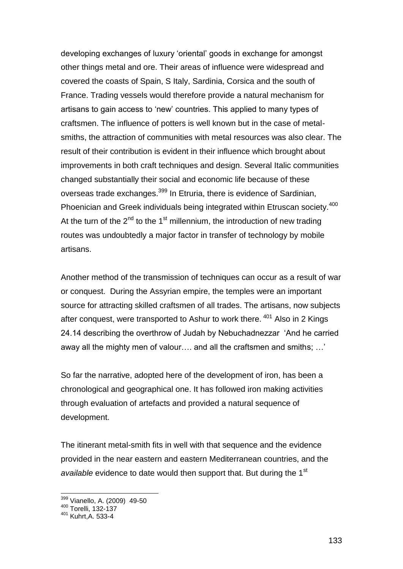developing exchanges of luxury "oriental" goods in exchange for amongst other things metal and ore. Their areas of influence were widespread and covered the coasts of Spain, S Italy, Sardinia, Corsica and the south of France. Trading vessels would therefore provide a natural mechanism for artisans to gain access to "new" countries. This applied to many types of craftsmen. The influence of potters is well known but in the case of metalsmiths, the attraction of communities with metal resources was also clear. The result of their contribution is evident in their influence which brought about improvements in both craft techniques and design. Several Italic communities changed substantially their social and economic life because of these overseas trade exchanges.<sup>399</sup> In Etruria, there is evidence of Sardinian, Phoenician and Greek individuals being integrated within Etruscan society.<sup>400</sup> At the turn of the  $2^{nd}$  to the 1<sup>st</sup> millennium, the introduction of new trading routes was undoubtedly a major factor in transfer of technology by mobile artisans.

Another method of the transmission of techniques can occur as a result of war or conquest. During the Assyrian empire, the temples were an important source for attracting skilled craftsmen of all trades. The artisans, now subjects after conquest, were transported to Ashur to work there. <sup>401</sup> Also in 2 Kings 24.14 describing the overthrow of Judah by Nebuchadnezzar "And he carried away all the mighty men of valour.... and all the craftsmen and smiths; ...'

So far the narrative, adopted here of the development of iron, has been a chronological and geographical one. It has followed iron making activities through evaluation of artefacts and provided a natural sequence of development.

The itinerant metal-smith fits in well with that sequence and the evidence provided in the near eastern and eastern Mediterranean countries, and the *available* evidence to date would then support that. But during the 1<sup>st</sup>

<sup>399</sup> Vianello, A. (2009) 49-50

<sup>400</sup> Torelli, 132-137

<sup>401</sup> Kuhrt,A. 533-4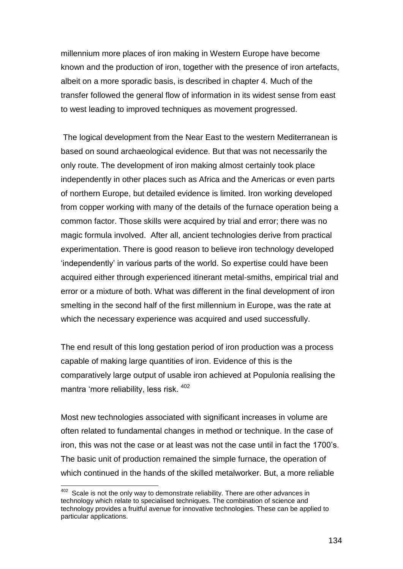millennium more places of iron making in Western Europe have become known and the production of iron, together with the presence of iron artefacts, albeit on a more sporadic basis, is described in chapter 4. Much of the transfer followed the general flow of information in its widest sense from east to west leading to improved techniques as movement progressed.

The logical development from the Near East to the western Mediterranean is based on sound archaeological evidence. But that was not necessarily the only route. The development of iron making almost certainly took place independently in other places such as Africa and the Americas or even parts of northern Europe, but detailed evidence is limited. Iron working developed from copper working with many of the details of the furnace operation being a common factor. Those skills were acquired by trial and error; there was no magic formula involved. After all, ancient technologies derive from practical experimentation. There is good reason to believe iron technology developed "independently" in various parts of the world. So expertise could have been acquired either through experienced itinerant metal-smiths, empirical trial and error or a mixture of both. What was different in the final development of iron smelting in the second half of the first millennium in Europe, was the rate at which the necessary experience was acquired and used successfully.

The end result of this long gestation period of iron production was a process capable of making large quantities of iron. Evidence of this is the comparatively large output of usable iron achieved at Populonia realising the mantra 'more reliability, less risk. <sup>402</sup>

Most new technologies associated with significant increases in volume are often related to fundamental changes in method or technique. In the case of iron, this was not the case or at least was not the case until in fact the 1700"s. The basic unit of production remained the simple furnace, the operation of which continued in the hands of the skilled metalworker. But, a more reliable

 402 Scale is not the only way to demonstrate reliability. There are other advances in technology which relate to specialised techniques. The combination of science and technology provides a fruitful avenue for innovative technologies. These can be applied to particular applications.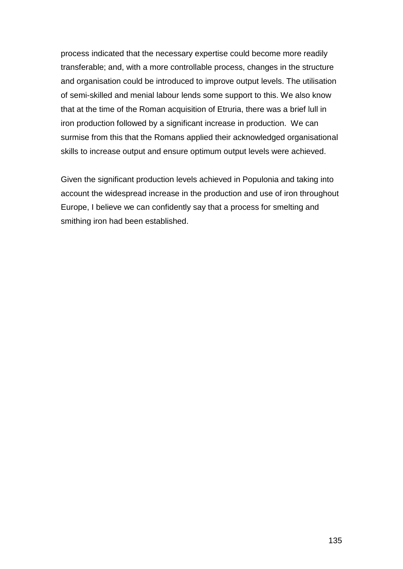process indicated that the necessary expertise could become more readily transferable; and, with a more controllable process, changes in the structure and organisation could be introduced to improve output levels. The utilisation of semi-skilled and menial labour lends some support to this. We also know that at the time of the Roman acquisition of Etruria, there was a brief lull in iron production followed by a significant increase in production. We can surmise from this that the Romans applied their acknowledged organisational skills to increase output and ensure optimum output levels were achieved.

Given the significant production levels achieved in Populonia and taking into account the widespread increase in the production and use of iron throughout Europe, I believe we can confidently say that a process for smelting and smithing iron had been established.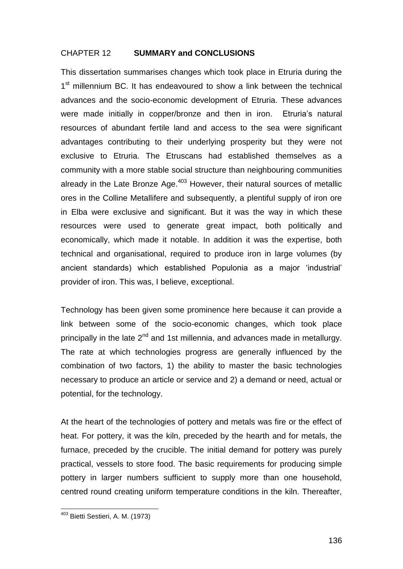# CHAPTER 12 **SUMMARY and CONCLUSIONS**

This dissertation summarises changes which took place in Etruria during the 1<sup>st</sup> millennium BC. It has endeavoured to show a link between the technical advances and the socio-economic development of Etruria. These advances were made initially in copper/bronze and then in iron. Etruria's natural resources of abundant fertile land and access to the sea were significant advantages contributing to their underlying prosperity but they were not exclusive to Etruria. The Etruscans had established themselves as a community with a more stable social structure than neighbouring communities already in the Late Bronze Age.<sup>403</sup> However, their natural sources of metallic ores in the Colline Metallifere and subsequently, a plentiful supply of iron ore in Elba were exclusive and significant. But it was the way in which these resources were used to generate great impact, both politically and economically, which made it notable. In addition it was the expertise, both technical and organisational, required to produce iron in large volumes (by ancient standards) which established Populonia as a major "industrial" provider of iron. This was, I believe, exceptional.

Technology has been given some prominence here because it can provide a link between some of the socio-economic changes, which took place principally in the late  $2^{nd}$  and 1st millennia, and advances made in metallurgy. The rate at which technologies progress are generally influenced by the combination of two factors, 1) the ability to master the basic technologies necessary to produce an article or service and 2) a demand or need, actual or potential, for the technology.

At the heart of the technologies of pottery and metals was fire or the effect of heat. For pottery, it was the kiln, preceded by the hearth and for metals, the furnace, preceded by the crucible. The initial demand for pottery was purely practical, vessels to store food. The basic requirements for producing simple pottery in larger numbers sufficient to supply more than one household, centred round creating uniform temperature conditions in the kiln. Thereafter,

l <sup>403</sup> Bietti Sestieri, A. M. (1973)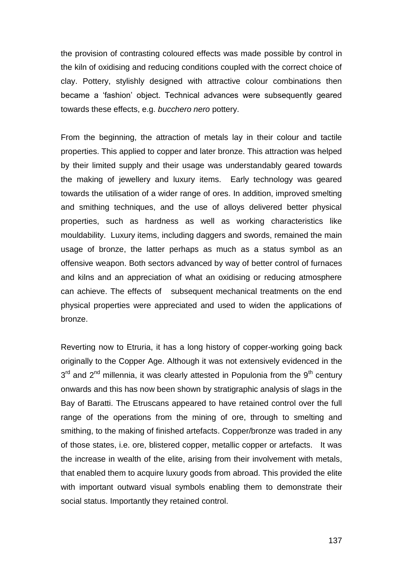the provision of contrasting coloured effects was made possible by control in the kiln of oxidising and reducing conditions coupled with the correct choice of clay. Pottery, stylishly designed with attractive colour combinations then became a "fashion" object. Technical advances were subsequently geared towards these effects, e.g. *bucchero nero* pottery.

From the beginning, the attraction of metals lay in their colour and tactile properties. This applied to copper and later bronze. This attraction was helped by their limited supply and their usage was understandably geared towards the making of jewellery and luxury items. Early technology was geared towards the utilisation of a wider range of ores. In addition, improved smelting and smithing techniques, and the use of alloys delivered better physical properties, such as hardness as well as working characteristics like mouldability. Luxury items, including daggers and swords, remained the main usage of bronze, the latter perhaps as much as a status symbol as an offensive weapon. Both sectors advanced by way of better control of furnaces and kilns and an appreciation of what an oxidising or reducing atmosphere can achieve. The effects of subsequent mechanical treatments on the end physical properties were appreciated and used to widen the applications of bronze.

Reverting now to Etruria, it has a long history of copper-working going back originally to the Copper Age. Although it was not extensively evidenced in the  $3<sup>rd</sup>$  and  $2<sup>nd</sup>$  millennia, it was clearly attested in Populonia from the 9<sup>th</sup> century onwards and this has now been shown by stratigraphic analysis of slags in the Bay of Baratti. The Etruscans appeared to have retained control over the full range of the operations from the mining of ore, through to smelting and smithing, to the making of finished artefacts. Copper/bronze was traded in any of those states, i.e. ore, blistered copper, metallic copper or artefacts. It was the increase in wealth of the elite, arising from their involvement with metals, that enabled them to acquire luxury goods from abroad. This provided the elite with important outward visual symbols enabling them to demonstrate their social status. Importantly they retained control.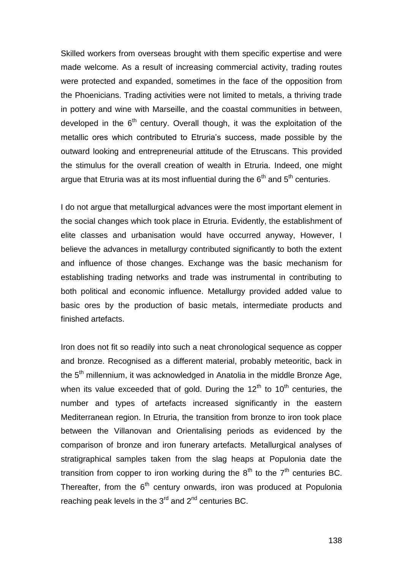Skilled workers from overseas brought with them specific expertise and were made welcome. As a result of increasing commercial activity, trading routes were protected and expanded, sometimes in the face of the opposition from the Phoenicians. Trading activities were not limited to metals, a thriving trade in pottery and wine with Marseille, and the coastal communities in between, developed in the  $6<sup>th</sup>$  century. Overall though, it was the exploitation of the metallic ores which contributed to Etruria's success, made possible by the outward looking and entrepreneurial attitude of the Etruscans. This provided the stimulus for the overall creation of wealth in Etruria. Indeed, one might argue that Etruria was at its most influential during the  $6<sup>th</sup>$  and  $5<sup>th</sup>$  centuries.

I do not argue that metallurgical advances were the most important element in the social changes which took place in Etruria. Evidently, the establishment of elite classes and urbanisation would have occurred anyway, However, I believe the advances in metallurgy contributed significantly to both the extent and influence of those changes. Exchange was the basic mechanism for establishing trading networks and trade was instrumental in contributing to both political and economic influence. Metallurgy provided added value to basic ores by the production of basic metals, intermediate products and finished artefacts.

Iron does not fit so readily into such a neat chronological sequence as copper and bronze. Recognised as a different material, probably meteoritic, back in the  $5<sup>th</sup>$  millennium, it was acknowledged in Anatolia in the middle Bronze Age, when its value exceeded that of gold. During the  $12<sup>th</sup>$  to  $10<sup>th</sup>$  centuries, the number and types of artefacts increased significantly in the eastern Mediterranean region. In Etruria, the transition from bronze to iron took place between the Villanovan and Orientalising periods as evidenced by the comparison of bronze and iron funerary artefacts. Metallurgical analyses of stratigraphical samples taken from the slag heaps at Populonia date the transition from copper to iron working during the  $8<sup>th</sup>$  to the  $7<sup>th</sup>$  centuries BC. Thereafter, from the  $6<sup>th</sup>$  century onwards, iron was produced at Populonia reaching peak levels in the  $3<sup>rd</sup>$  and  $2<sup>nd</sup>$  centuries BC.

138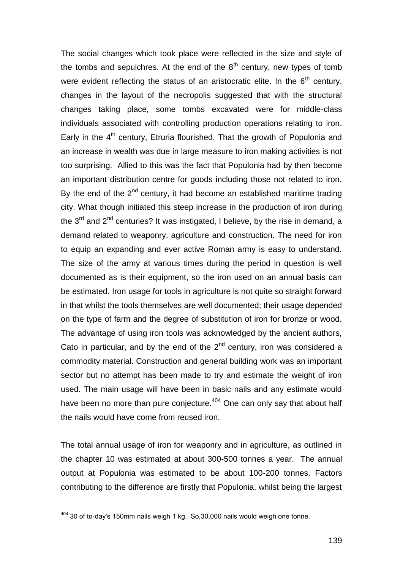The social changes which took place were reflected in the size and style of the tombs and sepulchres. At the end of the  $8<sup>th</sup>$  century, new types of tomb were evident reflecting the status of an aristocratic elite. In the  $6<sup>th</sup>$  century, changes in the layout of the necropolis suggested that with the structural changes taking place, some tombs excavated were for middle-class individuals associated with controlling production operations relating to iron. Early in the  $4<sup>th</sup>$  century, Etruria flourished. That the growth of Populonia and an increase in wealth was due in large measure to iron making activities is not too surprising. Allied to this was the fact that Populonia had by then become an important distribution centre for goods including those not related to iron. By the end of the  $2^{nd}$  century, it had become an established maritime trading city. What though initiated this steep increase in the production of iron during the  $3<sup>rd</sup>$  and  $2<sup>nd</sup>$  centuries? It was instigated. I believe, by the rise in demand, a demand related to weaponry, agriculture and construction. The need for iron to equip an expanding and ever active Roman army is easy to understand. The size of the army at various times during the period in question is well documented as is their equipment, so the iron used on an annual basis can be estimated. Iron usage for tools in agriculture is not quite so straight forward in that whilst the tools themselves are well documented; their usage depended on the type of farm and the degree of substitution of iron for bronze or wood. The advantage of using iron tools was acknowledged by the ancient authors, Cato in particular, and by the end of the  $2<sup>nd</sup>$  century, iron was considered a commodity material. Construction and general building work was an important sector but no attempt has been made to try and estimate the weight of iron used. The main usage will have been in basic nails and any estimate would have been no more than pure conjecture.<sup>404</sup> One can only say that about half the nails would have come from reused iron.

The total annual usage of iron for weaponry and in agriculture, as outlined in the chapter 10 was estimated at about 300-500 tonnes a year. The annual output at Populonia was estimated to be about 100-200 tonnes. Factors contributing to the difference are firstly that Populonia, whilst being the largest

 $404$  30 of to-day's 150mm nails weigh 1 kg. So, 30, 000 nails would weigh one tonne.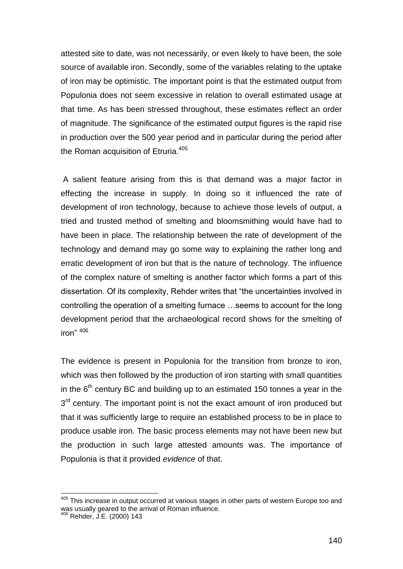attested site to date, was not necessarily, or even likely to have been, the sole source of available iron. Secondly, some of the variables relating to the uptake of iron may be optimistic. The important point is that the estimated output from Populonia does not seem excessive in relation to overall estimated usage at that time. As has been stressed throughout, these estimates reflect an order of magnitude. The significance of the estimated output figures is the rapid rise in production over the 500 year period and in particular during the period after the Roman acquisition of Etruria.<sup>405</sup>

A salient feature arising from this is that demand was a major factor in effecting the increase in supply. In doing so it influenced the rate of development of iron technology, because to achieve those levels of output, a tried and trusted method of smelting and bloomsmithing would have had to have been in place. The relationship between the rate of development of the technology and demand may go some way to explaining the rather long and erratic development of iron but that is the nature of technology. The influence of the complex nature of smelting is another factor which forms a part of this dissertation. Of its complexity, Rehder writes that "the uncertainties involved in controlling the operation of a smelting furnace …seems to account for the long development period that the archaeological record shows for the smelting of iron" <sup>406</sup>

The evidence is present in Populonia for the transition from bronze to iron, which was then followed by the production of iron starting with small quantities in the  $6<sup>th</sup>$  century BC and building up to an estimated 150 tonnes a year in the 3<sup>rd</sup> century. The important point is not the exact amount of iron produced but that it was sufficiently large to require an established process to be in place to produce usable iron. The basic process elements may not have been new but the production in such large attested amounts was. The importance of Populonia is that it provided *evidence* of that.

 $405$  This increase in output occurred at various stages in other parts of western Europe too and was usually geared to the arrival of Roman influence.

<sup>406</sup> Rehder, J.E. (2000) 143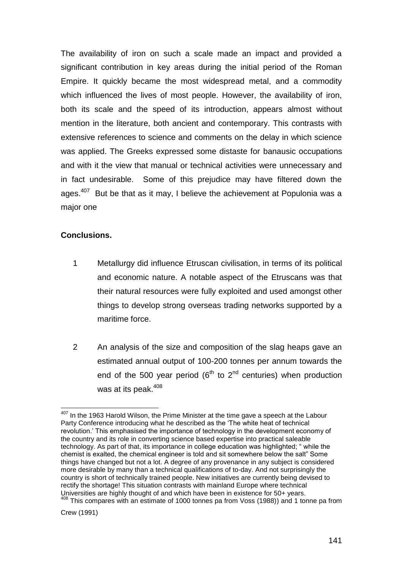The availability of iron on such a scale made an impact and provided a significant contribution in key areas during the initial period of the Roman Empire. It quickly became the most widespread metal, and a commodity which influenced the lives of most people. However, the availability of iron, both its scale and the speed of its introduction, appears almost without mention in the literature, both ancient and contemporary. This contrasts with extensive references to science and comments on the delay in which science was applied. The Greeks expressed some distaste for banausic occupations and with it the view that manual or technical activities were unnecessary and in fact undesirable. Some of this prejudice may have filtered down the ages.<sup>407</sup> But be that as it may, I believe the achievement at Populonia was a major one

# **Conclusions.**

- 1 Metallurgy did influence Etruscan civilisation, in terms of its political and economic nature. A notable aspect of the Etruscans was that their natural resources were fully exploited and used amongst other things to develop strong overseas trading networks supported by a maritime force.
- 2 An analysis of the size and composition of the slag heaps gave an estimated annual output of 100-200 tonnes per annum towards the end of the 500 year period ( $6<sup>th</sup>$  to  $2<sup>nd</sup>$  centuries) when production was at its peak.<sup>408</sup>

l  $407$  In the 1963 Harold Wilson, the Prime Minister at the time gave a speech at the Labour Party Conference introducing what he described as the "The white heat of technical revolution." This emphasised the importance of technology in the development economy of the country and its role in converting science based expertise into practical saleable technology. As part of that, its importance in college education was highlighted; " while the chemist is exalted, the chemical engineer is told and sit somewhere below the salt" Some things have changed but not a lot. A degree of any provenance in any subject is considered more desirable by many than a technical qualifications of to-day. And not surprisingly the country is short of technically trained people. New initiatives are currently being devised to rectify the shortage! This situation contrasts with mainland Europe where technical Universities are highly thought of and which have been in existence for 50+ years. <sup>408</sup> This compares with an estimate of 1000 tonnes pa from Voss (1988)) and 1 tonne pa from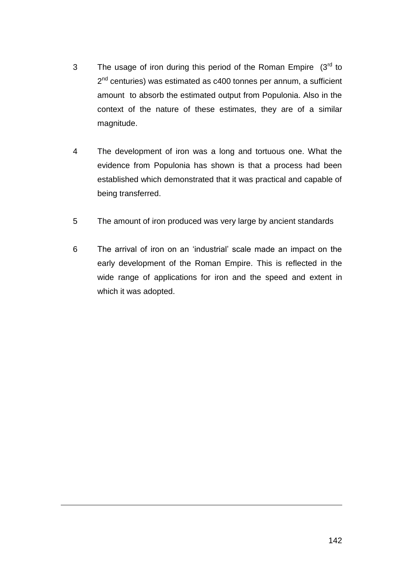- 3 The usage of iron during this period of the Roman Empire  $(3<sup>rd</sup>$  to 2<sup>nd</sup> centuries) was estimated as c400 tonnes per annum, a sufficient amount to absorb the estimated output from Populonia. Also in the context of the nature of these estimates, they are of a similar magnitude.
- 4 The development of iron was a long and tortuous one. What the evidence from Populonia has shown is that a process had been established which demonstrated that it was practical and capable of being transferred.
- 5 The amount of iron produced was very large by ancient standards
- 6 The arrival of iron on an "industrial" scale made an impact on the early development of the Roman Empire. This is reflected in the wide range of applications for iron and the speed and extent in which it was adopted.

1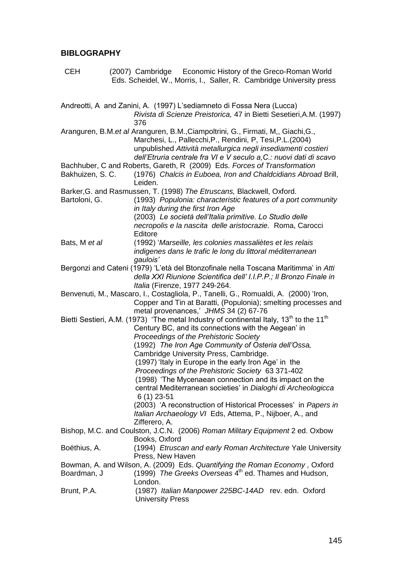### **BIBLOGRAPHY**

- CEH (2007) Cambridge Economic History of the Greco-Roman World Eds. Scheidel, W., Morris, I., Saller, R. Cambridge University press
- Andreotti, A and Zanini, A. (1997) L"sediamneto di Fossa Nera (Lucca) *Rivista di Scienze Preistorica,* 47 in Bietti Sesetieri,A.M. (1997) 376 Aranguren, B.M.*et al* Aranguren, B.M.,Ciampoltrini, G., Firmati, M,, Giachi,G., Marchesi, L., Pallecchi,P., Rendini, P, Tesi,P.L.(2004) unpublished *Attività metallurgica negli insediamenti costieri dell'Etruria centrale fra VI e V seculo a,C.: nuovi dati di scavo* Bachhuber, C and Roberts, Gareth, R (2009) Eds. *Forces of Transformation* Bakhuizen, S. C. (1976) *Chalcis in Euboea, Iron and Chaldcidians Abroad* Brill, Leiden. Barker,G. and Rasmussen, T. (1998) *The Etruscans,* Blackwell, Oxford. Bartoloni, G. (1993) *Populonia: characteristic features of a port community in Italy during the first Iron Age* (2003) *Le società dell'Italia primitive. Lo Studio delle necropolis e la nascita delle aristocrazie.* Roma, Carocci Editore Bats, M *et al* (1992) "*Marseille, les colonies massaliètes et les relais indigenes dans le trafic le long du littoral méditerranean gaulois'* Bergonzi and Cateni (1979) "L"età del Btonzofinale nella Toscana Maritimma" in *Atti della XXI Riunione Scientifica dell' I.I.P.P.; Il Bronzo Finale in Italia* (Firenze, 1977 249-264. Benvenuti, M., Mascaro, I., Costagliola, P., Tanelli, G., Romualdi, A. (2000) "Iron, Copper and Tin at Baratti, (Populonia); smelting processes and metal provenances," *JHMS* 34 (2) 67-76 Bietti Sestieri, A.M. (1973) 'The metal Industry of continental Italy, 13<sup>th</sup> to the 11<sup>th</sup> Century BC, and its connections with the Aegean" in *Proceedings of the Prehistoric Society* (1992) *The Iron Age Community of Osteria dell'Ossa,*  Cambridge University Press, Cambridge. (1997) "Italy in Europe in the early Iron Age" in the *Proceedings of the Prehistoric Society* 63 371-402 (1998) "The Mycenaean connection and its impact on the central Mediterranean societies" in *Dialoghi di Archeologicca* 6 (1) 23-51 (2003) "A reconstruction of Historical Processes" in *Papers in Italian Archaeology VI* Eds, Attema, P., Nijboer, A., and Zifferero, A. Bishop, M.C. and Coulston, J.C.N. (2006) *Roman Military Equipment* 2 ed. Oxbow Books, Oxford Boëthius, A. (1994) *Etruscan and early Roman Architecture* Yale University Press, New Haven Bowman, A. and Wilson, A. (2009) Eds. *Quantifying the Roman Economy ,* Oxford Boardman, J (1999) *The Greeks Overseas* 4<sup>th</sup> ed. Thames and Hudson, London. Brunt, P.A. (1987) *Italian Manpower 225BC-14AD* rev. edn. Oxford University Press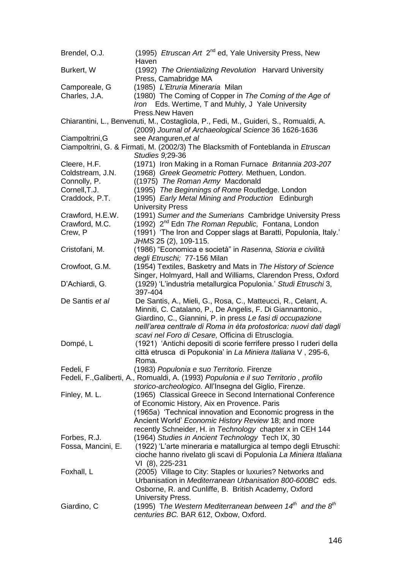| Brendel, O.J.      | (1995) <i>Etruscan Art</i> 2 <sup>nd</sup> ed, Yale University Press, New<br>Haven                                                            |
|--------------------|-----------------------------------------------------------------------------------------------------------------------------------------------|
| Burkert, W         | (1992) The Orientializing Revolution Harvard University                                                                                       |
|                    | Press, Camabridge MA                                                                                                                          |
| Camporeale, G      | (1985) L'Etruria Mineraria Milan                                                                                                              |
| Charles, J.A.      | (1980) The Coming of Copper in The Coming of the Age of                                                                                       |
|                    | Iron Eds. Wertime, T and Muhly, J Yale University                                                                                             |
|                    | Press. New Haven                                                                                                                              |
|                    | Chiarantini, L., Benvenuti, M., Costagliola, P., Fedi, M., Guideri, S., Romualdi, A.<br>(2009) Journal of Archaeological Science 36 1626-1636 |
| Ciampoltrini, G    | see Aranguren, et al                                                                                                                          |
|                    | Ciampoltrini, G. & Firmati, M. (2002/3) The Blacksmith of Fonteblanda in Etruscan                                                             |
|                    | Studies 9;29-36                                                                                                                               |
| Cleere, H.F.       | (1971) Iron Making in a Roman Furnace Britannia 203-207                                                                                       |
| Coldstream, J.N.   | (1968) Greek Geometric Pottery. Methuen, London.                                                                                              |
| Connolly, P.       | ((1975) The Roman Army Macdonald                                                                                                              |
| Cornell, T.J.      | (1995) The Beginnings of Rome Routledge. London                                                                                               |
| Craddock, P.T.     | (1995) Early Metal Mining and Production Edinburgh                                                                                            |
|                    | <b>University Press</b>                                                                                                                       |
| Crawford, H.E.W.   | (1991) Sumer and the Sumerians Cambridge University Press                                                                                     |
| Crawford, M.C.     | (1992) 2 <sup>nd</sup> Edn The Roman Republic, Fontana, London                                                                                |
| Crew, P            | (1991) 'The Iron and Copper slags at Baratti, Populonia, Italy.'                                                                              |
|                    | JHMS 25 (2), 109-115.                                                                                                                         |
| Cristofani, M.     | (1986) "Economica e società" in Rasenna, Stioria e civilità                                                                                   |
|                    | degli Etruschi; 77-156 Milan                                                                                                                  |
| Crowfoot, G.M.     | (1954) Textiles, Basketry and Mats in The History of Science                                                                                  |
|                    | Singer, Holmyard, Hall and Williams, Clarendon Press, Oxford                                                                                  |
| D'Achiardi, G.     | (1929) 'L'industria metallurgica Populonia.' Studi Etruschi 3,                                                                                |
|                    | 397-404                                                                                                                                       |
| De Santis et al    | De Santis, A., Mieli, G., Rosa, C., Matteucci, R., Celant, A.                                                                                 |
|                    | Minniti, C. Catalano, P., De Angelis, F. Di Giannantonio.,                                                                                    |
|                    | Giardino, C., Giannini, P. in press Le fasi di occupazione                                                                                    |
|                    | nelll'area centtrale di Roma in èta protostorica: nuovi dati dagli                                                                            |
|                    | scavi nel Foro di Cesare, Officina di Etrusclogia.                                                                                            |
|                    | (1921) 'Antichi depositi di scorie ferrifere presso I ruderi della                                                                            |
| Dompé, L           |                                                                                                                                               |
|                    | città etrusca di Popukonia' in La Miniera Italiana V, 295-6,                                                                                  |
|                    | Roma.                                                                                                                                         |
| Fedeli, F          | (1983) Populonia e suo Territorio. Firenze                                                                                                    |
|                    | Fedeli, F., Galiberti, A., Romualdi, A. (1993) Populonia e il suo Territorio, profilo                                                         |
|                    | storico-archeologico. All'Insegna del Giglio, Firenze.                                                                                        |
| Finley, M. L.      | (1965) Classical Greece in Second International Conference                                                                                    |
|                    | of Economic History, Aix en Provence. Paris                                                                                                   |
|                    | (1965a) 'Technical innovation and Economic progress in the                                                                                    |
|                    | Ancient World' Economic History Review 18; and more                                                                                           |
|                    | recently Schneider, H. in Technology chapter x in CEH 144                                                                                     |
| Forbes, R.J.       | (1964) Studies in Ancient Technology Tech IX, 30                                                                                              |
| Fossa, Mancini, E. | (1922) 'L'arte mineraria e matallurgica al tempo degli Etruschi:                                                                              |
|                    | cioche hanno rivelato gli scavi di Populonia La Miniera Itlaliana                                                                             |
|                    | VI (8), 225-231                                                                                                                               |
| Foxhall, L         | (2005) Village to City: Staples or luxuries? Networks and                                                                                     |
|                    | Urbanisation in Mediterranean Urbanisation 800-600BC eds.                                                                                     |
|                    | Osborne, R. and Cunliffe, B. British Academy, Oxford                                                                                          |
|                    | University Press.                                                                                                                             |
| Giardino, C        | (1995) The Western Mediterranean between $14^{th}$ and the $8^{th}$                                                                           |
|                    | centuries BC. BAR 612, Oxbow, Oxford.                                                                                                         |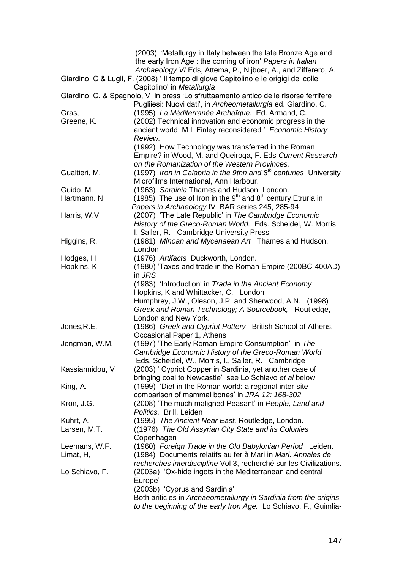|                 | (2003) 'Metallurgy in Italy between the late Bronze Age and<br>the early Iron Age : the coming of iron' Papers in Italian |
|-----------------|---------------------------------------------------------------------------------------------------------------------------|
|                 | Archaeology VI Eds, Attema, P., Nijboer, A., and Zifferero, A.                                                            |
|                 | Giardino, C & Lugli, F. (2008) ' Il tempo di giove Capitolino e le origigi del colle<br>Capitolino' in Metallurgia        |
|                 | Giardino, C. & Spagnolo, V in press 'Lo sfruttaamento antico delle risorse ferrifere                                      |
|                 | Pugliiesi: Nuovi dati', in Archeometallurgia ed. Giardino, C.                                                             |
| Gras,           | (1995) La Méditerranée Archaïque. Ed. Armand, C.                                                                          |
| Greene, K.      | (2002) Technical innovation and economic progress in the                                                                  |
|                 | ancient world: M.I. Finley reconsidered.' Economic History<br>Review.                                                     |
|                 | (1992) How Technology was transferred in the Roman                                                                        |
|                 | Empire? in Wood, M. and Queiroga, F. Eds Current Research                                                                 |
|                 | on the Romanization of the Western Provinces.                                                                             |
| Gualtieri, M.   | (1997) Iron in Calabria in the 9thn and $8th$ centuries University                                                        |
|                 | Microfilms International, Ann Harbour.                                                                                    |
| Guido, M.       | (1963) Sardinia Thames and Hudson, London.                                                                                |
| Hartmann, N.    | (1985) The use of Iron in the $9th$ and $8th$ century Etruria in                                                          |
|                 | Papers in Archaeology IV BAR series 245, 285-94                                                                           |
| Harris, W.V.    | (2007) 'The Late Republic' in The Cambridge Economic                                                                      |
|                 | History of the Greco-Roman World. Eds. Scheidel, W. Morris,                                                               |
|                 | I. Saller, R. Cambridge University Press                                                                                  |
| Higgins, R.     | (1981) Minoan and Mycenaean Art Thames and Hudson,                                                                        |
|                 | London                                                                                                                    |
| Hodges, H       | (1976) Artifacts Duckworth, London.                                                                                       |
| Hopkins, K      | (1980) 'Taxes and trade in the Roman Empire (200BC-400AD)<br>in JRS                                                       |
|                 | (1983) 'Introduction' in Trade in the Ancient Economy                                                                     |
|                 | Hopkins, K and Whittacker, C. London                                                                                      |
|                 | Humphrey, J.W., Oleson, J.P. and Sherwood, A.N. (1998)                                                                    |
|                 | Greek and Roman Technology; A Sourcebook, Routledge,                                                                      |
|                 | London and New York.                                                                                                      |
| Jones, R.E.     | (1986) Greek and Cypriot Pottery British School of Athens.                                                                |
|                 | Occasional Paper 1, Athens                                                                                                |
| Jongman, W.M.   | (1997) 'The Early Roman Empire Consumption' in The                                                                        |
|                 | Cambridge Economic History of the Greco-Roman World                                                                       |
|                 | Eds. Scheidel, W., Morris, I., Saller, R. Cambridge                                                                       |
| Kassiannidou, V | (2003) ' Cypriot Copper in Sardinia, yet another case of                                                                  |
|                 | bringing coal to Newcastle' see Lo Schiavo et al below                                                                    |
| King, A.        | (1999) 'Diet in the Roman world: a regional inter-site                                                                    |
|                 | comparison of mammal bones' in JRA 12: 168-302                                                                            |
| Kron, J.G.      | (2008) 'The much maligned Peasant' in People, Land and<br>Politics, Brill, Leiden                                         |
| Kuhrt, A.       | (1995) The Ancient Near East, Routledge, London.                                                                          |
| Larsen, M.T.    | ((1976) The Old Assyrian City State and its Colonies                                                                      |
|                 | Copenhagen                                                                                                                |
| Leemans, W.F.   | (1960) Foreign Trade in the Old Babylonian Period Leiden.                                                                 |
| Limat, H,       | (1984) Documents relatifs au fer à Mari in Mari. Annales de                                                               |
|                 | recherches interdiscipline Vol 3, recherché sur les Civilizations.                                                        |
| Lo Schiavo, F.  | (2003a) 'Ox-hide ingots in the Mediterranean and central                                                                  |
|                 | Europe'                                                                                                                   |
|                 | (2003b) 'Cyprus and Sardinia'                                                                                             |
|                 | Both ariticles in Archaeometallurgy in Sardinia from the origins                                                          |
|                 | to the beginning of the early Iron Age. Lo Schiavo, F., Guimlia-                                                          |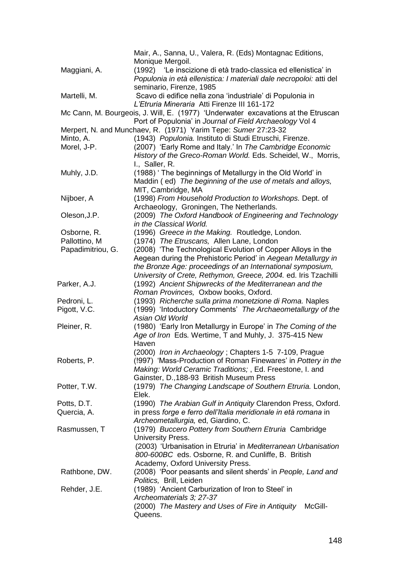|                   | Mair, A., Sanna, U., Valera, R. (Eds) Montagnac Editions,                         |
|-------------------|-----------------------------------------------------------------------------------|
|                   | Monique Mergoil.                                                                  |
| Maggiani, A.      | (1992) 'Le inscizione di età trado-classica ed ellenistica' in                    |
|                   | Populonia in età ellenistica: I materiali dale necropoloi: atti del               |
|                   | seminario, Firenze, 1985                                                          |
| Martelli, M.      | Scavo di edifice nella zona 'industriale' di Populonia in                         |
|                   | L'Etruria Mineraria Atti Firenze III 161-172                                      |
|                   | Mc Cann, M. Bourgeois, J. Will, E. (1977) 'Underwater excavations at the Etruscan |
|                   | Port of Populonia' in Journal of Field Archaeology Vol 4                          |
|                   |                                                                                   |
|                   | Merpert, N. and Munchaev, R. (1971) Yarim Tepe: Sumer 27:23-32                    |
| Minto, A.         | (1943) Populonia. Instituto di Studi Etruschi, Firenze.                           |
| Morel, J-P.       | (2007) 'Early Rome and Italy.' In The Cambridge Economic                          |
|                   | History of the Greco-Roman World. Eds. Scheidel, W., Morris,                      |
|                   | I., Saller, R.                                                                    |
| Muhly, J.D.       | (1988) 'The beginnings of Metallurgy in the Old World' in                         |
|                   | Maddin (ed) The beginning of the use of metals and alloys,                        |
|                   | MIT, Cambridge, MA                                                                |
| Nijboer, A        | (1998) From Household Production to Workshops. Dept. of                           |
|                   | Archaeology, Groningen, The Netherlands.                                          |
| Oleson, J.P.      | (2009) The Oxford Handbook of Engineering and Technology                          |
|                   | in the Classical World.                                                           |
| Osborne, R.       | (1996) Greece in the Making. Routledge, London.                                   |
| Pallottino, M     | (1974) The Etruscans, Allen Lane, London                                          |
| Papadimitriou, G. | (2008) 'The Technological Evolution of Copper Alloys in the                       |
|                   | Aegean during the Prehistoric Period' in Aegean Metallurgy in                     |
|                   | the Bronze Age: proceedings of an International symposium,                        |
|                   | University of Crete, Rethymon, Greece, 2004. ed. Iris Tzachilli                   |
|                   |                                                                                   |
| Parker, A.J.      | (1992) Ancient Shipwrecks of the Mediterranean and the                            |
|                   | Roman Provinces, Oxbow books, Oxford.                                             |
| Pedroni, L.       | (1993) Richerche sulla prima monetzione di Roma. Naples                           |
| Pigott, V.C.      | (1999) 'Intoductory Comments' The Archaeometallurgy of the                        |
|                   | Asian Old World                                                                   |
| Pleiner, R.       | (1980) 'Early Iron Metallurgy in Europe' in The Coming of the                     |
|                   | Age of Iron Eds. Wertime, T and Muhly, J. 375-415 New                             |
|                   | Haven                                                                             |
|                   | (2000) Iron in Archaeology; Chapters 1-5 7-109, Prague                            |
| Roberts, P.       | (1997) 'Mass-Production of Roman Finewares' in Pottery in the                     |
|                   | Making: World Ceramic Traditions; , Ed. Freestone, I. and                         |
|                   | Gainster, D., 188-93 British Museum Press                                         |
| Potter, T.W.      | (1979) The Changing Landscape of Southern Etruria. London,                        |
|                   | Elek.                                                                             |
| Potts, D.T.       | (1990) The Arabian Gulf in Antiquity Clarendon Press, Oxford.                     |
| Quercia, A.       | in press forge e ferro dell'Italia meridionale in età romana in                   |
|                   | Archeometallurgia, ed, Giardino, C.                                               |
| Rasmussen, T      | (1979) Buccero Pottery from Southern Etruria Cambridge                            |
|                   | University Press.                                                                 |
|                   | (2003) 'Urbanisation in Etruria' in Mediterranean Urbanisation                    |
|                   | 800-600BC eds. Osborne, R. and Cunliffe, B. British                               |
|                   | Academy, Oxford University Press.                                                 |
| Rathbone, DW.     | (2008) 'Poor peasants and silent sherds' in People, Land and                      |
|                   |                                                                                   |
|                   | Politics, Brill, Leiden                                                           |
| Rehder, J.E.      | (1989) 'Ancient Carburization of Iron to Steel' in                                |
|                   | Archeomaterials 3; 27-37                                                          |
|                   | (2000) The Mastery and Uses of Fire in Antiquity<br>McGill-                       |
|                   | Queens.                                                                           |
|                   |                                                                                   |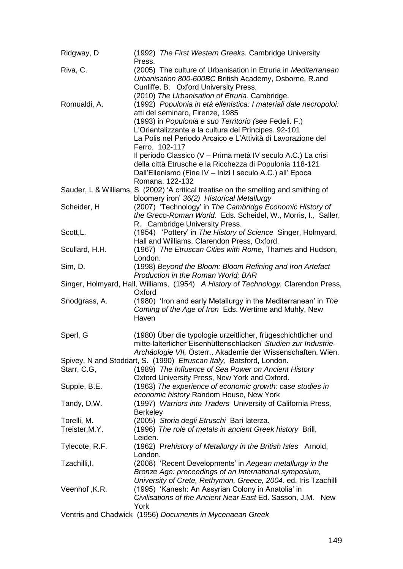| Ridgway, D     | (1992) The First Western Greeks. Cambridge University<br>Press.                                                          |
|----------------|--------------------------------------------------------------------------------------------------------------------------|
| Riva, C.       | (2005) The culture of Urbanisation in Etruria in Mediterranean<br>Urbanisation 800-600BC British Academy, Osborne, R.and |
|                | Cunliffe, B. Oxford University Press.                                                                                    |
|                | (2010) The Urbanisation of Etruria. Cambridge.                                                                           |
| Romualdi, A.   | (1992) Populonia in età ellenistica: I materiali dale necropoloi:                                                        |
|                | atti del seminaro, Firenze, 1985<br>(1993) in Populonia e suo Territorio (see Fedeli. F.)                                |
|                | L'Orientalizzante e la cultura dei Principes. 92-101                                                                     |
|                | La Polis nel Periodo Arcaico e L'Attività di Lavorazione del                                                             |
|                | Ferro. 102-117                                                                                                           |
|                | Il periodo Classico (V - Prima metà IV seculo A.C.) La crisi                                                             |
|                | della città Etrusche e la Ricchezza di Populonia 118-121                                                                 |
|                | Dall'Ellenismo (Fine IV - Inizi I seculo A.C.) all' Epoca                                                                |
|                | Romana. 122-132                                                                                                          |
|                | Sauder, L & Williams, S (2002) 'A critical treatise on the smelting and smithing of                                      |
|                | bloomery iron' 36(2) Historical Metallurgy                                                                               |
| Scheider, H    | (2007) 'Technology' in The Cambridge Economic History of                                                                 |
|                | the Greco-Roman World. Eds. Scheidel, W., Morris, I., Saller,                                                            |
|                | R. Cambridge University Press.                                                                                           |
| Scott, L.      | (1954) 'Pottery' in The History of Science Singer, Holmyard,                                                             |
|                | Hall and Williams, Clarendon Press, Oxford.                                                                              |
| Scullard, H.H. | (1967) The Etruscan Cities with Rome, Thames and Hudson,                                                                 |
|                | London.                                                                                                                  |
| Sim, D.        | (1998) Beyond the Bloom: Bloom Refining and Iron Artefact                                                                |
|                | Production in the Roman World; BAR                                                                                       |
|                | Singer, Holmyard, Hall, Williams, (1954) A History of Technology. Clarendon Press,                                       |
|                | Oxford                                                                                                                   |
| Snodgrass, A.  | (1980) 'Iron and early Metallurgy in the Mediterranean' in The                                                           |
|                | Coming of the Age of Iron Eds. Wertime and Muhly, New                                                                    |
|                | Haven                                                                                                                    |
| Sperl, G       | (1980) Über die typologie urzeitlicher, frügeschichtlicher und                                                           |
|                | mitte-lalterlicher Eisenhüttenschlacken' Studien zur Industrie-                                                          |
|                | Archäologie VII, Österr Akademie der Wissenschaften, Wien.                                                               |
|                | Spivey, N and Stoddart, S. (1990) Etruscan Italy, Batsford, London.                                                      |
| Starr, C.G,    | (1989) The Influence of Sea Power on Ancient History                                                                     |
|                | Oxford University Press, New York and Oxford.                                                                            |
| Supple, B.E.   | (1963) The experience of economic growth: case studies in                                                                |
|                | economic history Random House, New York                                                                                  |
| Tandy, D.W.    | (1997) Warriors into Traders University of California Press,                                                             |
|                | <b>Berkeley</b>                                                                                                          |
| Torelli, M.    | (2005) Storia degli Etruschi Bari laterza.                                                                               |
| Treister, M.Y. | (1996) The role of metals in ancient Greek history Brill,                                                                |
|                | Leiden.                                                                                                                  |
| Tylecote, R.F. | (1962) Prehistory of Metallurgy in the British Isles Arnold,                                                             |
|                | London.                                                                                                                  |
| Tzachilli, I.  | (2008) 'Recent Developments' in Aegean metallurgy in the                                                                 |
|                | Bronze Age: proceedings of an International symposium,                                                                   |
|                | University of Crete, Rethymon, Greece, 2004. ed. Iris Tzachilli                                                          |
| Veenhof, K.R.  | (1995) 'Kanesh: An Assyrian Colony in Anatolia' in                                                                       |
|                | Civilisations of the Ancient Near East Ed. Sasson, J.M. New                                                              |
|                | York                                                                                                                     |
|                | Ventris and Chadwick (1956) Documents in Mycenaean Greek                                                                 |
|                |                                                                                                                          |